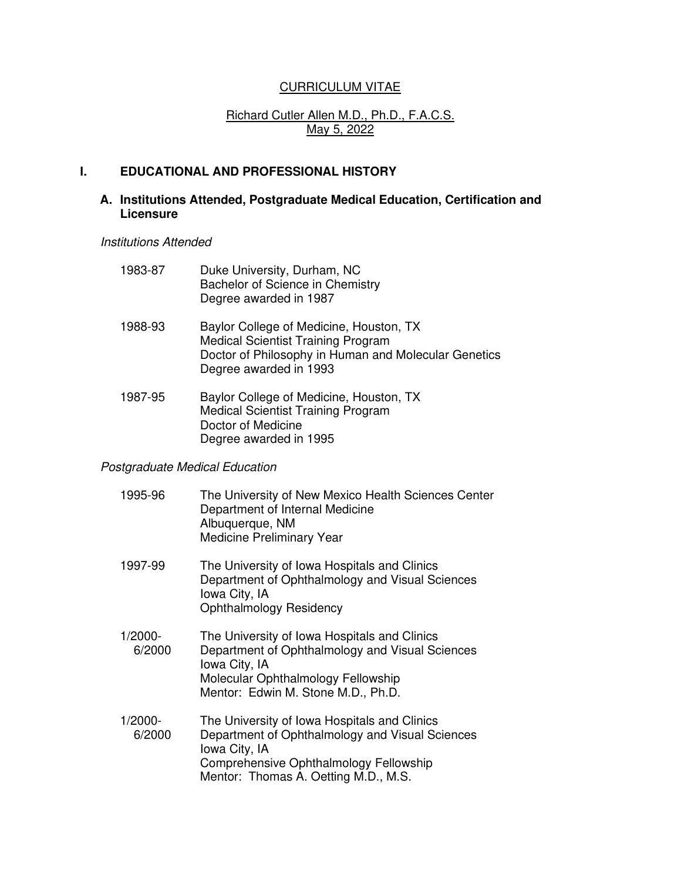# CURRICULUM VITAE

# Richard Cutler Allen M.D., Ph.D., F.A.C.S. May 5, 2022

# **I. EDUCATIONAL AND PROFESSIONAL HISTORY**

# **A. Institutions Attended, Postgraduate Medical Education, Certification and Licensure**

*Institutions Attended* 

| 1983-87 | Duke University, Durham, NC<br>Bachelor of Science in Chemistry<br>Degree awarded in 1987                                                                              |
|---------|------------------------------------------------------------------------------------------------------------------------------------------------------------------------|
| 1988-93 | Baylor College of Medicine, Houston, TX<br><b>Medical Scientist Training Program</b><br>Doctor of Philosophy in Human and Molecular Genetics<br>Degree awarded in 1993 |
| 1987-95 | Baylor College of Medicine, Houston, TX<br><b>Medical Scientist Training Program</b><br>Doctor of Medicine<br>Degree awarded in 1995                                   |

# *Postgraduate Medical Education*

| 1995-96           | The University of New Mexico Health Sciences Center<br>Department of Internal Medicine<br>Albuquerque, NM<br>Medicine Preliminary Year                                                             |
|-------------------|----------------------------------------------------------------------------------------------------------------------------------------------------------------------------------------------------|
| 1997-99           | The University of Iowa Hospitals and Clinics<br>Department of Ophthalmology and Visual Sciences<br>Iowa City, IA<br><b>Ophthalmology Residency</b>                                                 |
| 1/2000-<br>6/2000 | The University of Iowa Hospitals and Clinics<br>Department of Ophthalmology and Visual Sciences<br>Iowa City, IA<br>Molecular Ophthalmology Fellowship<br>Mentor: Edwin M. Stone M.D., Ph.D.       |
| 1/2000-<br>6/2000 | The University of Iowa Hospitals and Clinics<br>Department of Ophthalmology and Visual Sciences<br>Iowa City, IA<br>Comprehensive Ophthalmology Fellowship<br>Mentor: Thomas A. Oetting M.D., M.S. |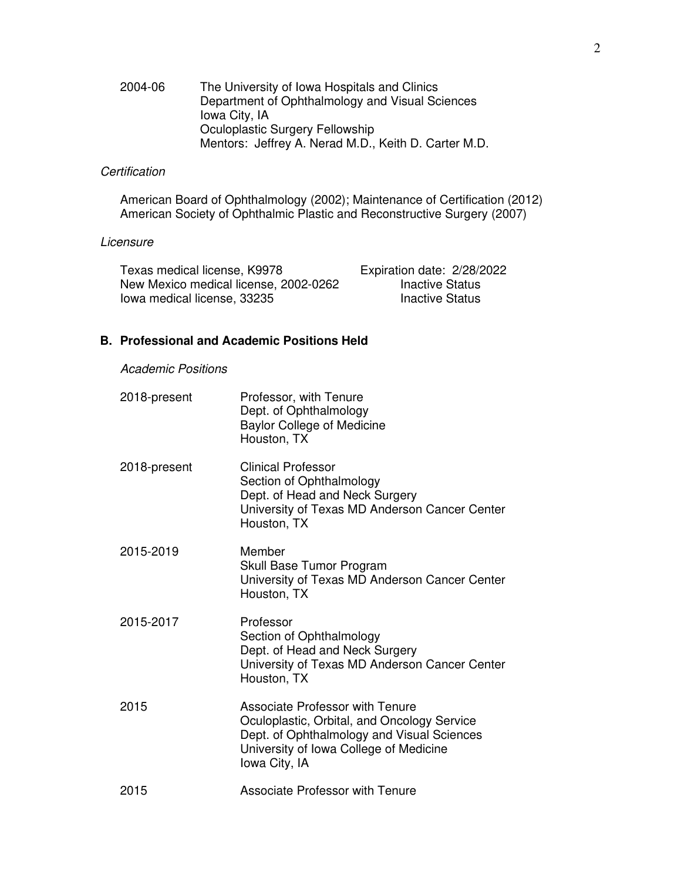#### 2004-06 The University of Iowa Hospitals and Clinics Department of Ophthalmology and Visual Sciences Iowa City, IA Oculoplastic Surgery Fellowship Mentors: Jeffrey A. Nerad M.D., Keith D. Carter M.D.

# *Certification*

 American Board of Ophthalmology (2002); Maintenance of Certification (2012) American Society of Ophthalmic Plastic and Reconstructive Surgery (2007)

#### *Licensure*

| Texas medical license, K9978          | Expiration date: 2/28/2022 |
|---------------------------------------|----------------------------|
| New Mexico medical license, 2002-0262 | <b>Inactive Status</b>     |
| lowa medical license, 33235           | Inactive Status            |

# **B. Professional and Academic Positions Held**

 *Academic Positions* 

| 2018-present | Professor, with Tenure<br>Dept. of Ophthalmology<br><b>Baylor College of Medicine</b><br>Houston, TX                                                                                           |
|--------------|------------------------------------------------------------------------------------------------------------------------------------------------------------------------------------------------|
| 2018-present | <b>Clinical Professor</b><br>Section of Ophthalmology<br>Dept. of Head and Neck Surgery<br>University of Texas MD Anderson Cancer Center<br>Houston, TX                                        |
| 2015-2019    | Member<br>Skull Base Tumor Program<br>University of Texas MD Anderson Cancer Center<br>Houston, TX                                                                                             |
| 2015-2017    | Professor<br>Section of Ophthalmology<br>Dept. of Head and Neck Surgery<br>University of Texas MD Anderson Cancer Center<br>Houston, TX                                                        |
| 2015         | <b>Associate Professor with Tenure</b><br>Oculoplastic, Orbital, and Oncology Service<br>Dept. of Ophthalmology and Visual Sciences<br>University of Iowa College of Medicine<br>Iowa City, IA |
| 2015         | <b>Associate Professor with Tenure</b>                                                                                                                                                         |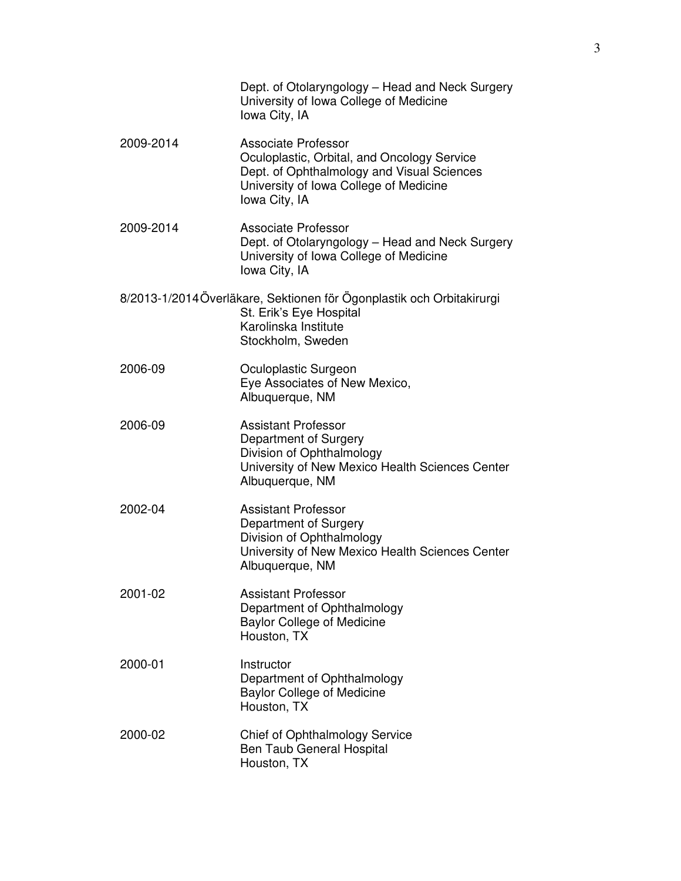|           | Dept. of Otolaryngology – Head and Neck Surgery<br>University of Iowa College of Medicine<br>Iowa City, IA                                                                         |
|-----------|------------------------------------------------------------------------------------------------------------------------------------------------------------------------------------|
| 2009-2014 | <b>Associate Professor</b><br>Oculoplastic, Orbital, and Oncology Service<br>Dept. of Ophthalmology and Visual Sciences<br>University of Iowa College of Medicine<br>Iowa City, IA |
| 2009-2014 | Associate Professor<br>Dept. of Otolaryngology – Head and Neck Surgery<br>University of Iowa College of Medicine<br>lowa City, IA                                                  |
|           | 8/2013-1/2014 Överläkare, Sektionen för Ögonplastik och Orbitakirurgi<br>St. Erik's Eye Hospital<br>Karolinska Institute<br>Stockholm, Sweden                                      |
| 2006-09   | Oculoplastic Surgeon<br>Eye Associates of New Mexico,<br>Albuquerque, NM                                                                                                           |
| 2006-09   | <b>Assistant Professor</b><br>Department of Surgery<br>Division of Ophthalmology<br>University of New Mexico Health Sciences Center<br>Albuquerque, NM                             |
| 2002-04   | <b>Assistant Professor</b><br>Department of Surgery<br>Division of Ophthalmology<br>University of New Mexico Health Sciences Center<br>Albuquerque, NM                             |
| 2001-02   | <b>Assistant Professor</b><br>Department of Ophthalmology<br><b>Baylor College of Medicine</b><br>Houston, TX                                                                      |
| 2000-01   | Instructor<br>Department of Ophthalmology<br><b>Baylor College of Medicine</b><br>Houston, TX                                                                                      |
| 2000-02   | Chief of Ophthalmology Service<br>Ben Taub General Hospital<br>Houston, TX                                                                                                         |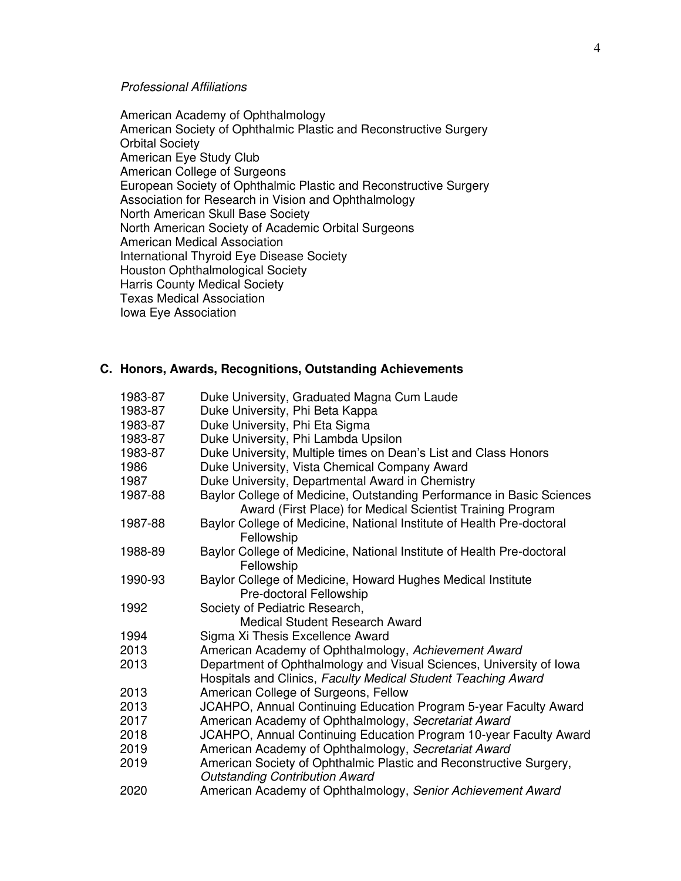### *Professional Affiliations*

 American Academy of Ophthalmology American Society of Ophthalmic Plastic and Reconstructive Surgery Orbital Society American Eye Study Club American College of Surgeons European Society of Ophthalmic Plastic and Reconstructive Surgery Association for Research in Vision and Ophthalmology North American Skull Base Society North American Society of Academic Orbital Surgeons American Medical Association International Thyroid Eye Disease Society Houston Ophthalmological Society Harris County Medical Society Texas Medical Association Iowa Eye Association

### **C. Honors, Awards, Recognitions, Outstanding Achievements**

| 1983-87 | Duke University, Graduated Magna Cum Laude                                                                                           |
|---------|--------------------------------------------------------------------------------------------------------------------------------------|
| 1983-87 | Duke University, Phi Beta Kappa                                                                                                      |
| 1983-87 | Duke University, Phi Eta Sigma                                                                                                       |
| 1983-87 | Duke University, Phi Lambda Upsilon                                                                                                  |
| 1983-87 | Duke University, Multiple times on Dean's List and Class Honors                                                                      |
| 1986    | Duke University, Vista Chemical Company Award                                                                                        |
| 1987    | Duke University, Departmental Award in Chemistry                                                                                     |
| 1987-88 | Baylor College of Medicine, Outstanding Performance in Basic Sciences                                                                |
|         | Award (First Place) for Medical Scientist Training Program                                                                           |
| 1987-88 | Baylor College of Medicine, National Institute of Health Pre-doctoral<br>Fellowship                                                  |
| 1988-89 | Baylor College of Medicine, National Institute of Health Pre-doctoral<br>Fellowship                                                  |
| 1990-93 | Baylor College of Medicine, Howard Hughes Medical Institute                                                                          |
|         | Pre-doctoral Fellowship                                                                                                              |
| 1992    | Society of Pediatric Research,                                                                                                       |
|         | Medical Student Research Award                                                                                                       |
| 1994    | Sigma Xi Thesis Excellence Award                                                                                                     |
| 2013    | American Academy of Ophthalmology, Achievement Award                                                                                 |
| 2013    | Department of Ophthalmology and Visual Sciences, University of Iowa<br>Hospitals and Clinics, Faculty Medical Student Teaching Award |
| 2013    | American College of Surgeons, Fellow                                                                                                 |
| 2013    | JCAHPO, Annual Continuing Education Program 5-year Faculty Award                                                                     |
| 2017    | American Academy of Ophthalmology, Secretariat Award                                                                                 |
| 2018    | JCAHPO, Annual Continuing Education Program 10-year Faculty Award                                                                    |
| 2019    | American Academy of Ophthalmology, Secretariat Award                                                                                 |
| 2019    | American Society of Ophthalmic Plastic and Reconstructive Surgery,                                                                   |
|         | <b>Outstanding Contribution Award</b>                                                                                                |
| 2020    | American Academy of Ophthalmology, Senior Achievement Award                                                                          |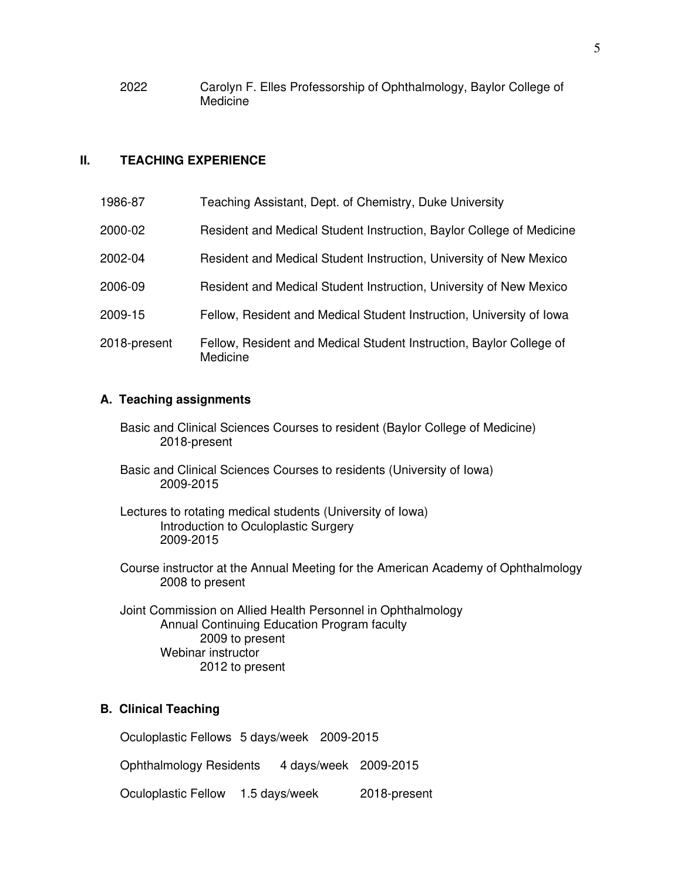2022 Carolyn F. Elles Professorship of Ophthalmology, Baylor College of **Medicine** 

### **II. TEACHING EXPERIENCE**

| 1986-87      | Teaching Assistant, Dept. of Chemistry, Duke University                         |
|--------------|---------------------------------------------------------------------------------|
| 2000-02      | Resident and Medical Student Instruction, Baylor College of Medicine            |
| 2002-04      | Resident and Medical Student Instruction, University of New Mexico              |
| 2006-09      | Resident and Medical Student Instruction, University of New Mexico              |
| 2009-15      | Fellow, Resident and Medical Student Instruction, University of Iowa            |
| 2018-present | Fellow, Resident and Medical Student Instruction, Baylor College of<br>Medicine |

#### **A. Teaching assignments**

- Basic and Clinical Sciences Courses to resident (Baylor College of Medicine) 2018-present
- Basic and Clinical Sciences Courses to residents (University of Iowa) 2009-2015

 Lectures to rotating medical students (University of Iowa) Introduction to Oculoplastic Surgery 2009-2015

 Course instructor at the Annual Meeting for the American Academy of Ophthalmology 2008 to present

Joint Commission on Allied Health Personnel in Ophthalmology Annual Continuing Education Program faculty 2009 to present Webinar instructor 2012 to present

# **B. Clinical Teaching**

Oculoplastic Fellows 5 days/week 2009-2015

Ophthalmology Residents 4 days/week 2009-2015

Oculoplastic Fellow 1.5 days/week 2018-present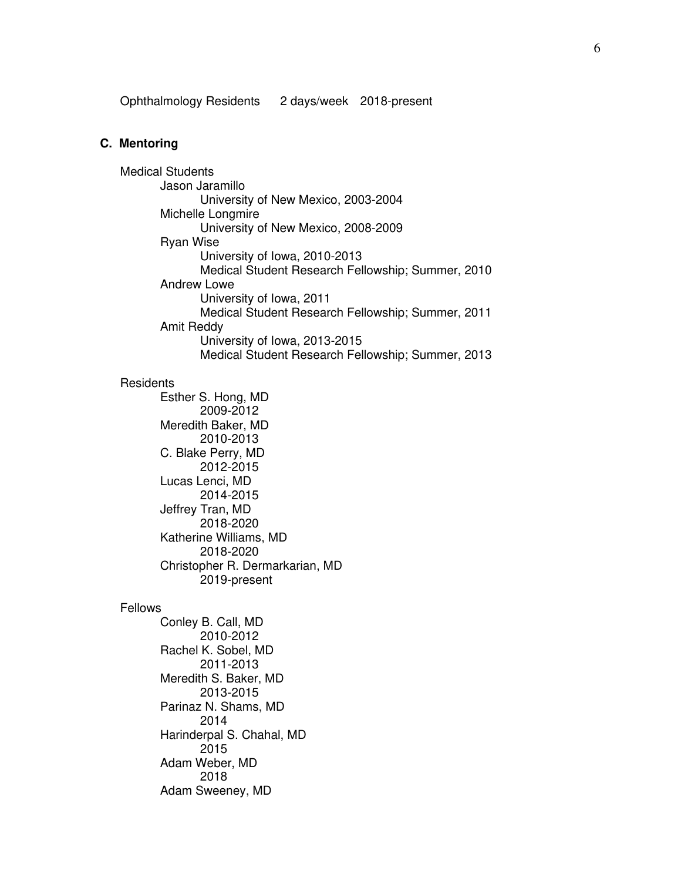Ophthalmology Residents 2 days/week 2018-present

#### **C. Mentoring**

 Medical Students Jason Jaramillo University of New Mexico, 2003-2004 Michelle Longmire University of New Mexico, 2008-2009 Ryan Wise University of Iowa, 2010-2013 Medical Student Research Fellowship; Summer, 2010 Andrew Lowe University of Iowa, 2011 Medical Student Research Fellowship; Summer, 2011 Amit Reddy University of Iowa, 2013-2015 Medical Student Research Fellowship; Summer, 2013 **Residents**  Esther S. Hong, MD 2009-2012 Meredith Baker, MD 2010-2013 C. Blake Perry, MD 2012-2015 Lucas Lenci, MD 2014-2015 Jeffrey Tran, MD 2018-2020 Katherine Williams, MD 2018-2020 Christopher R. Dermarkarian, MD 2019-present

#### Fellows

 Conley B. Call, MD 2010-2012 Rachel K. Sobel, MD 2011-2013 Meredith S. Baker, MD 2013-2015 Parinaz N. Shams, MD 2014 Harinderpal S. Chahal, MD 2015 Adam Weber, MD 2018 Adam Sweeney, MD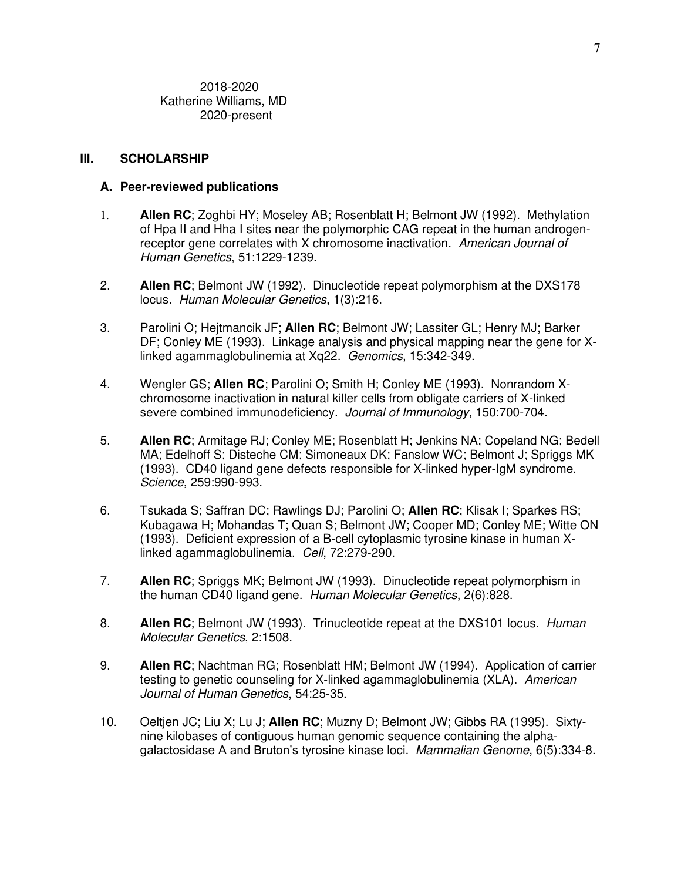2018-2020 Katherine Williams, MD 2020-present

#### **III. SCHOLARSHIP**

#### **A. Peer-reviewed publications**

- 1. **Allen RC**; Zoghbi HY; Moseley AB; Rosenblatt H; Belmont JW (1992). Methylation of Hpa II and Hha I sites near the polymorphic CAG repeat in the human androgenreceptor gene correlates with X chromosome inactivation. *American Journal of Human Genetics*, 51:1229-1239.
- 2. **Allen RC**; Belmont JW (1992). Dinucleotide repeat polymorphism at the DXS178 locus. *Human Molecular Genetics*, 1(3):216.
- 3. Parolini O; Hejtmancik JF; **Allen RC**; Belmont JW; Lassiter GL; Henry MJ; Barker DF; Conley ME (1993). Linkage analysis and physical mapping near the gene for Xlinked agammaglobulinemia at Xq22. *Genomics*, 15:342-349.
- 4. Wengler GS; **Allen RC**; Parolini O; Smith H; Conley ME (1993). Nonrandom Xchromosome inactivation in natural killer cells from obligate carriers of X-linked severe combined immunodeficiency. *Journal of Immunology*, 150:700-704.
- 5. **Allen RC**; Armitage RJ; Conley ME; Rosenblatt H; Jenkins NA; Copeland NG; Bedell MA; Edelhoff S; Disteche CM; Simoneaux DK; Fanslow WC; Belmont J; Spriggs MK (1993). CD40 ligand gene defects responsible for X-linked hyper-IgM syndrome. *Science*, 259:990-993.
- 6. Tsukada S; Saffran DC; Rawlings DJ; Parolini O; **Allen RC**; Klisak I; Sparkes RS; Kubagawa H; Mohandas T; Quan S; Belmont JW; Cooper MD; Conley ME; Witte ON (1993). Deficient expression of a B-cell cytoplasmic tyrosine kinase in human Xlinked agammaglobulinemia. *Cell*, 72:279-290.
- 7. **Allen RC**; Spriggs MK; Belmont JW (1993). Dinucleotide repeat polymorphism in the human CD40 ligand gene. *Human Molecular Genetics*, 2(6):828.
- 8. **Allen RC**; Belmont JW (1993). Trinucleotide repeat at the DXS101 locus. *Human Molecular Genetics*, 2:1508.
- 9. **Allen RC**; Nachtman RG; Rosenblatt HM; Belmont JW (1994). Application of carrier testing to genetic counseling for X-linked agammaglobulinemia (XLA). *American Journal of Human Genetics*, 54:25-35.
- 10. Oeltjen JC; Liu X; Lu J; **Allen RC**; Muzny D; Belmont JW; Gibbs RA (1995). Sixtynine kilobases of contiguous human genomic sequence containing the alphagalactosidase A and Bruton's tyrosine kinase loci. *Mammalian Genome*, 6(5):334-8.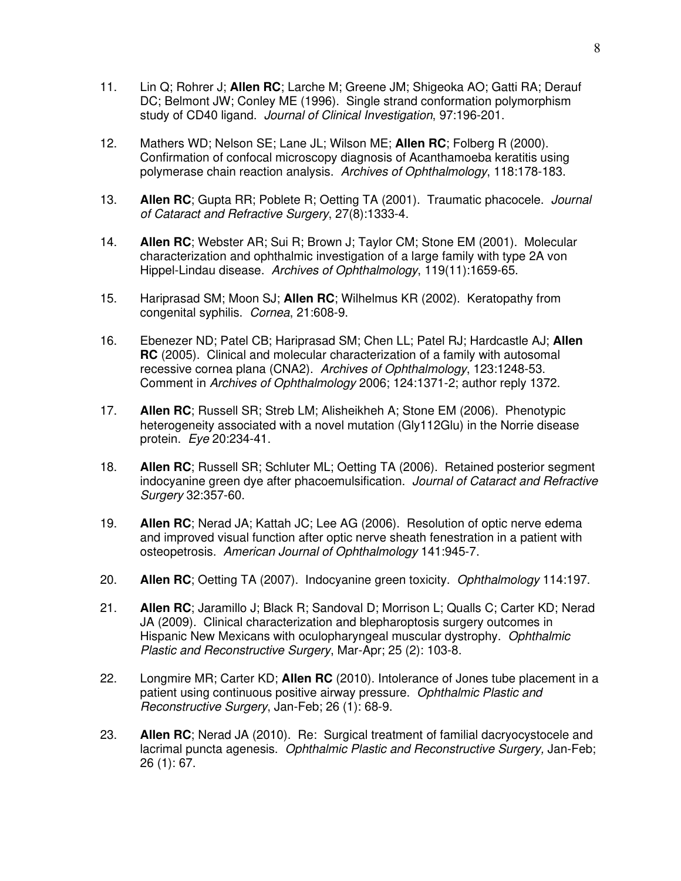- 11. Lin Q; Rohrer J; **Allen RC**; Larche M; Greene JM; Shigeoka AO; Gatti RA; Derauf DC; Belmont JW; Conley ME (1996). Single strand conformation polymorphism study of CD40 ligand. *Journal of Clinical Investigation*, 97:196-201.
- 12. Mathers WD; Nelson SE; Lane JL; Wilson ME; **Allen RC**; Folberg R (2000). Confirmation of confocal microscopy diagnosis of Acanthamoeba keratitis using polymerase chain reaction analysis. *Archives of Ophthalmology*, 118:178-183.
- 13. **Allen RC**; Gupta RR; Poblete R; Oetting TA (2001). Traumatic phacocele. *Journal of Cataract and Refractive Surgery*, 27(8):1333-4.
- 14. **Allen RC**; Webster AR; Sui R; Brown J; Taylor CM; Stone EM (2001). Molecular characterization and ophthalmic investigation of a large family with type 2A von Hippel-Lindau disease. *Archives of Ophthalmology*, 119(11):1659-65.
- 15. Hariprasad SM; Moon SJ; **Allen RC**; Wilhelmus KR (2002). Keratopathy from congenital syphilis. *Cornea*, 21:608-9.
- 16. Ebenezer ND; Patel CB; Hariprasad SM; Chen LL; Patel RJ; Hardcastle AJ; **Allen RC** (2005). Clinical and molecular characterization of a family with autosomal recessive cornea plana (CNA2). *Archives of Ophthalmology*, 123:1248-53. Comment in *Archives of Ophthalmology* 2006; 124:1371-2; author reply 1372.
- 17. **Allen RC**; Russell SR; Streb LM; Alisheikheh A; Stone EM (2006). Phenotypic heterogeneity associated with a novel mutation (Gly112Glu) in the Norrie disease protein. *Eye* 20:234-41.
- 18. **Allen RC**; Russell SR; Schluter ML; Oetting TA (2006). Retained posterior segment indocyanine green dye after phacoemulsification. *Journal of Cataract and Refractive Surgery* 32:357-60.
- 19. **Allen RC**; Nerad JA; Kattah JC; Lee AG (2006). Resolution of optic nerve edema and improved visual function after optic nerve sheath fenestration in a patient with osteopetrosis. *American Journal of Ophthalmology* 141:945-7.
- 20. **Allen RC**; Oetting TA (2007). Indocyanine green toxicity. *Ophthalmology* 114:197.
- 21. **Allen RC**; Jaramillo J; Black R; Sandoval D; Morrison L; Qualls C; Carter KD; Nerad JA (2009). Clinical characterization and blepharoptosis surgery outcomes in Hispanic New Mexicans with oculopharyngeal muscular dystrophy. *Ophthalmic Plastic and Reconstructive Surgery*, Mar-Apr; 25 (2): 103-8.
- 22. Longmire MR; Carter KD; **Allen RC** (2010). Intolerance of Jones tube placement in a patient using continuous positive airway pressure. *Ophthalmic Plastic and Reconstructive Surgery*, Jan-Feb; 26 (1): 68-9.
- 23. **Allen RC**; Nerad JA (2010). Re: Surgical treatment of familial dacryocystocele and lacrimal puncta agenesis. *Ophthalmic Plastic and Reconstructive Surgery,* Jan-Feb; 26 (1): 67.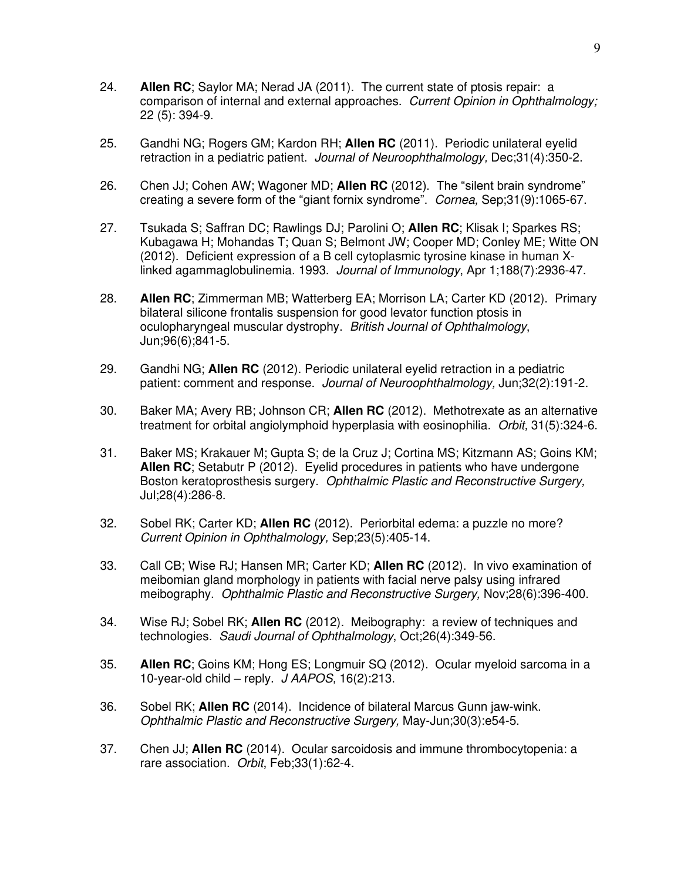- 24. **Allen RC**; Saylor MA; Nerad JA (2011). The current state of ptosis repair: a comparison of internal and external approaches. *Current Opinion in Ophthalmology;* 22 (5): 394-9.
- 25. Gandhi NG; Rogers GM; Kardon RH; **Allen RC** (2011). Periodic unilateral eyelid retraction in a pediatric patient. *Journal of Neuroophthalmology,* Dec;31(4):350-2.
- 26. Chen JJ; Cohen AW; Wagoner MD; **Allen RC** (2012). The "silent brain syndrome" creating a severe form of the "giant fornix syndrome". *Cornea,* Sep;31(9):1065-67.
- 27. Tsukada S; Saffran DC; Rawlings DJ; Parolini O; **Allen RC**; Klisak I; Sparkes RS; Kubagawa H; Mohandas T; Quan S; Belmont JW; Cooper MD; Conley ME; Witte ON (2012). Deficient expression of a B cell cytoplasmic tyrosine kinase in human Xlinked agammaglobulinemia. 1993. *Journal of Immunology*, Apr 1;188(7):2936-47.
- 28. **Allen RC**; Zimmerman MB; Watterberg EA; Morrison LA; Carter KD (2012). Primary bilateral silicone frontalis suspension for good levator function ptosis in oculopharyngeal muscular dystrophy. *British Journal of Ophthalmology*, Jun;96(6);841-5.
- 29. Gandhi NG; **Allen RC** (2012). Periodic unilateral eyelid retraction in a pediatric patient: comment and response. *Journal of Neuroophthalmology,* Jun;32(2):191-2.
- 30. Baker MA; Avery RB; Johnson CR; **Allen RC** (2012). Methotrexate as an alternative treatment for orbital angiolymphoid hyperplasia with eosinophilia. *Orbit,* 31(5):324-6.
- 31. Baker MS; Krakauer M; Gupta S; de la Cruz J; Cortina MS; Kitzmann AS; Goins KM; **Allen RC**; Setabutr P (2012). Eyelid procedures in patients who have undergone Boston keratoprosthesis surgery. *Ophthalmic Plastic and Reconstructive Surgery,* Jul;28(4):286-8.
- 32. Sobel RK; Carter KD; **Allen RC** (2012). Periorbital edema: a puzzle no more? *Current Opinion in Ophthalmology,* Sep;23(5):405-14.
- 33. Call CB; Wise RJ; Hansen MR; Carter KD; **Allen RC** (2012). In vivo examination of meibomian gland morphology in patients with facial nerve palsy using infrared meibography. *Ophthalmic Plastic and Reconstructive Surgery,* Nov;28(6):396-400.
- 34. Wise RJ; Sobel RK; **Allen RC** (2012). Meibography: a review of techniques and technologies. *Saudi Journal of Ophthalmology*, Oct;26(4):349-56.
- 35. **Allen RC**; Goins KM; Hong ES; Longmuir SQ (2012). Ocular myeloid sarcoma in a 10-year-old child – reply. *J AAPOS,* 16(2):213.
- 36. Sobel RK; **Allen RC** (2014). Incidence of bilateral Marcus Gunn jaw-wink. *Ophthalmic Plastic and Reconstructive Surgery,* May-Jun;30(3):e54-5.
- 37. Chen JJ; **Allen RC** (2014). Ocular sarcoidosis and immune thrombocytopenia: a rare association. *Orbit*, Feb;33(1):62-4.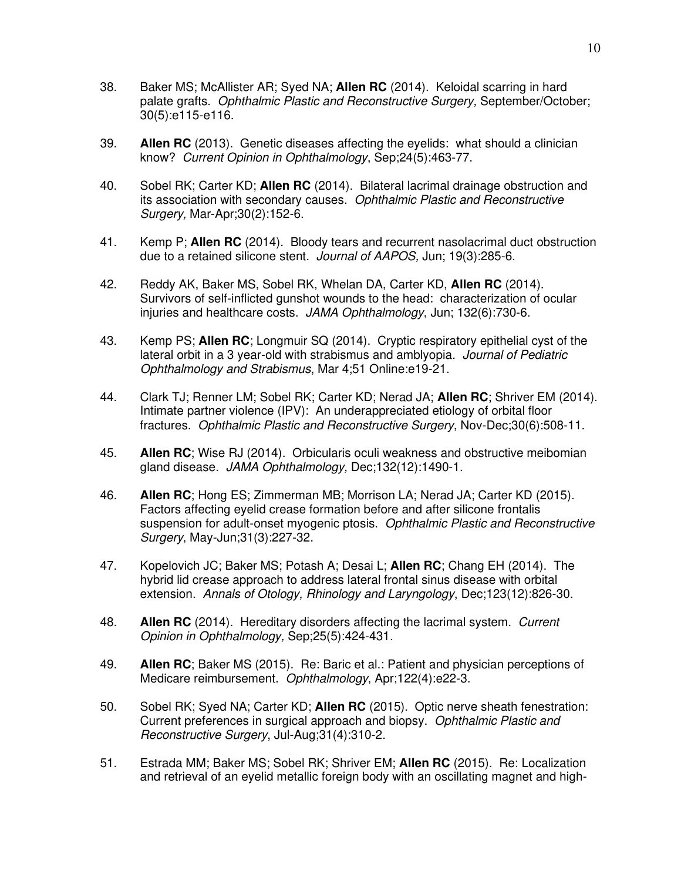- 38. Baker MS; McAllister AR; Syed NA; **Allen RC** (2014). Keloidal scarring in hard palate grafts. *Ophthalmic Plastic and Reconstructive Surgery,* September/October; 30(5):e115-e116.
- 39. **Allen RC** (2013). Genetic diseases affecting the eyelids: what should a clinician know? *Current Opinion in Ophthalmology*, Sep;24(5):463-77.
- 40. Sobel RK; Carter KD; **Allen RC** (2014). Bilateral lacrimal drainage obstruction and its association with secondary causes. *Ophthalmic Plastic and Reconstructive Surgery,* Mar-Apr;30(2):152-6.
- 41. Kemp P; **Allen RC** (2014). Bloody tears and recurrent nasolacrimal duct obstruction due to a retained silicone stent. *Journal of AAPOS,* Jun; 19(3):285-6.
- 42. Reddy AK, Baker MS, Sobel RK, Whelan DA, Carter KD, **Allen RC** (2014). Survivors of self-inflicted gunshot wounds to the head: characterization of ocular injuries and healthcare costs. *JAMA Ophthalmology*, Jun; 132(6):730-6.
- 43. Kemp PS; **Allen RC**; Longmuir SQ (2014). Cryptic respiratory epithelial cyst of the lateral orbit in a 3 year-old with strabismus and amblyopia. *Journal of Pediatric Ophthalmology and Strabismus*, Mar 4;51 Online:e19-21.
- 44. Clark TJ; Renner LM; Sobel RK; Carter KD; Nerad JA; **Allen RC**; Shriver EM (2014). Intimate partner violence (IPV): An underappreciated etiology of orbital floor fractures. *Ophthalmic Plastic and Reconstructive Surgery*, Nov-Dec;30(6):508-11.
- 45. **Allen RC**; Wise RJ (2014). Orbicularis oculi weakness and obstructive meibomian gland disease. *JAMA Ophthalmology,* Dec;132(12):1490-1.
- 46.**Allen RC**; Hong ES; Zimmerman MB; Morrison LA; Nerad JA; Carter KD (2015). Factors affecting eyelid crease formation before and after silicone frontalis suspension for adult-onset myogenic ptosis. *Ophthalmic Plastic and Reconstructive Surgery*, May-Jun;31(3):227-32.
- 47. Kopelovich JC; Baker MS; Potash A; Desai L; **Allen RC**; Chang EH (2014). The hybrid lid crease approach to address lateral frontal sinus disease with orbital extension. *Annals of Otology, Rhinology and Laryngology*, Dec;123(12):826-30.
- 48. **Allen RC** (2014). Hereditary disorders affecting the lacrimal system. *Current Opinion in Ophthalmology,* Sep;25(5):424-431.
- 49. **Allen RC**; Baker MS (2015). Re: Baric et al.: Patient and physician perceptions of Medicare reimbursement. *Ophthalmology*, Apr;122(4):e22-3.
- 50. Sobel RK; Syed NA; Carter KD; **Allen RC** (2015). Optic nerve sheath fenestration: Current preferences in surgical approach and biopsy. *Ophthalmic Plastic and Reconstructive Surgery*, Jul-Aug;31(4):310-2.
- 51. Estrada MM; Baker MS; Sobel RK; Shriver EM; **Allen RC** (2015). Re: Localization and retrieval of an eyelid metallic foreign body with an oscillating magnet and high-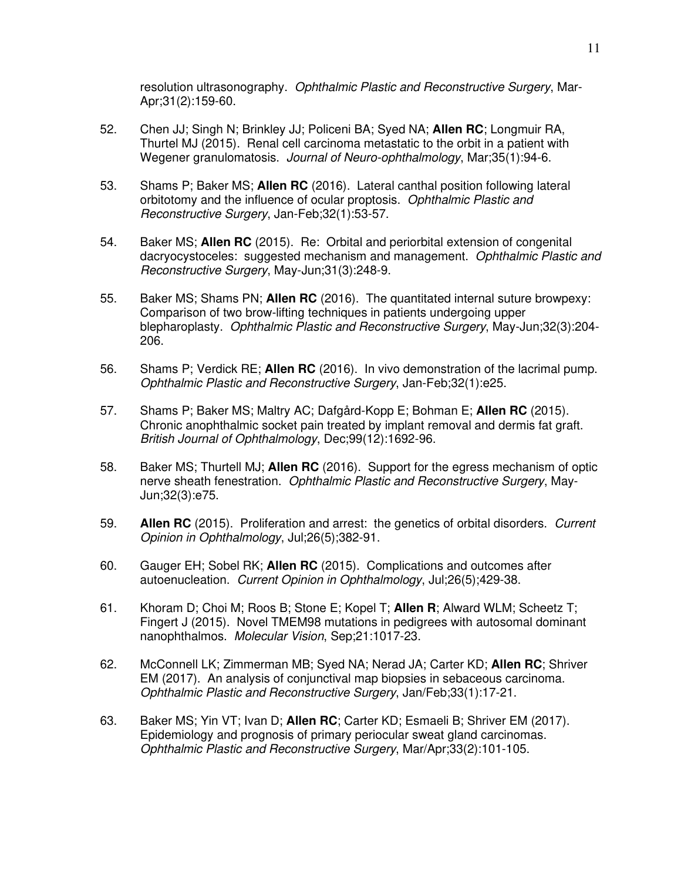resolution ultrasonography. *Ophthalmic Plastic and Reconstructive Surgery*, Mar-Apr;31(2):159-60.

- 52. Chen JJ; Singh N; Brinkley JJ; Policeni BA; Syed NA; **Allen RC**; Longmuir RA, Thurtel MJ (2015). Renal cell carcinoma metastatic to the orbit in a patient with Wegener granulomatosis. *Journal of Neuro-ophthalmology*, Mar;35(1):94-6.
- 53. Shams P; Baker MS; **Allen RC** (2016). Lateral canthal position following lateral orbitotomy and the influence of ocular proptosis. *Ophthalmic Plastic and Reconstructive Surgery*, Jan-Feb;32(1):53-57.
- 54. Baker MS; **Allen RC** (2015). Re: Orbital and periorbital extension of congenital dacryocystoceles: suggested mechanism and management. *Ophthalmic Plastic and Reconstructive Surgery*, May-Jun;31(3):248-9.
- 55. Baker MS; Shams PN; **Allen RC** (2016). The quantitated internal suture browpexy: Comparison of two brow-lifting techniques in patients undergoing upper blepharoplasty. *Ophthalmic Plastic and Reconstructive Surgery*, May-Jun;32(3):204- 206.
- 56. Shams P; Verdick RE; **Allen RC** (2016). In vivo demonstration of the lacrimal pump. *Ophthalmic Plastic and Reconstructive Surgery*, Jan-Feb;32(1):e25.
- 57. Shams P; Baker MS; Maltry AC; Dafgård-Kopp E; Bohman E; **Allen RC** (2015). Chronic anophthalmic socket pain treated by implant removal and dermis fat graft. *British Journal of Ophthalmology*, Dec;99(12):1692-96.
- 58. Baker MS; Thurtell MJ; **Allen RC** (2016). Support for the egress mechanism of optic nerve sheath fenestration. *Ophthalmic Plastic and Reconstructive Surgery*, May-Jun;32(3):e75.
- 59. **Allen RC** (2015). Proliferation and arrest: the genetics of orbital disorders. *Current Opinion in Ophthalmology*, Jul;26(5);382-91.
- 60. Gauger EH; Sobel RK; **Allen RC** (2015). Complications and outcomes after autoenucleation. *Current Opinion in Ophthalmology*, Jul;26(5);429-38.
- 61. Khoram D; Choi M; Roos B; Stone E; Kopel T; **Allen R**; Alward WLM; Scheetz T; Fingert J (2015). Novel TMEM98 mutations in pedigrees with autosomal dominant nanophthalmos. *Molecular Vision*, Sep;21:1017-23.
- 62. McConnell LK; Zimmerman MB; Syed NA; Nerad JA; Carter KD; **Allen RC**; Shriver EM (2017). An analysis of conjunctival map biopsies in sebaceous carcinoma. *Ophthalmic Plastic and Reconstructive Surgery*, Jan/Feb;33(1):17-21.
- 63. Baker MS; Yin VT; Ivan D; **Allen RC**; Carter KD; Esmaeli B; Shriver EM (2017). Epidemiology and prognosis of primary periocular sweat gland carcinomas. *Ophthalmic Plastic and Reconstructive Surgery*, Mar/Apr;33(2):101-105.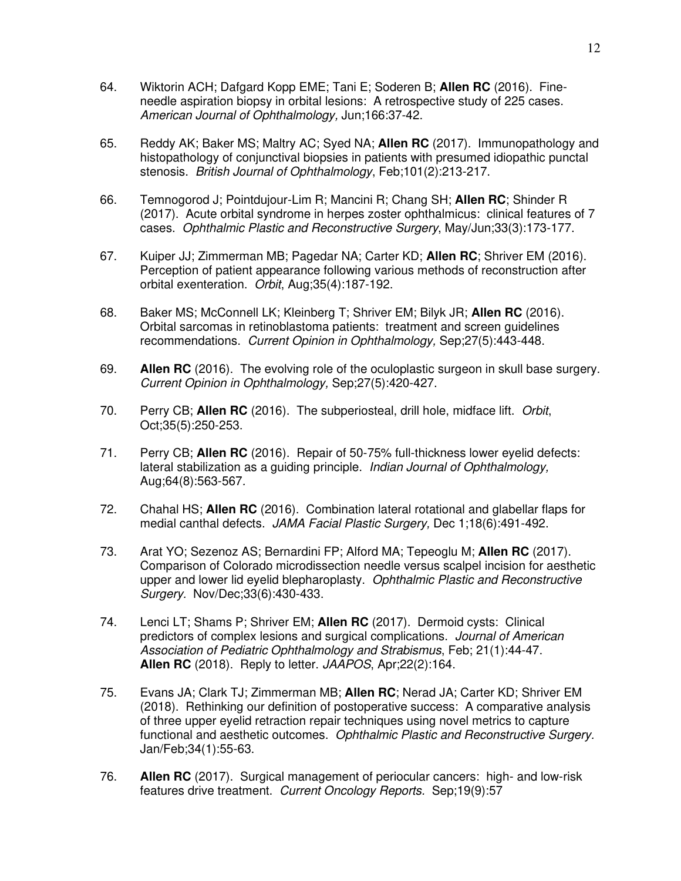- 64. Wiktorin ACH; Dafgard Kopp EME; Tani E; Soderen B; **Allen RC** (2016). Fineneedle aspiration biopsy in orbital lesions: A retrospective study of 225 cases. *American Journal of Ophthalmology,* Jun;166:37-42.
- 65. Reddy AK; Baker MS; Maltry AC; Syed NA; **Allen RC** (2017). Immunopathology and histopathology of conjunctival biopsies in patients with presumed idiopathic punctal stenosis. *British Journal of Ophthalmology*, Feb;101(2):213-217.
- 66. Temnogorod J; Pointdujour-Lim R; Mancini R; Chang SH; **Allen RC**; Shinder R (2017). Acute orbital syndrome in herpes zoster ophthalmicus: clinical features of 7 cases. *Ophthalmic Plastic and Reconstructive Surgery*, May/Jun;33(3):173-177.
- 67. Kuiper JJ; Zimmerman MB; Pagedar NA; Carter KD; **Allen RC**; Shriver EM (2016). Perception of patient appearance following various methods of reconstruction after orbital exenteration. *Orbit*, Aug;35(4):187-192.
- 68. Baker MS; McConnell LK; Kleinberg T; Shriver EM; Bilyk JR; **Allen RC** (2016). Orbital sarcomas in retinoblastoma patients: treatment and screen guidelines recommendations. *Current Opinion in Ophthalmology,* Sep;27(5):443-448.
- 69. **Allen RC** (2016). The evolving role of the oculoplastic surgeon in skull base surgery. *Current Opinion in Ophthalmology,* Sep;27(5):420-427.
- 70. Perry CB; **Allen RC** (2016). The subperiosteal, drill hole, midface lift. *Orbit*, Oct;35(5):250-253.
- 71. Perry CB; **Allen RC** (2016). Repair of 50-75% full-thickness lower eyelid defects: lateral stabilization as a guiding principle. *Indian Journal of Ophthalmology,*  Aug;64(8):563-567*.*
- 72. Chahal HS; **Allen RC** (2016). Combination lateral rotational and glabellar flaps for medial canthal defects. *JAMA Facial Plastic Surgery,* Dec 1;18(6):491-492.
- 73. Arat YO; Sezenoz AS; Bernardini FP; Alford MA; Tepeoglu M; **Allen RC** (2017). Comparison of Colorado microdissection needle versus scalpel incision for aesthetic upper and lower lid eyelid blepharoplasty. *Ophthalmic Plastic and Reconstructive Surgery.* Nov/Dec;33(6):430-433.
- 74. Lenci LT; Shams P; Shriver EM; **Allen RC** (2017). Dermoid cysts: Clinical predictors of complex lesions and surgical complications. *Journal of American Association of Pediatric Ophthalmology and Strabismus*, Feb; 21(1):44-47. **Allen RC** (2018). Reply to letter. *JAAPOS*, Apr;22(2):164.
- 75. Evans JA; Clark TJ; Zimmerman MB; **Allen RC**; Nerad JA; Carter KD; Shriver EM (2018). Rethinking our definition of postoperative success: A comparative analysis of three upper eyelid retraction repair techniques using novel metrics to capture functional and aesthetic outcomes. *Ophthalmic Plastic and Reconstructive Surgery.* Jan/Feb;34(1):55-63.
- 76. **Allen RC** (2017). Surgical management of periocular cancers: high- and low-risk features drive treatment. *Current Oncology Reports.* Sep;19(9):57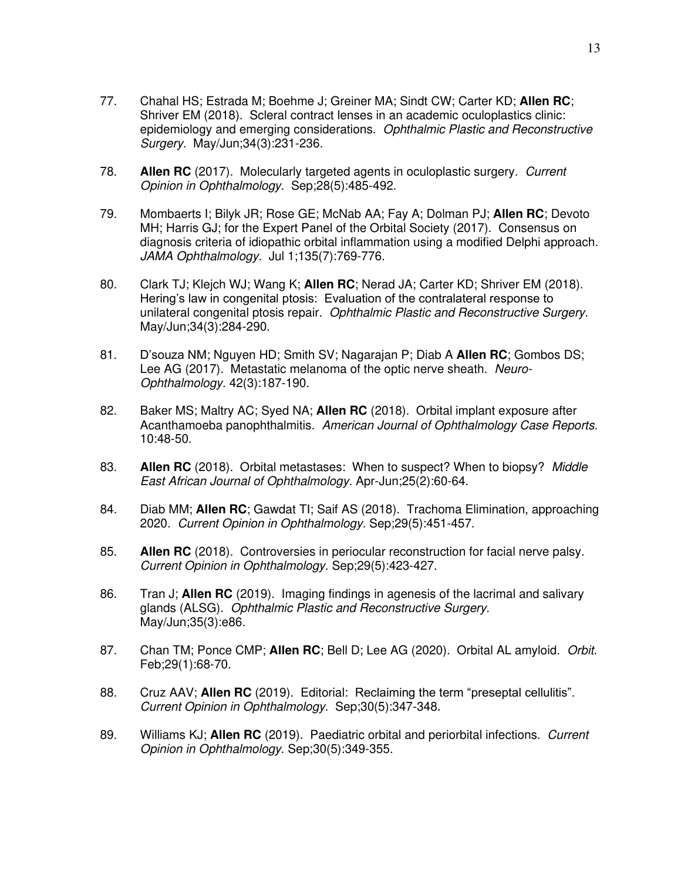- 77. Chahal HS; Estrada M; Boehme J; Greiner MA; Sindt CW; Carter KD; **Allen RC**; Shriver EM (2018). Scleral contract lenses in an academic oculoplastics clinic: epidemiology and emerging considerations. *Ophthalmic Plastic and Reconstructive Surgery.* May/Jun;34(3):231-236.
- 78. **Allen RC** (2017). Molecularly targeted agents in oculoplastic surgery. *Current Opinion in Ophthalmology*. Sep;28(5):485-492.
- 79. Mombaerts I; Bilyk JR; Rose GE; McNab AA; Fay A; Dolman PJ; **Allen RC**; Devoto MH; Harris GJ; for the Expert Panel of the Orbital Society (2017). Consensus on diagnosis criteria of idiopathic orbital inflammation using a modified Delphi approach. *JAMA Ophthalmology*. Jul 1;135(7):769-776.
- 80. Clark TJ; Klejch WJ; Wang K; **Allen RC**; Nerad JA; Carter KD; Shriver EM (2018). Hering's law in congenital ptosis: Evaluation of the contralateral response to unilateral congenital ptosis repair. *Ophthalmic Plastic and Reconstructive Surgery*. May/Jun;34(3):284-290.
- 81. D'souza NM; Nguyen HD; Smith SV; Nagarajan P; Diab A **Allen RC**; Gombos DS; Lee AG (2017). Metastatic melanoma of the optic nerve sheath. *Neuro-Ophthalmology.* 42(3):187-190.
- 82. Baker MS; Maltry AC; Syed NA; **Allen RC** (2018). Orbital implant exposure after Acanthamoeba panophthalmitis. *American Journal of Ophthalmology Case Reports*. 10:48-50.
- 83. **Allen RC** (2018). Orbital metastases: When to suspect? When to biopsy? *Middle East African Journal of Ophthalmology.* Apr-Jun;25(2):60-64.
- 84. Diab MM; **Allen RC**; Gawdat TI; Saif AS (2018). Trachoma Elimination, approaching 2020. *Current Opinion in Ophthalmology.* Sep;29(5):451-457.
- 85. **Allen RC** (2018). Controversies in periocular reconstruction for facial nerve palsy. *Current Opinion in Ophthalmology.* Sep;29(5):423-427.
- 86. Tran J; **Allen RC** (2019). Imaging findings in agenesis of the lacrimal and salivary glands (ALSG). *Ophthalmic Plastic and Reconstructive Surgery.*  May/Jun;35(3):e86.
- 87. Chan TM; Ponce CMP; **Allen RC**; Bell D; Lee AG (2020). Orbital AL amyloid. *Orbit*. Feb;29(1):68-70.
- 88. Cruz AAV; **Allen RC** (2019). Editorial: Reclaiming the term "preseptal cellulitis". *Current Opinion in Ophthalmology*. Sep;30(5):347-348.
- 89. Williams KJ; **Allen RC** (2019). Paediatric orbital and periorbital infections. *Current Opinion in Ophthalmology*. Sep;30(5):349-355.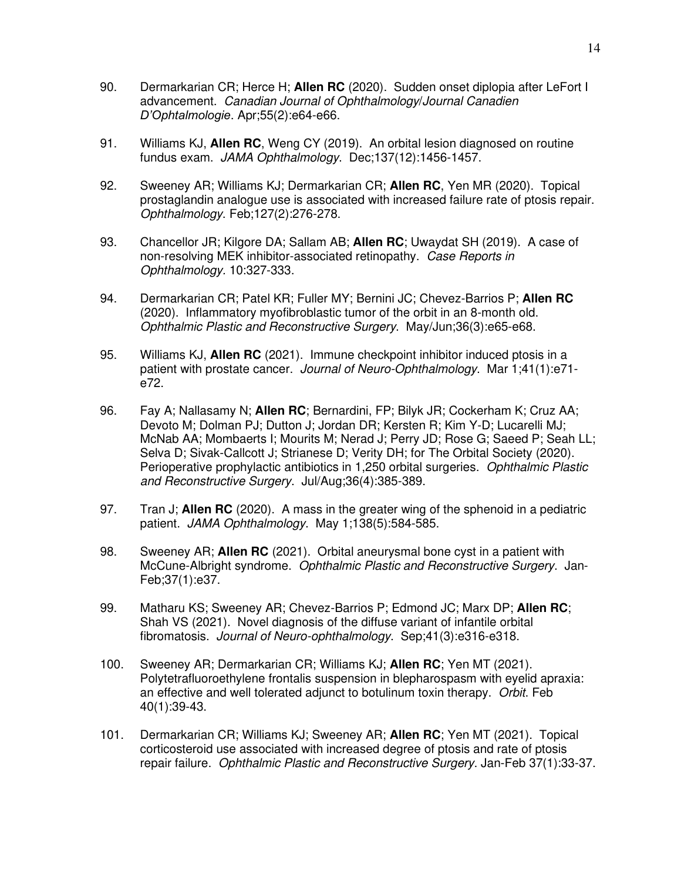- 90. Dermarkarian CR; Herce H; **Allen RC** (2020). Sudden onset diplopia after LeFort I advancement. *Canadian Journal of Ophthalmology*/*Journal Canadien D'Ophtalmologie*. Apr;55(2):e64-e66.
- 91. Williams KJ, **Allen RC**, Weng CY (2019). An orbital lesion diagnosed on routine fundus exam. *JAMA Ophthalmology*. Dec;137(12):1456-1457.
- 92. Sweeney AR; Williams KJ; Dermarkarian CR; **Allen RC**, Yen MR (2020). Topical prostaglandin analogue use is associated with increased failure rate of ptosis repair. *Ophthalmology*. Feb;127(2):276-278.
- 93. Chancellor JR; Kilgore DA; Sallam AB; **Allen RC**; Uwaydat SH (2019). A case of non-resolving MEK inhibitor-associated retinopathy. *Case Reports in Ophthalmology.* 10:327-333.
- 94. Dermarkarian CR; Patel KR; Fuller MY; Bernini JC; Chevez-Barrios P; **Allen RC** (2020). Inflammatory myofibroblastic tumor of the orbit in an 8-month old. *Ophthalmic Plastic and Reconstructive Surgery*. May/Jun;36(3):e65-e68.
- 95. Williams KJ, **Allen RC** (2021). Immune checkpoint inhibitor induced ptosis in a patient with prostate cancer. *Journal of Neuro-Ophthalmology*. Mar 1;41(1):e71 e72.
- 96. Fay A; Nallasamy N; **Allen RC**; Bernardini, FP; Bilyk JR; Cockerham K; Cruz AA; Devoto M; Dolman PJ; Dutton J; Jordan DR; Kersten R; Kim Y-D; Lucarelli MJ; McNab AA; Mombaerts I; Mourits M; Nerad J; Perry JD; Rose G; Saeed P; Seah LL; Selva D; Sivak-Callcott J; Strianese D; Verity DH; for The Orbital Society (2020). Perioperative prophylactic antibiotics in 1,250 orbital surgeries. *Ophthalmic Plastic and Reconstructive Surgery*. Jul/Aug;36(4):385-389.
- 97. Tran J; **Allen RC** (2020). A mass in the greater wing of the sphenoid in a pediatric patient. *JAMA Ophthalmology*. May 1;138(5):584-585.
- 98. Sweeney AR; **Allen RC** (2021). Orbital aneurysmal bone cyst in a patient with McCune-Albright syndrome. *Ophthalmic Plastic and Reconstructive Surgery*. Jan-Feb;37(1):e37.
- 99. Matharu KS; Sweeney AR; Chevez-Barrios P; Edmond JC; Marx DP; **Allen RC**; Shah VS (2021). Novel diagnosis of the diffuse variant of infantile orbital fibromatosis. *Journal of Neuro-ophthalmology*. Sep;41(3):e316-e318.
- 100. Sweeney AR; Dermarkarian CR; Williams KJ; **Allen RC**; Yen MT (2021). Polytetrafluoroethylene frontalis suspension in blepharospasm with eyelid apraxia: an effective and well tolerated adjunct to botulinum toxin therapy. *Orbit*. Feb 40(1):39-43.
- 101. Dermarkarian CR; Williams KJ; Sweeney AR; **Allen RC**; Yen MT (2021). Topical corticosteroid use associated with increased degree of ptosis and rate of ptosis repair failure. *Ophthalmic Plastic and Reconstructive Surgery*. Jan-Feb 37(1):33-37.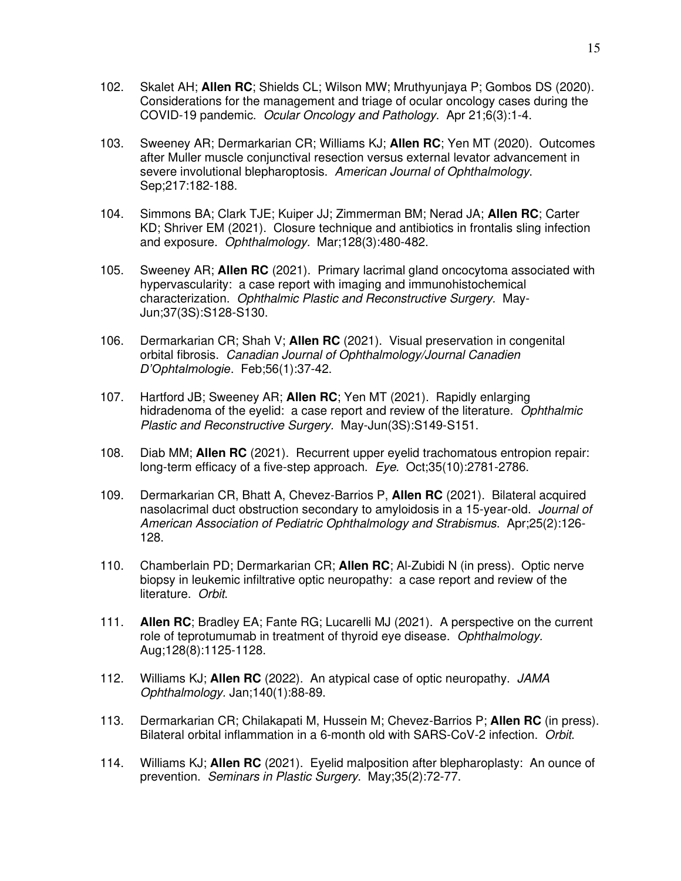- 102. Skalet AH; **Allen RC**; Shields CL; Wilson MW; Mruthyunjaya P; Gombos DS (2020). Considerations for the management and triage of ocular oncology cases during the COVID-19 pandemic. *Ocular Oncology and Pathology*. Apr 21;6(3):1-4.
- 103. Sweeney AR; Dermarkarian CR; Williams KJ; **Allen RC**; Yen MT (2020). Outcomes after Muller muscle conjunctival resection versus external levator advancement in severe involutional blepharoptosis. *American Journal of Ophthalmology*. Sep;217:182-188.
- 104. Simmons BA; Clark TJE; Kuiper JJ; Zimmerman BM; Nerad JA; **Allen RC**; Carter KD; Shriver EM (2021). Closure technique and antibiotics in frontalis sling infection and exposure. *Ophthalmology.* Mar;128(3):480-482.
- 105. Sweeney AR; **Allen RC** (2021). Primary lacrimal gland oncocytoma associated with hypervascularity: a case report with imaging and immunohistochemical characterization. *Ophthalmic Plastic and Reconstructive Surgery.* May-Jun;37(3S):S128-S130.
- 106. Dermarkarian CR; Shah V; **Allen RC** (2021). Visual preservation in congenital orbital fibrosis. *Canadian Journal of Ophthalmology/Journal Canadien D'Ophtalmologie*. Feb;56(1):37-42.
- 107. Hartford JB; Sweeney AR; **Allen RC**; Yen MT (2021). Rapidly enlarging hidradenoma of the eyelid: a case report and review of the literature. *Ophthalmic Plastic and Reconstructive Surgery.* May-Jun(3S):S149-S151.
- 108. Diab MM; **Allen RC** (2021). Recurrent upper eyelid trachomatous entropion repair: long-term efficacy of a five-step approach. *Eye.* Oct;35(10):2781-2786.
- 109. Dermarkarian CR, Bhatt A, Chevez-Barrios P, **Allen RC** (2021). Bilateral acquired nasolacrimal duct obstruction secondary to amyloidosis in a 15-year-old. *Journal of American Association of Pediatric Ophthalmology and Strabismus*. Apr;25(2):126- 128.
- 110. Chamberlain PD; Dermarkarian CR; **Allen RC**; Al-Zubidi N (in press). Optic nerve biopsy in leukemic infiltrative optic neuropathy: a case report and review of the literature. *Orbit*.
- 111. **Allen RC**; Bradley EA; Fante RG; Lucarelli MJ (2021). A perspective on the current role of teprotumumab in treatment of thyroid eye disease. *Ophthalmology.*  Aug;128(8):1125-1128.
- 112. Williams KJ; **Allen RC** (2022). An atypical case of optic neuropathy. *JAMA Ophthalmology.* Jan;140(1):88-89.
- 113. Dermarkarian CR; Chilakapati M, Hussein M; Chevez-Barrios P; **Allen RC** (in press). Bilateral orbital inflammation in a 6-month old with SARS-CoV-2 infection. *Orbit*.
- 114. Williams KJ; **Allen RC** (2021). Eyelid malposition after blepharoplasty: An ounce of prevention. *Seminars in Plastic Surgery*. May;35(2):72-77.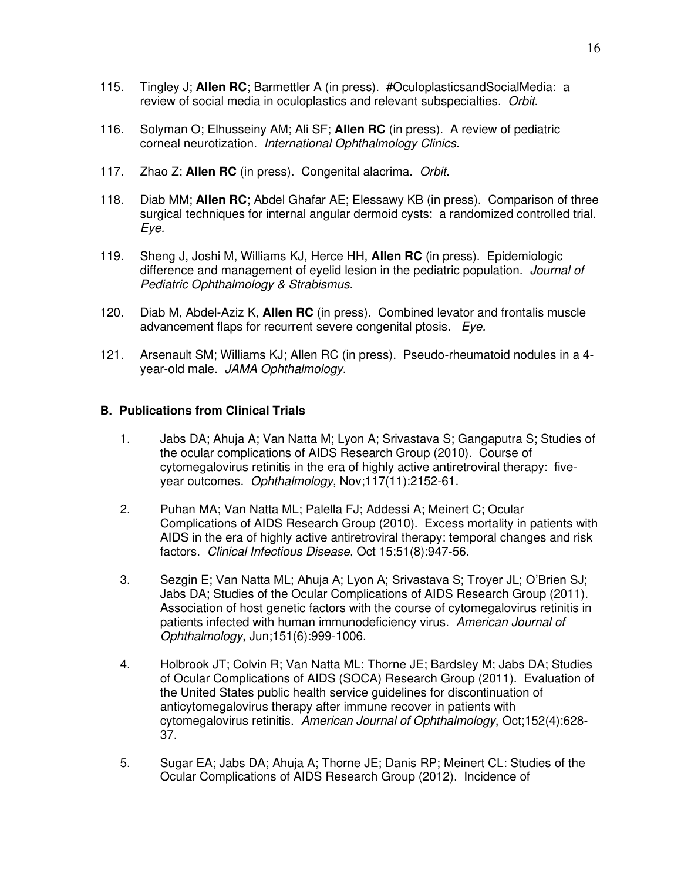- 115. Tingley J; **Allen RC**; Barmettler A (in press). #OculoplasticsandSocialMedia: a review of social media in oculoplastics and relevant subspecialties. *Orbit*.
- 116. Solyman O; Elhusseiny AM; Ali SF; **Allen RC** (in press). A review of pediatric corneal neurotization. *International Ophthalmology Clinics*.
- 117. Zhao Z; **Allen RC** (in press). Congenital alacrima. *Orbit*.
- 118. Diab MM; **Allen RC**; Abdel Ghafar AE; Elessawy KB (in press). Comparison of three surgical techniques for internal angular dermoid cysts: a randomized controlled trial. *Eye.*
- 119. Sheng J, Joshi M, Williams KJ, Herce HH, **Allen RC** (in press). Epidemiologic difference and management of eyelid lesion in the pediatric population. *Journal of Pediatric Ophthalmology & Strabismus*.
- 120. Diab M, Abdel-Aziz K, **Allen RC** (in press). Combined levator and frontalis muscle advancement flaps for recurrent severe congenital ptosis. *Eye.*
- 121. Arsenault SM; Williams KJ; Allen RC (in press). Pseudo-rheumatoid nodules in a 4 year-old male. *JAMA Ophthalmology*.

### **B. Publications from Clinical Trials**

- 1. Jabs DA; Ahuja A; Van Natta M; Lyon A; Srivastava S; Gangaputra S; Studies of the ocular complications of AIDS Research Group (2010). Course of cytomegalovirus retinitis in the era of highly active antiretroviral therapy: fiveyear outcomes. *Ophthalmology*, Nov;117(11):2152-61.
- 2. Puhan MA; Van Natta ML; Palella FJ; Addessi A; Meinert C; Ocular Complications of AIDS Research Group (2010). Excess mortality in patients with AIDS in the era of highly active antiretroviral therapy: temporal changes and risk factors. *Clinical Infectious Disease*, Oct 15;51(8):947-56.
- 3. Sezgin E; Van Natta ML; Ahuja A; Lyon A; Srivastava S; Troyer JL; O'Brien SJ; Jabs DA; Studies of the Ocular Complications of AIDS Research Group (2011). Association of host genetic factors with the course of cytomegalovirus retinitis in patients infected with human immunodeficiency virus. *American Journal of Ophthalmology*, Jun;151(6):999-1006.
- 4. Holbrook JT; Colvin R; Van Natta ML; Thorne JE; Bardsley M; Jabs DA; Studies of Ocular Complications of AIDS (SOCA) Research Group (2011). Evaluation of the United States public health service guidelines for discontinuation of anticytomegalovirus therapy after immune recover in patients with cytomegalovirus retinitis. *American Journal of Ophthalmology*, Oct;152(4):628- 37.
- 5. Sugar EA; Jabs DA; Ahuja A; Thorne JE; Danis RP; Meinert CL: Studies of the Ocular Complications of AIDS Research Group (2012). Incidence of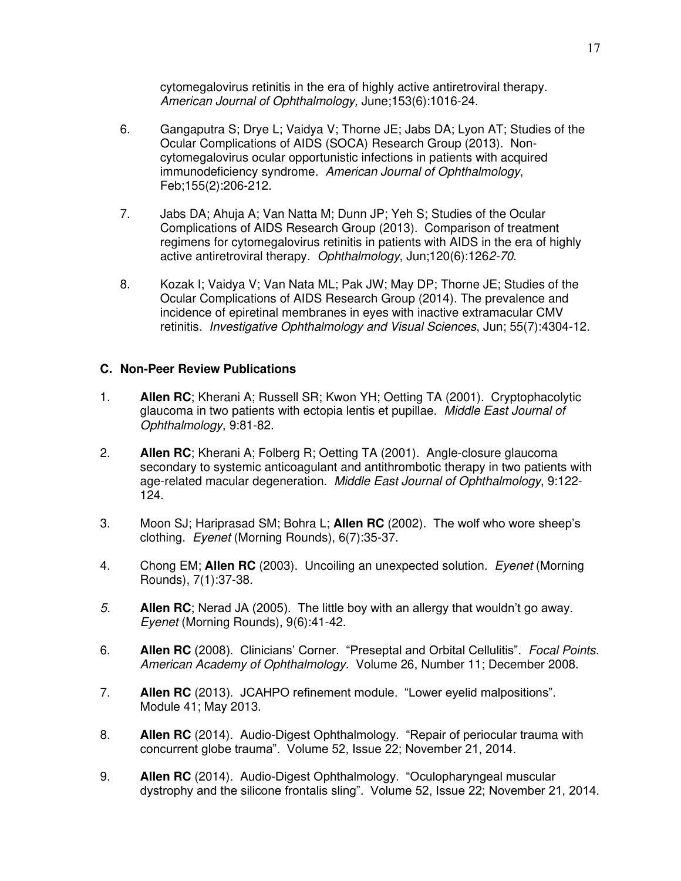cytomegalovirus retinitis in the era of highly active antiretroviral therapy. *American Journal of Ophthalmology,* June;153(6):1016-24.

- 6. Gangaputra S; Drye L; Vaidya V; Thorne JE; Jabs DA; Lyon AT; Studies of the Ocular Complications of AIDS (SOCA) Research Group (2013). Noncytomegalovirus ocular opportunistic infections in patients with acquired immunodeficiency syndrome. *American Journal of Ophthalmology*, Feb;155(2):206-212.
- 7. Jabs DA; Ahuja A; Van Natta M; Dunn JP; Yeh S; Studies of the Ocular Complications of AIDS Research Group (2013). Comparison of treatment regimens for cytomegalovirus retinitis in patients with AIDS in the era of highly active antiretroviral therapy. *Ophthalmology*, Jun;120(6):126*2-70.*
- 8. Kozak I; Vaidya V; Van Nata ML; Pak JW; May DP; Thorne JE; Studies of the Ocular Complications of AIDS Research Group (2014). The prevalence and incidence of epiretinal membranes in eyes with inactive extramacular CMV retinitis. *Investigative Ophthalmology and Visual Sciences*, Jun; 55(7):4304-12.

# **C. Non-Peer Review Publications**

- 1. **Allen RC**; Kherani A; Russell SR; Kwon YH; Oetting TA (2001). Cryptophacolytic glaucoma in two patients with ectopia lentis et pupillae. *Middle East Journal of Ophthalmology*, 9:81-82.
- 2. **Allen RC**; Kherani A; Folberg R; Oetting TA (2001). Angle-closure glaucoma secondary to systemic anticoagulant and antithrombotic therapy in two patients with age-related macular degeneration. *Middle East Journal of Ophthalmology*, 9:122- 124.
- 3. Moon SJ; Hariprasad SM; Bohra L; **Allen RC** (2002). The wolf who wore sheep's clothing. *Eyenet* (Morning Rounds), 6(7):35-37.
- 4. Chong EM; **Allen RC** (2003). Uncoiling an unexpected solution. *Eyenet* (Morning Rounds), 7(1):37-38.
- *5.* **Allen RC**; Nerad JA (2005). The little boy with an allergy that wouldn't go away. *Eyenet* (Morning Rounds), 9(6):41-42.
- 6. **Allen RC** (2008). Clinicians' Corner. "Preseptal and Orbital Cellulitis". *Focal Points. American Academy of Ophthalmology.* Volume 26, Number 11; December 2008.
- 7. **Allen RC** (2013). JCAHPO refinement module. "Lower eyelid malpositions". Module 41; May 2013.
- 8. **Allen RC** (2014). Audio-Digest Ophthalmology. "Repair of periocular trauma with concurrent globe trauma". Volume 52, Issue 22; November 21, 2014.
- 9. **Allen RC** (2014). Audio-Digest Ophthalmology. "Oculopharyngeal muscular dystrophy and the silicone frontalis sling". Volume 52, Issue 22; November 21, 2014.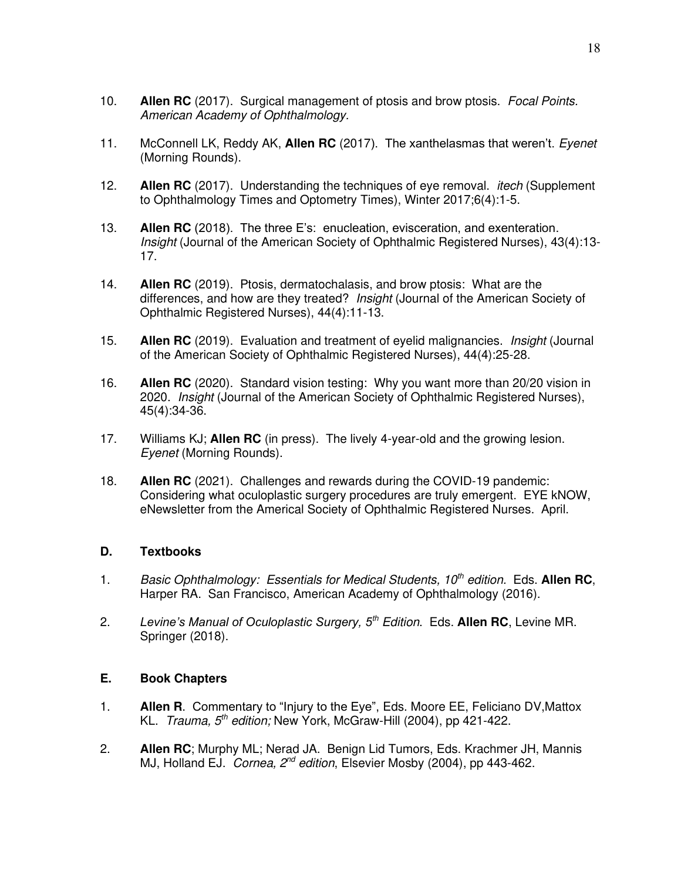- 10. **Allen RC** (2017). Surgical management of ptosis and brow ptosis. *Focal Points. American Academy of Ophthalmology.*
- 11. McConnell LK, Reddy AK, **Allen RC** (2017). The xanthelasmas that weren't. *Eyenet* (Morning Rounds).
- 12. **Allen RC** (2017). Understanding the techniques of eye removal. *itech* (Supplement to Ophthalmology Times and Optometry Times), Winter 2017;6(4):1-5.
- 13. **Allen RC** (2018). The three E's: enucleation, evisceration, and exenteration. *Insight* (Journal of the American Society of Ophthalmic Registered Nurses), 43(4):13- 17.
- 14. **Allen RC** (2019). Ptosis, dermatochalasis, and brow ptosis: What are the differences, and how are they treated? *Insight* (Journal of the American Society of Ophthalmic Registered Nurses), 44(4):11-13.
- 15. **Allen RC** (2019). Evaluation and treatment of eyelid malignancies. *Insight* (Journal of the American Society of Ophthalmic Registered Nurses), 44(4):25-28.
- 16. **Allen RC** (2020). Standard vision testing: Why you want more than 20/20 vision in 2020. *Insight* (Journal of the American Society of Ophthalmic Registered Nurses), 45(4):34-36.
- 17. Williams KJ; **Allen RC** (in press). The lively 4-year-old and the growing lesion. *Eyenet* (Morning Rounds).
- 18. **Allen RC** (2021). Challenges and rewards during the COVID-19 pandemic: Considering what oculoplastic surgery procedures are truly emergent. EYE kNOW, eNewsletter from the Americal Society of Ophthalmic Registered Nurses. April.

# **D. Textbooks**

- 1. *Basic Ophthalmology: Essentials for Medical Students, 10th edition.* Eds. **Allen RC**, Harper RA. San Francisco, American Academy of Ophthalmology (2016).
- 2. *Levine's Manual of Oculoplastic Surgery, 5th Edition*. Eds. **Allen RC**, Levine MR. Springer (2018).

#### **E. Book Chapters**

- 1. **Allen R**. Commentary to "Injury to the Eye", Eds. Moore EE, Feliciano DV,Mattox KL. *Trauma, 5th edition;* New York, McGraw-Hill (2004), pp 421-422.
- 2. **Allen RC**; Murphy ML; Nerad JA. Benign Lid Tumors, Eds. Krachmer JH, Mannis MJ, Holland EJ. *Cornea, 2nd edition*, Elsevier Mosby (2004), pp 443-462.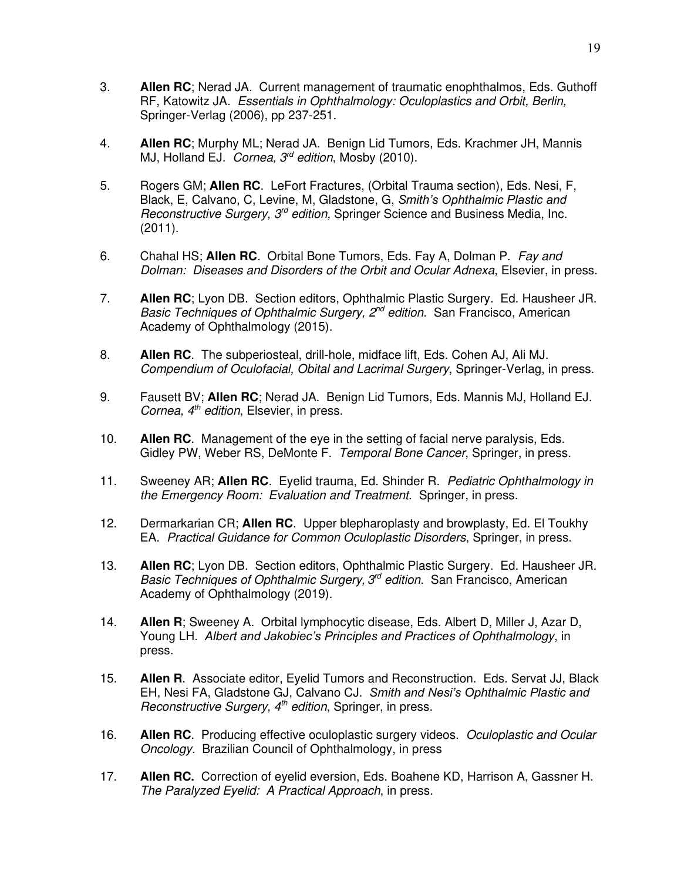- 3. **Allen RC**; Nerad JA. Current management of traumatic enophthalmos, Eds. Guthoff RF, Katowitz JA. *Essentials in Ophthalmology: Oculoplastics and Orbit, Berlin,* Springer-Verlag (2006), pp 237-251.
- 4. **Allen RC**; Murphy ML; Nerad JA. Benign Lid Tumors, Eds. Krachmer JH, Mannis MJ, Holland EJ. *Cornea, 3rd edition*, Mosby (2010).
- 5. Rogers GM; **Allen RC**. LeFort Fractures, (Orbital Trauma section), Eds. Nesi, F, Black, E, Calvano, C, Levine, M, Gladstone, G, *Smith's Ophthalmic Plastic and Reconstructive Surgery, 3rd edition,* Springer Science and Business Media, Inc. (2011).
- 6. Chahal HS; **Allen RC**. Orbital Bone Tumors, Eds. Fay A, Dolman P. *Fay and Dolman: Diseases and Disorders of the Orbit and Ocular Adnexa*, Elsevier, in press.
- 7. **Allen RC**; Lyon DB. Section editors, Ophthalmic Plastic Surgery. Ed. Hausheer JR. *Basic Techniques of Ophthalmic Surgery, 2nd edition*. San Francisco, American Academy of Ophthalmology (2015).
- 8. **Allen RC**. The subperiosteal, drill-hole, midface lift, Eds. Cohen AJ, Ali MJ. *Compendium of Oculofacial, Obital and Lacrimal Surgery*, Springer-Verlag, in press.
- 9. Fausett BV; **Allen RC**; Nerad JA. Benign Lid Tumors, Eds. Mannis MJ, Holland EJ. *Cornea, 4th edition*, Elsevier, in press.
- 10. **Allen RC**. Management of the eye in the setting of facial nerve paralysis, Eds. Gidley PW, Weber RS, DeMonte F. *Temporal Bone Cancer*, Springer, in press.
- 11. Sweeney AR; **Allen RC**. Eyelid trauma, Ed. Shinder R. *Pediatric Ophthalmology in the Emergency Room: Evaluation and Treatment.* Springer, in press.
- 12. Dermarkarian CR; **Allen RC**. Upper blepharoplasty and browplasty, Ed. El Toukhy EA. *Practical Guidance for Common Oculoplastic Disorders*, Springer, in press.
- 13. **Allen RC**; Lyon DB. Section editors, Ophthalmic Plastic Surgery. Ed. Hausheer JR. Basic Techniques of Ophthalmic Surgery, 3<sup>rd</sup> edition. San Francisco, American Academy of Ophthalmology (2019).
- 14. **Allen R**; Sweeney A. Orbital lymphocytic disease, Eds. Albert D, Miller J, Azar D, Young LH. *Albert and Jakobiec's Principles and Practices of Ophthalmology*, in press.
- 15. **Allen R**. Associate editor, Eyelid Tumors and Reconstruction. Eds. Servat JJ, Black EH, Nesi FA, Gladstone GJ, Calvano CJ. *Smith and Nesi's Ophthalmic Plastic and Reconstructive Surgery, 4th edition*, Springer, in press.
- 16. **Allen RC**. Producing effective oculoplastic surgery videos. *Oculoplastic and Ocular Oncology.* Brazilian Council of Ophthalmology, in press
- 17. **Allen RC.** Correction of eyelid eversion, Eds. Boahene KD, Harrison A, Gassner H. *The Paralyzed Eyelid: A Practical Approach*, in press.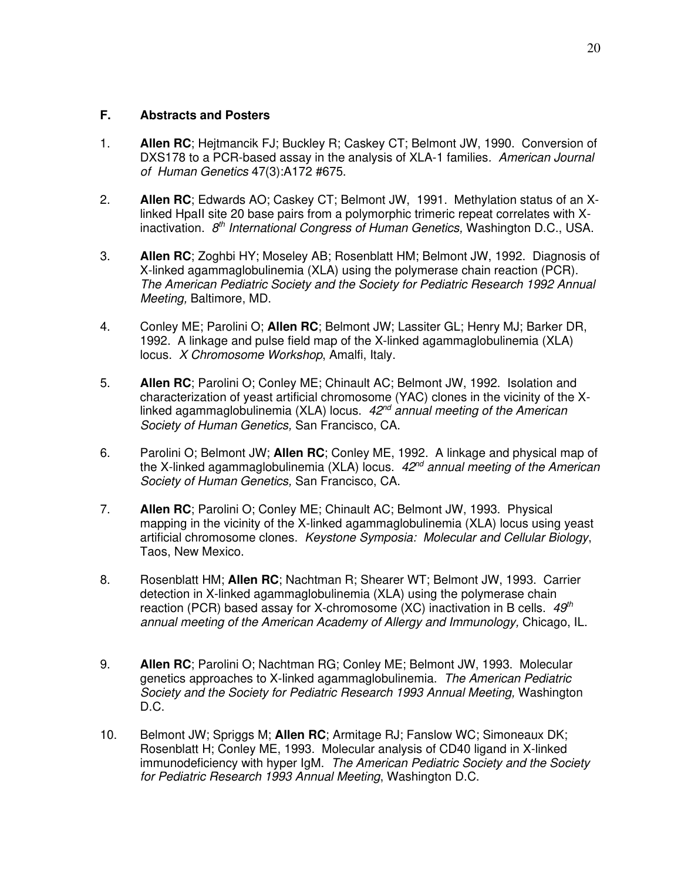### **F. Abstracts and Posters**

- 1. **Allen RC**; Hejtmancik FJ; Buckley R; Caskey CT; Belmont JW, 1990. Conversion of DXS178 to a PCR-based assay in the analysis of XLA-1 families*. American Journal of Human Genetics* 47(3):A172 #675.
- 2. **Allen RC**; Edwards AO; Caskey CT; Belmont JW, 1991. Methylation status of an Xlinked HpaII site 20 base pairs from a polymorphic trimeric repeat correlates with Xinactivation. *8 th International Congress of Human Genetics,* Washington D.C., USA.
- 3. **Allen RC**; Zoghbi HY; Moseley AB; Rosenblatt HM; Belmont JW, 1992. Diagnosis of X-linked agammaglobulinemia (XLA) using the polymerase chain reaction (PCR). *The American Pediatric Society and the Society for Pediatric Research 1992 Annual Meeting,* Baltimore, MD.
- 4. Conley ME; Parolini O; **Allen RC**; Belmont JW; Lassiter GL; Henry MJ; Barker DR, 1992. A linkage and pulse field map of the X-linked agammaglobulinemia (XLA) locus. *X Chromosome Workshop*, Amalfi, Italy.
- 5. **Allen RC**; Parolini O; Conley ME; Chinault AC; Belmont JW, 1992. Isolation and characterization of yeast artificial chromosome (YAC) clones in the vicinity of the Xlinked agammaglobulinemia (XLA) locus. *42nd annual meeting of the American Society of Human Genetics,* San Francisco, CA.
- 6. Parolini O; Belmont JW; **Allen RC**; Conley ME, 1992. A linkage and physical map of the X-linked agammaglobulinemia (XLA) locus. *42nd annual meeting of the American Society of Human Genetics,* San Francisco, CA.
- 7. **Allen RC**; Parolini O; Conley ME; Chinault AC; Belmont JW, 1993. Physical mapping in the vicinity of the X-linked agammaglobulinemia (XLA) locus using yeast artificial chromosome clones. *Keystone Symposia: Molecular and Cellular Biology*, Taos, New Mexico.
- 8. Rosenblatt HM; **Allen RC**; Nachtman R; Shearer WT; Belmont JW, 1993. Carrier detection in X-linked agammaglobulinemia (XLA) using the polymerase chain reaction (PCR) based assay for X-chromosome (XC) inactivation in B cells. *49th annual meeting of the American Academy of Allergy and Immunology,* Chicago, IL.
- 9. **Allen RC**; Parolini O; Nachtman RG; Conley ME; Belmont JW, 1993. Molecular genetics approaches to X-linked agammaglobulinemia. *The American Pediatric Society and the Society for Pediatric Research 1993 Annual Meeting,* Washington D.C.
- 10. Belmont JW; Spriggs M; **Allen RC**; Armitage RJ; Fanslow WC; Simoneaux DK; Rosenblatt H; Conley ME, 1993. Molecular analysis of CD40 ligand in X-linked immunodeficiency with hyper IgM. *The American Pediatric Society and the Society for Pediatric Research 1993 Annual Meeting*, Washington D.C.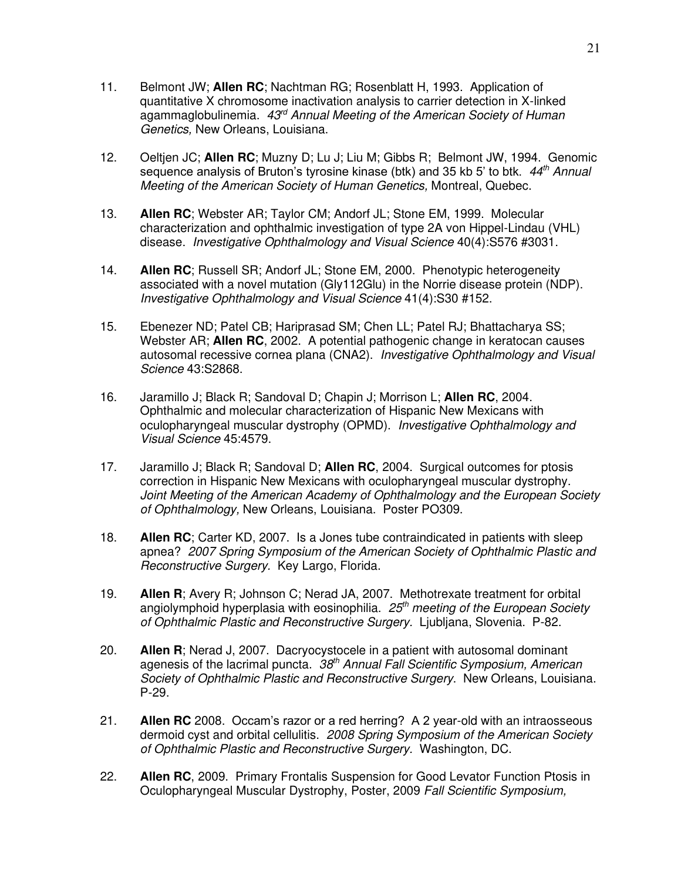- 11. Belmont JW; **Allen RC**; Nachtman RG; Rosenblatt H, 1993. Application of quantitative X chromosome inactivation analysis to carrier detection in X-linked agammaglobulinemia. *43rd Annual Meeting of the American Society of Human Genetics,* New Orleans, Louisiana.
- 12. Oeltjen JC; **Allen RC**; Muzny D; Lu J; Liu M; Gibbs R; Belmont JW, 1994. Genomic sequence analysis of Bruton's tyrosine kinase (btk) and 35 kb 5' to btk. *44th Annual Meeting of the American Society of Human Genetics,* Montreal, Quebec.
- 13. **Allen RC**; Webster AR; Taylor CM; Andorf JL; Stone EM, 1999. Molecular characterization and ophthalmic investigation of type 2A von Hippel-Lindau (VHL) disease. *Investigative Ophthalmology and Visual Science* 40(4):S576 #3031.
- 14. **Allen RC**; Russell SR; Andorf JL; Stone EM, 2000. Phenotypic heterogeneity associated with a novel mutation (Gly112Glu) in the Norrie disease protein (NDP). *Investigative Ophthalmology and Visual Science* 41(4):S30 #152.
- 15. Ebenezer ND; Patel CB; Hariprasad SM; Chen LL; Patel RJ; Bhattacharya SS; Webster AR; **Allen RC**, 2002. A potential pathogenic change in keratocan causes autosomal recessive cornea plana (CNA2). *Investigative Ophthalmology and Visual Science* 43:S2868.
- 16. Jaramillo J; Black R; Sandoval D; Chapin J; Morrison L; **Allen RC**, 2004. Ophthalmic and molecular characterization of Hispanic New Mexicans with oculopharyngeal muscular dystrophy (OPMD). *Investigative Ophthalmology and Visual Science* 45:4579.
- 17. Jaramillo J; Black R; Sandoval D; **Allen RC**, 2004. Surgical outcomes for ptosis correction in Hispanic New Mexicans with oculopharyngeal muscular dystrophy. *Joint Meeting of the American Academy of Ophthalmology and the European Society of Ophthalmology,* New Orleans, Louisiana. Poster PO309.
- 18. **Allen RC**; Carter KD, 2007. Is a Jones tube contraindicated in patients with sleep apnea? *2007 Spring Symposium of the American Society of Ophthalmic Plastic and Reconstructive Surgery.* Key Largo, Florida.
- 19. **Allen R**; Avery R; Johnson C; Nerad JA, 2007. Methotrexate treatment for orbital angiolymphoid hyperplasia with eosinophilia. *25th meeting of the European Society of Ophthalmic Plastic and Reconstructive Surgery.* Ljubljana, Slovenia. P-82.
- 20. **Allen R**; Nerad J, 2007. Dacryocystocele in a patient with autosomal dominant agenesis of the lacrimal puncta. *38th Annual Fall Scientific Symposium, American Society of Ophthalmic Plastic and Reconstructive Surgery*. New Orleans, Louisiana. P-29.
- 21. **Allen RC** 2008. Occam's razor or a red herring? A 2 year-old with an intraosseous dermoid cyst and orbital cellulitis. *2008 Spring Symposium of the American Society of Ophthalmic Plastic and Reconstructive Surgery.* Washington, DC.
- 22. **Allen RC**, 2009. Primary Frontalis Suspension for Good Levator Function Ptosis in Oculopharyngeal Muscular Dystrophy, Poster, 2009 *Fall Scientific Symposium,*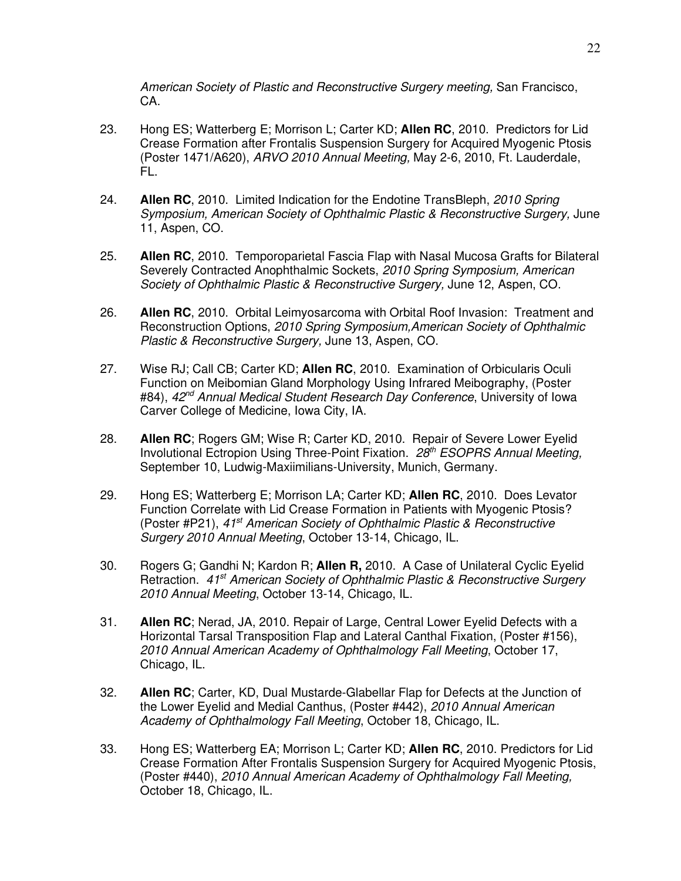*American Society of Plastic and Reconstructive Surgery meeting,* San Francisco, CA.

- 23. Hong ES; Watterberg E; Morrison L; Carter KD; **Allen RC**, 2010. Predictors for Lid Crease Formation after Frontalis Suspension Surgery for Acquired Myogenic Ptosis (Poster 1471/A620), *ARVO 2010 Annual Meeting,* May 2-6, 2010, Ft. Lauderdale, FL.
- 24. **Allen RC**, 2010. Limited Indication for the Endotine TransBleph, *2010 Spring Symposium, American Society of Ophthalmic Plastic & Reconstructive Surgery,* June 11, Aspen, CO.
- 25. **Allen RC**, 2010. Temporoparietal Fascia Flap with Nasal Mucosa Grafts for Bilateral Severely Contracted Anophthalmic Sockets, *2010 Spring Symposium, American Society of Ophthalmic Plastic & Reconstructive Surgery,* June 12, Aspen, CO.
- 26. **Allen RC**, 2010. Orbital Leimyosarcoma with Orbital Roof Invasion: Treatment and Reconstruction Options, *2010 Spring Symposium,American Society of Ophthalmic Plastic & Reconstructive Surgery,* June 13, Aspen, CO.
- 27. Wise RJ; Call CB; Carter KD; **Allen RC**, 2010.Examination of Orbicularis Oculi Function on Meibomian Gland Morphology Using Infrared Meibography, (Poster #84), *42nd Annual Medical Student Research Day Conference*, University of Iowa Carver College of Medicine, Iowa City, IA.
- 28. **Allen RC**; Rogers GM; Wise R; Carter KD, 2010. Repair of Severe Lower Eyelid Involutional Ectropion Using Three-Point Fixation. *28th ESOPRS Annual Meeting,* September 10, Ludwig-Maxiimilians-University, Munich, Germany.
- 29. Hong ES; Watterberg E; Morrison LA; Carter KD; **Allen RC**, 2010. Does Levator Function Correlate with Lid Crease Formation in Patients with Myogenic Ptosis? (Poster #P21), *41st American Society of Ophthalmic Plastic & Reconstructive Surgery 2010 Annual Meeting*, October 13-14, Chicago, IL.
- 30. Rogers G; Gandhi N; Kardon R; **Allen R,** 2010. A Case of Unilateral Cyclic Eyelid Retraction. *41st American Society of Ophthalmic Plastic & Reconstructive Surgery 2010 Annual Meeting*, October 13-14, Chicago, IL.
- 31. **Allen RC**; Nerad, JA, 2010. Repair of Large, Central Lower Eyelid Defects with a Horizontal Tarsal Transposition Flap and Lateral Canthal Fixation, (Poster #156), *2010 Annual American Academy of Ophthalmology Fall Meeting*, October 17, Chicago, IL.
- 32. **Allen RC**; Carter, KD, Dual Mustarde-Glabellar Flap for Defects at the Junction of the Lower Eyelid and Medial Canthus, (Poster #442), *2010 Annual American Academy of Ophthalmology Fall Meeting*, October 18, Chicago, IL.
- 33. Hong ES; Watterberg EA; Morrison L; Carter KD; **Allen RC**, 2010. Predictors for Lid Crease Formation After Frontalis Suspension Surgery for Acquired Myogenic Ptosis, (Poster #440), *2010 Annual American Academy of Ophthalmology Fall Meeting,*  October 18, Chicago, IL.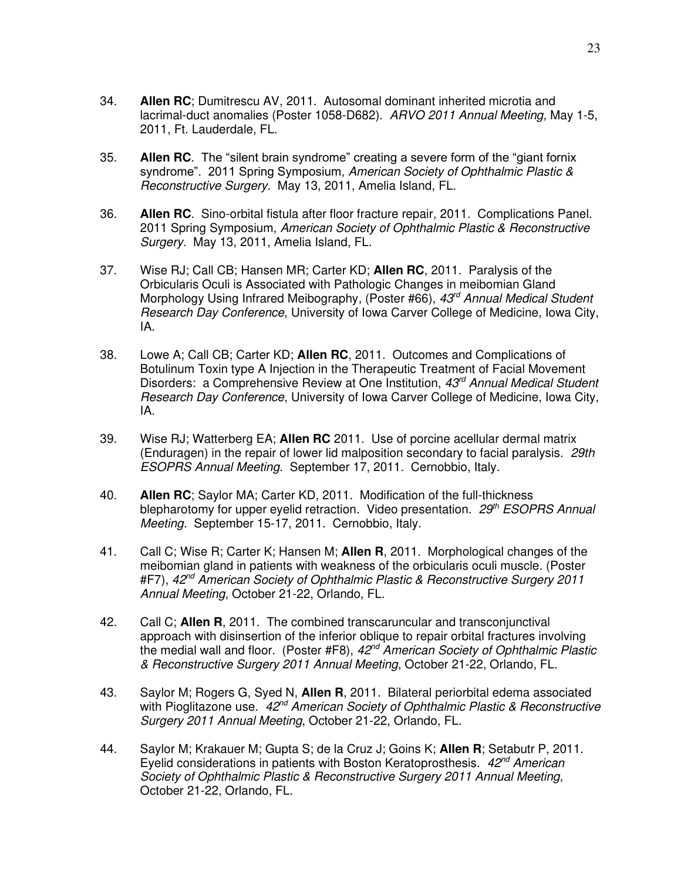- 34. **Allen RC**; Dumitrescu AV, 2011. Autosomal dominant inherited microtia and lacrimal-duct anomalies (Poster 1058-D682). *ARVO 2011 Annual Meeting,* May 1-5, 2011, Ft. Lauderdale, FL.
- 35. **Allen RC**. The "silent brain syndrome" creating a severe form of the "giant fornix syndrome". 2011 Spring Symposium, *American Society of Ophthalmic Plastic & Reconstructive Surgery.* May 13, 2011, Amelia Island, FL.
- 36. **Allen RC**. Sino-orbital fistula after floor fracture repair, 2011. Complications Panel. 2011 Spring Symposium, *American Society of Ophthalmic Plastic & Reconstructive Surgery.* May 13, 2011, Amelia Island, FL.
- 37. Wise RJ; Call CB; Hansen MR; Carter KD; **Allen RC**, 2011. Paralysis of the Orbicularis Oculi is Associated with Pathologic Changes in meibomian Gland Morphology Using Infrared Meibography*,* (Poster #66), *43rd Annual Medical Student Research Day Conference*, University of Iowa Carver College of Medicine, Iowa City, IA.
- 38. Lowe A; Call CB; Carter KD; **Allen RC**, 2011. Outcomes and Complications of Botulinum Toxin type A Injection in the Therapeutic Treatment of Facial Movement Disorders: a Comprehensive Review at One Institution, *43rd Annual Medical Student Research Day Conference*, University of Iowa Carver College of Medicine, Iowa City, IA.
- 39. Wise RJ; Watterberg EA; **Allen RC** 2011. Use of porcine acellular dermal matrix (Enduragen) in the repair of lower lid malposition secondary to facial paralysis. *29th ESOPRS Annual Meeting.* September 17, 2011. Cernobbio, Italy.
- 40. **Allen RC**; Saylor MA; Carter KD, 2011. Modification of the full-thickness blepharotomy for upper eyelid retraction. Video presentation. *29th ESOPRS Annual Meeting.* September 15-17, 2011. Cernobbio, Italy.
- 41. Call C; Wise R; Carter K; Hansen M; **Allen R**, 2011. Morphological changes of the meibomian gland in patients with weakness of the orbicularis oculi muscle. (Poster #F7), *42nd American Society of Ophthalmic Plastic & Reconstructive Surgery 2011 Annual Meeting*, October 21-22, Orlando, FL.
- 42. Call C; **Allen R**, 2011. The combined transcaruncular and transconjunctival approach with disinsertion of the inferior oblique to repair orbital fractures involving the medial wall and floor. (Poster #F8), *42nd American Society of Ophthalmic Plastic & Reconstructive Surgery 2011 Annual Meeting*, October 21-22, Orlando, FL.
- 43. Saylor M; Rogers G, Syed N, **Allen R**, 2011. Bilateral periorbital edema associated with Pioglitazone use. *42nd American Society of Ophthalmic Plastic & Reconstructive Surgery 2011 Annual Meeting*, October 21-22, Orlando, FL.
- 44. Saylor M; Krakauer M; Gupta S; de la Cruz J; Goins K; **Allen R**; Setabutr P, 2011. Eyelid considerations in patients with Boston Keratoprosthesis. *42nd American Society of Ophthalmic Plastic & Reconstructive Surgery 2011 Annual Meeting*, October 21-22, Orlando, FL.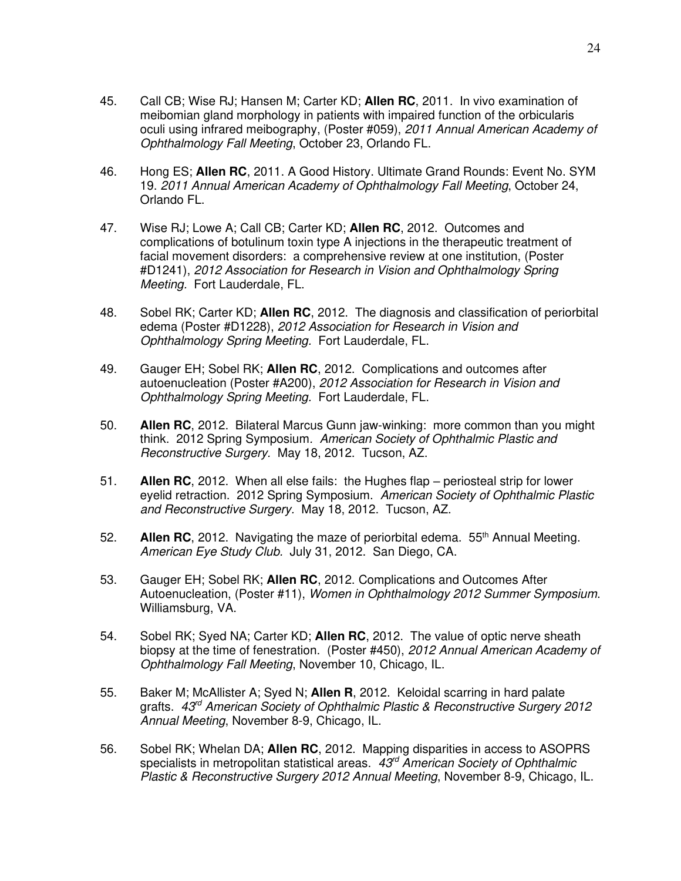- 45. Call CB; Wise RJ; Hansen M; Carter KD; **Allen RC**, 2011. In vivo examination of meibomian gland morphology in patients with impaired function of the orbicularis oculi using infrared meibography, (Poster #059), *2011 Annual American Academy of Ophthalmology Fall Meeting*, October 23, Orlando FL.
- 46. Hong ES; **Allen RC**, 2011. A Good History. Ultimate Grand Rounds: Event No. SYM 19. *2011 Annual American Academy of Ophthalmology Fall Meeting*, October 24, Orlando FL.
- 47. Wise RJ; Lowe A; Call CB; Carter KD; **Allen RC**, 2012. Outcomes and complications of botulinum toxin type A injections in the therapeutic treatment of facial movement disorders: a comprehensive review at one institution, (Poster #D1241), *2012 Association for Research in Vision and Ophthalmology Spring Meeting.* Fort Lauderdale, FL.
- 48. Sobel RK; Carter KD; **Allen RC**, 2012. The diagnosis and classification of periorbital edema (Poster #D1228), *2012 Association for Research in Vision and Ophthalmology Spring Meeting.* Fort Lauderdale, FL.
- 49. Gauger EH; Sobel RK; **Allen RC**, 2012. Complications and outcomes after autoenucleation (Poster #A200), *2012 Association for Research in Vision and Ophthalmology Spring Meeting.* Fort Lauderdale, FL.
- 50. **Allen RC**, 2012. Bilateral Marcus Gunn jaw-winking: more common than you might think. 2012 Spring Symposium*. American Society of Ophthalmic Plastic and Reconstructive Surgery.* May 18, 2012. Tucson, AZ.
- 51. **Allen RC**, 2012. When all else fails: the Hughes flap periosteal strip for lower eyelid retraction. 2012 Spring Symposium. *American Society of Ophthalmic Plastic and Reconstructive Surgery.* May 18, 2012. Tucson, AZ.
- 52. **Allen RC**, 2012. Navigating the maze of periorbital edema. 55th Annual Meeting. *American Eye Study Club.* July 31, 2012. San Diego, CA.
- 53. Gauger EH; Sobel RK; **Allen RC**, 2012. Complications and Outcomes After Autoenucleation, (Poster #11), *Women in Ophthalmology 2012 Summer Symposium*. Williamsburg, VA.
- 54. Sobel RK; Syed NA; Carter KD; **Allen RC**, 2012. The value of optic nerve sheath biopsy at the time of fenestration. (Poster #450), *2012 Annual American Academy of Ophthalmology Fall Meeting*, November 10, Chicago, IL.
- 55. Baker M; McAllister A; Syed N; **Allen R**, 2012. Keloidal scarring in hard palate grafts. *43rd American Society of Ophthalmic Plastic & Reconstructive Surgery 2012 Annual Meeting*, November 8-9, Chicago, IL.
- 56. Sobel RK; Whelan DA; **Allen RC**, 2012. Mapping disparities in access to ASOPRS specialists in metropolitan statistical areas. *43rd American Society of Ophthalmic Plastic & Reconstructive Surgery 2012 Annual Meeting*, November 8-9, Chicago, IL.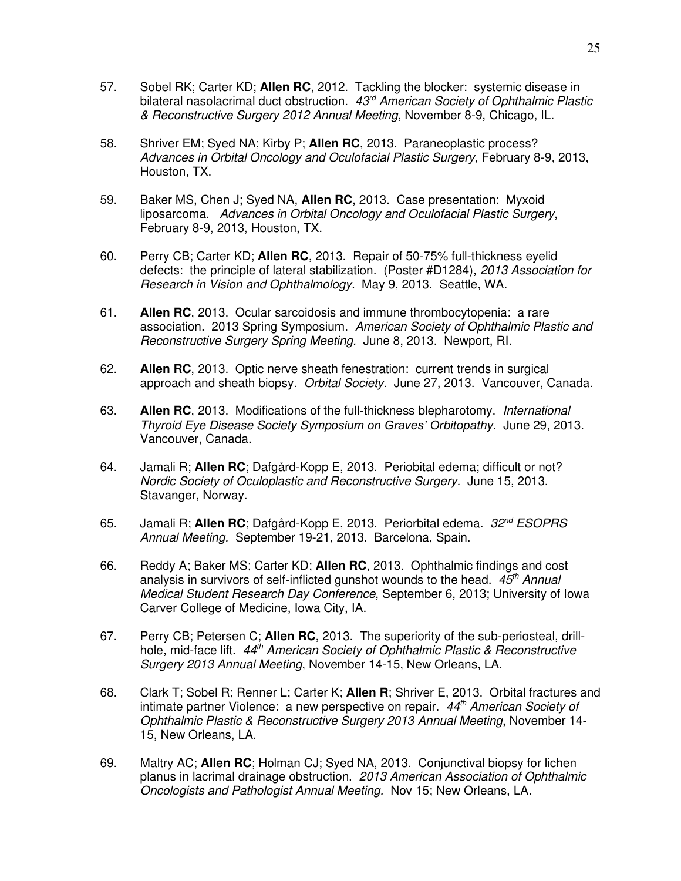- 57. Sobel RK; Carter KD; **Allen RC**, 2012. Tackling the blocker: systemic disease in bilateral nasolacrimal duct obstruction. *43rd American Society of Ophthalmic Plastic & Reconstructive Surgery 2012 Annual Meeting*, November 8-9, Chicago, IL.
- 58. Shriver EM; Syed NA; Kirby P; **Allen RC**, 2013. Paraneoplastic process? *Advances in Orbital Oncology and Oculofacial Plastic Surgery*, February 8-9, 2013, Houston, TX.
- 59. Baker MS, Chen J; Syed NA, **Allen RC**, 2013. Case presentation: Myxoid liposarcoma. *Advances in Orbital Oncology and Oculofacial Plastic Surgery*, February 8-9, 2013, Houston, TX.
- 60. Perry CB; Carter KD; **Allen RC**, 2013. Repair of 50-75% full-thickness eyelid defects: the principle of lateral stabilization. (Poster #D1284), *2013 Association for Research in Vision and Ophthalmology.* May 9, 2013. Seattle, WA.
- 61. **Allen RC**, 2013. Ocular sarcoidosis and immune thrombocytopenia: a rare association. 2013 Spring Symposium. *American Society of Ophthalmic Plastic and Reconstructive Surgery Spring Meeting.* June 8, 2013. Newport, RI.
- 62. **Allen RC**, 2013. Optic nerve sheath fenestration: current trends in surgical approach and sheath biopsy. *Orbital Society.* June 27, 2013. Vancouver, Canada.
- 63. **Allen RC**, 2013. Modifications of the full-thickness blepharotomy. *International Thyroid Eye Disease Society Symposium on Graves' Orbitopathy.* June 29, 2013. Vancouver, Canada.
- 64. Jamali R; **Allen RC**; Dafgård-Kopp E, 2013. Periobital edema; difficult or not? *Nordic Society of Oculoplastic and Reconstructive Surgery.* June 15, 2013. Stavanger, Norway.
- 65. Jamali R; **Allen RC**; Dafgård-Kopp E, 2013. Periorbital edema. *32nd ESOPRS Annual Meeting.* September 19-21, 2013. Barcelona, Spain.
- 66. Reddy A; Baker MS; Carter KD; **Allen RC**, 2013. Ophthalmic findings and cost analysis in survivors of self-inflicted gunshot wounds to the head. *45th Annual Medical Student Research Day Conference*, September 6, 2013; University of Iowa Carver College of Medicine, Iowa City, IA.
- 67. Perry CB; Petersen C; **Allen RC**, 2013. The superiority of the sub-periosteal, drillhole, mid-face lift. *44th American Society of Ophthalmic Plastic & Reconstructive Surgery 2013 Annual Meeting*, November 14-15, New Orleans, LA.
- 68. Clark T; Sobel R; Renner L; Carter K; **Allen R**; Shriver E, 2013. Orbital fractures and intimate partner Violence: a new perspective on repair. *44th American Society of Ophthalmic Plastic & Reconstructive Surgery 2013 Annual Meeting*, November 14- 15, New Orleans, LA.
- 69. Maltry AC; **Allen RC**; Holman CJ; Syed NA, 2013. Conjunctival biopsy for lichen planus in lacrimal drainage obstruction. *2013 American Association of Ophthalmic Oncologists and Pathologist Annual Meeting.* Nov 15; New Orleans, LA.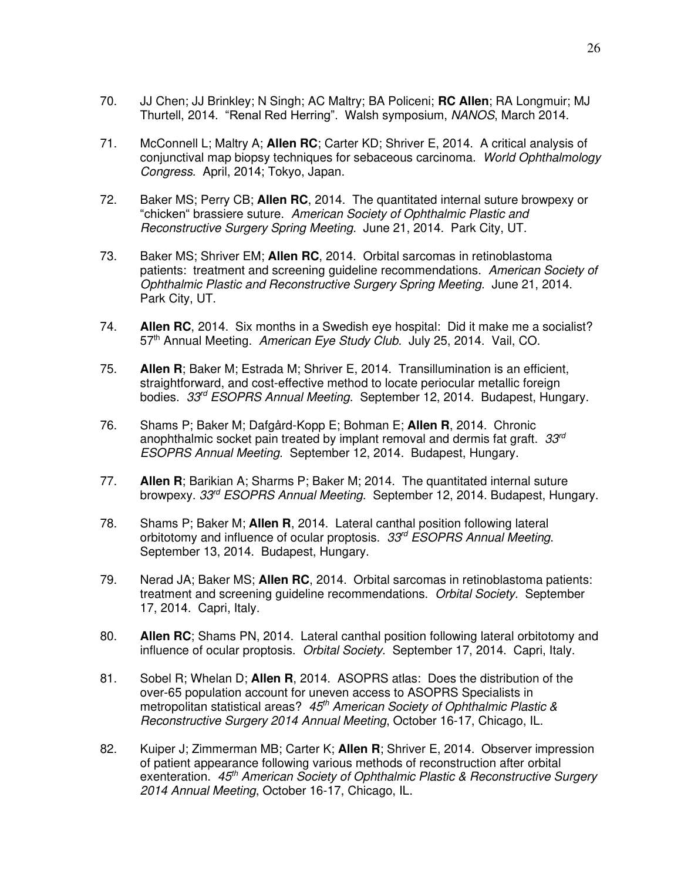- 70. JJ Chen; JJ Brinkley; N Singh; AC Maltry; BA Policeni; **RC Allen**; RA Longmuir; MJ Thurtell, 2014. "Renal Red Herring". Walsh symposium, *NANOS*, March 2014.
- 71. McConnell L; Maltry A; **Allen RC**; Carter KD; Shriver E, 2014. A critical analysis of conjunctival map biopsy techniques for sebaceous carcinoma. *World Ophthalmology Congress*. April, 2014; Tokyo, Japan.
- 72. Baker MS; Perry CB; **Allen RC**, 2014. The quantitated internal suture browpexy or "chicken" brassiere suture. *American Society of Ophthalmic Plastic and Reconstructive Surgery Spring Meeting.* June 21, 2014. Park City, UT.
- 73. Baker MS; Shriver EM; **Allen RC**, 2014. Orbital sarcomas in retinoblastoma patients: treatment and screening guideline recommendations. *American Society of Ophthalmic Plastic and Reconstructive Surgery Spring Meeting.* June 21, 2014. Park City, UT.
- 74. **Allen RC**, 2014. Six months in a Swedish eye hospital: Did it make me a socialist? 57<sup>th</sup> Annual Meeting. *American Eye Study Club.* July 25, 2014. Vail, CO.
- 75. **Allen R**; Baker M; Estrada M; Shriver E, 2014. Transillumination is an efficient, straightforward, and cost-effective method to locate periocular metallic foreign bodies. *33rd ESOPRS Annual Meeting*. September 12, 2014. Budapest, Hungary.
- 76. Shams P; Baker M; Dafgård-Kopp E; Bohman E; **Allen R**, 2014. Chronic anophthalmic socket pain treated by implant removal and dermis fat graft. *33rd ESOPRS Annual Meeting*. September 12, 2014. Budapest, Hungary.
- 77. **Allen R**; Barikian A; Sharms P; Baker M; 2014. The quantitated internal suture browpexy. *33rd ESOPRS Annual Meeting*. September 12, 2014. Budapest, Hungary.
- 78. Shams P; Baker M; **Allen R**, 2014. Lateral canthal position following lateral orbitotomy and influence of ocular proptosis. *33rd ESOPRS Annual Meeting*. September 13, 2014. Budapest, Hungary.
- 79. Nerad JA; Baker MS; **Allen RC**, 2014. Orbital sarcomas in retinoblastoma patients: treatment and screening guideline recommendations. *Orbital Society.* September 17, 2014. Capri, Italy.
- 80. **Allen RC**; Shams PN, 2014. Lateral canthal position following lateral orbitotomy and influence of ocular proptosis. *Orbital Society.* September 17, 2014. Capri, Italy.
- 81. Sobel R; Whelan D; **Allen R**, 2014. ASOPRS atlas: Does the distribution of the over-65 population account for uneven access to ASOPRS Specialists in metropolitan statistical areas? *45th American Society of Ophthalmic Plastic & Reconstructive Surgery 2014 Annual Meeting*, October 16-17, Chicago, IL.
- 82. Kuiper J; Zimmerman MB; Carter K; **Allen R**; Shriver E, 2014. Observer impression of patient appearance following various methods of reconstruction after orbital exenteration. *45th American Society of Ophthalmic Plastic & Reconstructive Surgery 2014 Annual Meeting*, October 16-17, Chicago, IL.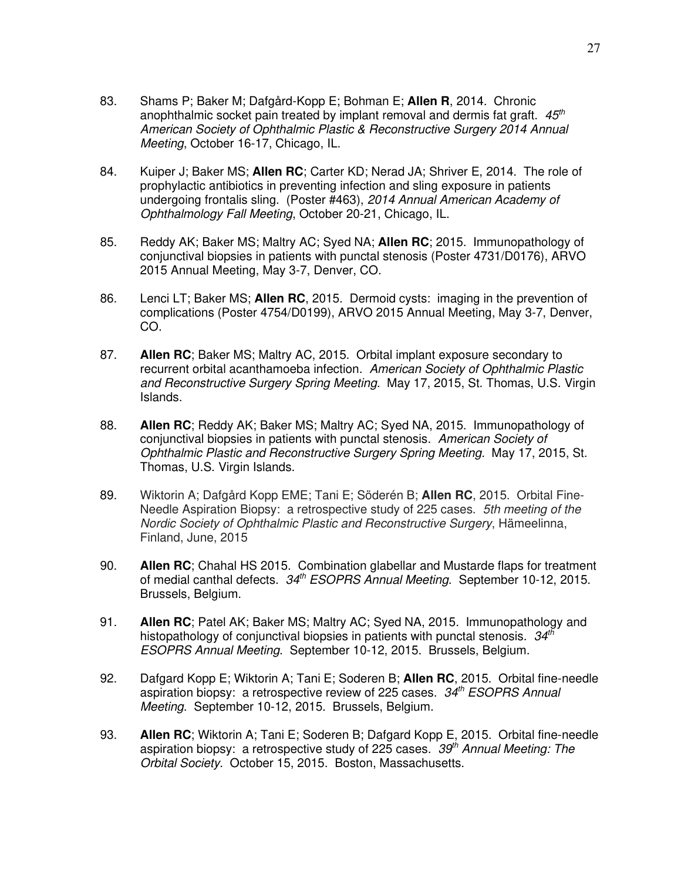- 83. Shams P; Baker M; Dafgård-Kopp E; Bohman E; **Allen R**, 2014. Chronic anophthalmic socket pain treated by implant removal and dermis fat graft. *45th American Society of Ophthalmic Plastic & Reconstructive Surgery 2014 Annual Meeting*, October 16-17, Chicago, IL.
- 84. Kuiper J; Baker MS; **Allen RC**; Carter KD; Nerad JA; Shriver E, 2014. The role of prophylactic antibiotics in preventing infection and sling exposure in patients undergoing frontalis sling. (Poster #463), *2014 Annual American Academy of Ophthalmology Fall Meeting*, October 20-21, Chicago, IL.
- 85. Reddy AK; Baker MS; Maltry AC; Syed NA; **Allen RC**; 2015. Immunopathology of conjunctival biopsies in patients with punctal stenosis (Poster 4731/D0176), ARVO 2015 Annual Meeting, May 3-7, Denver, CO.
- 86. Lenci LT; Baker MS; **Allen RC**, 2015. Dermoid cysts: imaging in the prevention of complications (Poster 4754/D0199), ARVO 2015 Annual Meeting, May 3-7, Denver, CO.
- 87. **Allen RC**; Baker MS; Maltry AC, 2015. Orbital implant exposure secondary to recurrent orbital acanthamoeba infection. *American Society of Ophthalmic Plastic and Reconstructive Surgery Spring Meeting.* May 17, 2015, St. Thomas, U.S. Virgin Islands.
- 88. **Allen RC**; Reddy AK; Baker MS; Maltry AC; Syed NA, 2015. Immunopathology of conjunctival biopsies in patients with punctal stenosis. *American Society of Ophthalmic Plastic and Reconstructive Surgery Spring Meeting.* May 17, 2015, St. Thomas, U.S. Virgin Islands.
- 89. Wiktorin A; Dafgård Kopp EME; Tani E; Söderén B; **Allen RC**, 2015. Orbital Fine-Needle Aspiration Biopsy: a retrospective study of 225 cases. *5th meeting of the Nordic Society of Ophthalmic Plastic and Reconstructive Surgery*, Hämeelinna, Finland, June, 2015
- 90. **Allen RC**; Chahal HS 2015. Combination glabellar and Mustarde flaps for treatment of medial canthal defects. *34th ESOPRS Annual Meeting*. September 10-12, 2015. Brussels, Belgium.
- 91. **Allen RC**; Patel AK; Baker MS; Maltry AC; Syed NA, 2015. Immunopathology and histopathology of conjunctival biopsies in patients with punctal stenosis. *34th ESOPRS Annual Meeting*. September 10-12, 2015. Brussels, Belgium.
- 92. Dafgard Kopp E; Wiktorin A; Tani E; Soderen B; **Allen RC**, 2015. Orbital fine-needle aspiration biopsy: a retrospective review of 225 cases. *34th ESOPRS Annual Meeting*. September 10-12, 2015. Brussels, Belgium.
- 93. **Allen RC**; Wiktorin A; Tani E; Soderen B; Dafgard Kopp E, 2015. Orbital fine-needle aspiration biopsy: a retrospective study of 225 cases. *39th Annual Meeting: The Orbital Society.* October 15, 2015. Boston, Massachusetts.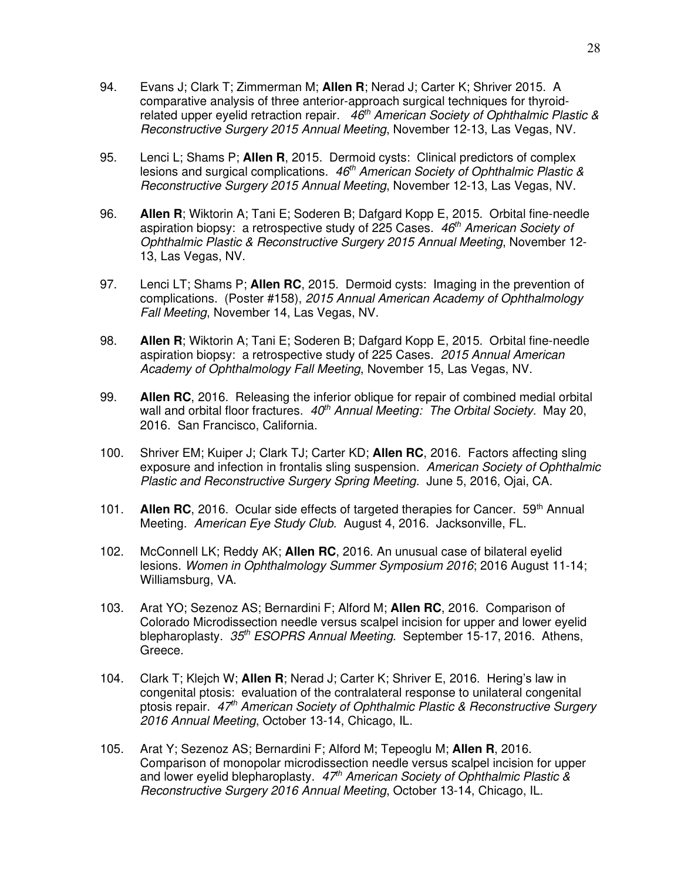- 94. Evans J; Clark T; Zimmerman M; **Allen R**; Nerad J; Carter K; Shriver 2015. A comparative analysis of three anterior-approach surgical techniques for thyroidrelated upper eyelid retraction repair. *46th American Society of Ophthalmic Plastic & Reconstructive Surgery 2015 Annual Meeting*, November 12-13, Las Vegas, NV.
- 95. Lenci L; Shams P; **Allen R**, 2015. Dermoid cysts: Clinical predictors of complex lesions and surgical complications. *46th American Society of Ophthalmic Plastic & Reconstructive Surgery 2015 Annual Meeting*, November 12-13, Las Vegas, NV.
- 96. **Allen R**; Wiktorin A; Tani E; Soderen B; Dafgard Kopp E, 2015. Orbital fine-needle aspiration biopsy: a retrospective study of 225 Cases. *46th American Society of Ophthalmic Plastic & Reconstructive Surgery 2015 Annual Meeting*, November 12- 13, Las Vegas, NV.
- 97. Lenci LT; Shams P; **Allen RC**, 2015. Dermoid cysts: Imaging in the prevention of complications. (Poster #158), *2015 Annual American Academy of Ophthalmology Fall Meeting*, November 14, Las Vegas, NV.
- 98. **Allen R**; Wiktorin A; Tani E; Soderen B; Dafgard Kopp E, 2015. Orbital fine-needle aspiration biopsy: a retrospective study of 225 Cases. *2015 Annual American Academy of Ophthalmology Fall Meeting*, November 15, Las Vegas, NV.
- 99. **Allen RC**, 2016. Releasing the inferior oblique for repair of combined medial orbital wall and orbital floor fractures. *40th Annual Meeting: The Orbital Society.* May 20, 2016. San Francisco, California.
- 100. Shriver EM; Kuiper J; Clark TJ; Carter KD; **Allen RC**, 2016. Factors affecting sling exposure and infection in frontalis sling suspension. *American Society of Ophthalmic Plastic and Reconstructive Surgery Spring Meeting.* June 5, 2016, Ojai, CA.
- 101. **Allen RC**, 2016. Ocular side effects of targeted therapies for Cancer. 59th Annual Meeting. *American Eye Study Club.* August 4, 2016. Jacksonville, FL.
- 102. McConnell LK; Reddy AK; **Allen RC**, 2016. An unusual case of bilateral eyelid lesions. *Women in Ophthalmology Summer Symposium 2016*; 2016 August 11-14; Williamsburg, VA.
- 103. Arat YO; Sezenoz AS; Bernardini F; Alford M; **Allen RC**, 2016. Comparison of Colorado Microdissection needle versus scalpel incision for upper and lower eyelid blepharoplasty. *35th ESOPRS Annual Meeting*. September 15-17, 2016. Athens, Greece.
- 104. Clark T; Klejch W; **Allen R**; Nerad J; Carter K; Shriver E, 2016. Hering's law in congenital ptosis: evaluation of the contralateral response to unilateral congenital ptosis repair. *47th American Society of Ophthalmic Plastic & Reconstructive Surgery 2016 Annual Meeting*, October 13-14, Chicago, IL.
- 105. Arat Y; Sezenoz AS; Bernardini F; Alford M; Tepeoglu M; **Allen R**, 2016. Comparison of monopolar microdissection needle versus scalpel incision for upper and lower eyelid blepharoplasty. *47th American Society of Ophthalmic Plastic & Reconstructive Surgery 2016 Annual Meeting*, October 13-14, Chicago, IL.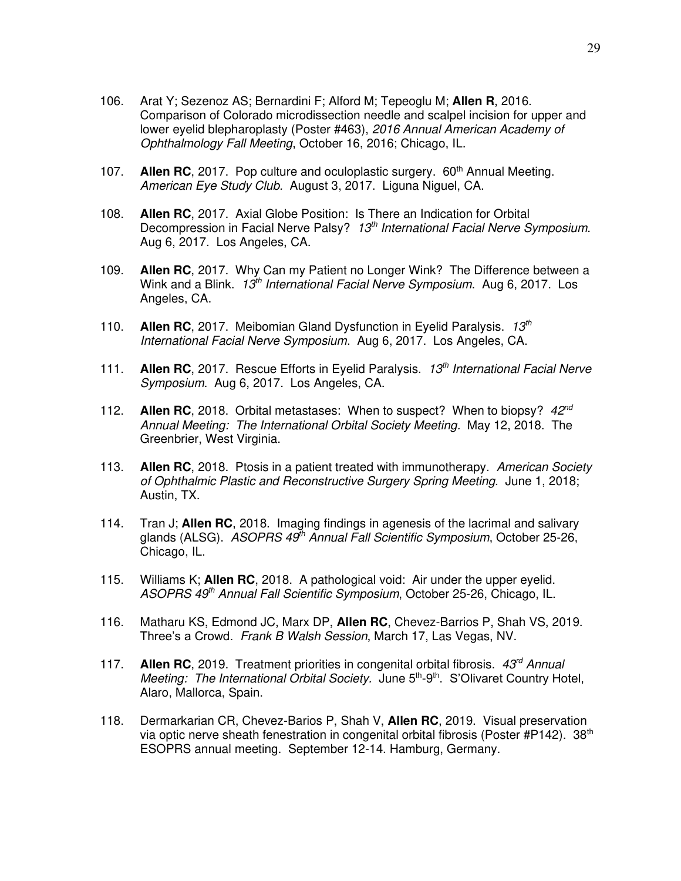- 106. Arat Y; Sezenoz AS; Bernardini F; Alford M; Tepeoglu M; **Allen R**, 2016. Comparison of Colorado microdissection needle and scalpel incision for upper and lower eyelid blepharoplasty (Poster #463), *2016 Annual American Academy of Ophthalmology Fall Meeting*, October 16, 2016; Chicago, IL.
- 107. **Allen RC**, 2017. Pop culture and oculoplastic surgery. 60<sup>th</sup> Annual Meeting. *American Eye Study Club.* August 3, 2017. Liguna Niguel, CA.
- 108. **Allen RC**, 2017. Axial Globe Position: Is There an Indication for Orbital Decompression in Facial Nerve Palsy? *13th International Facial Nerve Symposium*. Aug 6, 2017. Los Angeles, CA.
- 109. **Allen RC**, 2017. Why Can my Patient no Longer Wink? The Difference between a Wink and a Blink. *13th International Facial Nerve Symposium*. Aug 6, 2017. Los Angeles, CA.
- 110. **Allen RC**, 2017. Meibomian Gland Dysfunction in Eyelid Paralysis. *13th International Facial Nerve Symposium*. Aug 6, 2017. Los Angeles, CA.
- 111. **Allen RC**, 2017. Rescue Efforts in Eyelid Paralysis. *13th International Facial Nerve Symposium*. Aug 6, 2017. Los Angeles, CA.
- 112. **Allen RC**, 2018. Orbital metastases: When to suspect? When to biopsy? *42nd Annual Meeting: The International Orbital Society Meeting.* May 12, 2018. The Greenbrier, West Virginia.
- 113. **Allen RC**, 2018. Ptosis in a patient treated with immunotherapy. *American Society of Ophthalmic Plastic and Reconstructive Surgery Spring Meeting.* June 1, 2018; Austin, TX.
- 114. Tran J; **Allen RC**, 2018. Imaging findings in agenesis of the lacrimal and salivary glands (ALSG). *ASOPRS 49th Annual Fall Scientific Symposium*, October 25-26, Chicago, IL.
- 115. Williams K; **Allen RC**, 2018. A pathological void: Air under the upper eyelid. *ASOPRS 49th Annual Fall Scientific Symposium*, October 25-26, Chicago, IL.
- 116. Matharu KS, Edmond JC, Marx DP, **Allen RC**, Chevez-Barrios P, Shah VS, 2019. Three's a Crowd. *Frank B Walsh Session*, March 17, Las Vegas, NV.
- 117. **Allen RC**, 2019. Treatment priorities in congenital orbital fibrosis. *43rd Annual Meeting: The International Orbital Society.* June 5<sup>th</sup>-9<sup>th</sup>. S'Olivaret Country Hotel, Alaro, Mallorca, Spain.
- 118. Dermarkarian CR, Chevez-Barios P, Shah V, **Allen RC**, 2019. Visual preservation via optic nerve sheath fenestration in congenital orbital fibrosis (Poster #P142). 38<sup>th</sup> ESOPRS annual meeting. September 12-14. Hamburg, Germany.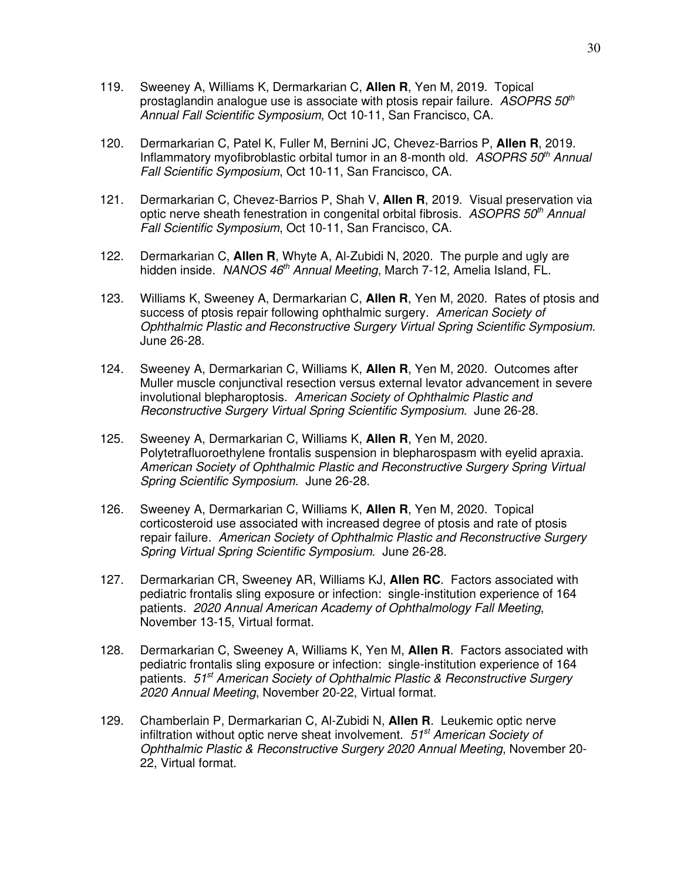- 119. Sweeney A, Williams K, Dermarkarian C, **Allen R**, Yen M, 2019. Topical prostaglandin analogue use is associate with ptosis repair failure. *ASOPRS 50th Annual Fall Scientific Symposium*, Oct 10-11, San Francisco, CA.
- 120. Dermarkarian C, Patel K, Fuller M, Bernini JC, Chevez-Barrios P, **Allen R**, 2019. Inflammatory myofibroblastic orbital tumor in an 8-month old. *ASOPRS 50th Annual Fall Scientific Symposium*, Oct 10-11, San Francisco, CA.
- 121. Dermarkarian C, Chevez-Barrios P, Shah V, **Allen R**, 2019. Visual preservation via optic nerve sheath fenestration in congenital orbital fibrosis. *ASOPRS 50th Annual Fall Scientific Symposium*, Oct 10-11, San Francisco, CA.
- 122. Dermarkarian C, **Allen R**, Whyte A, Al-Zubidi N, 2020. The purple and ugly are hidden inside. *NANOS 46th Annual Meeting*, March 7-12, Amelia Island, FL.
- 123. Williams K, Sweeney A, Dermarkarian C, **Allen R**, Yen M, 2020. Rates of ptosis and success of ptosis repair following ophthalmic surgery. *American Society of Ophthalmic Plastic and Reconstructive Surgery Virtual Spring Scientific Symposium.* June 26-28.
- 124. Sweeney A, Dermarkarian C, Williams K, **Allen R**, Yen M, 2020. Outcomes after Muller muscle conjunctival resection versus external levator advancement in severe involutional blepharoptosis. *American Society of Ophthalmic Plastic and Reconstructive Surgery Virtual Spring Scientific Symposium.* June 26-28.
- 125. Sweeney A, Dermarkarian C, Williams K, **Allen R**, Yen M, 2020. Polytetrafluoroethylene frontalis suspension in blepharospasm with eyelid apraxia. *American Society of Ophthalmic Plastic and Reconstructive Surgery Spring Virtual Spring Scientific Symposium.* June 26-28.
- 126. Sweeney A, Dermarkarian C, Williams K, **Allen R**, Yen M, 2020. Topical corticosteroid use associated with increased degree of ptosis and rate of ptosis repair failure. *American Society of Ophthalmic Plastic and Reconstructive Surgery Spring Virtual Spring Scientific Symposium.* June 26-28.
- 127. Dermarkarian CR, Sweeney AR, Williams KJ, **Allen RC**. Factors associated with pediatric frontalis sling exposure or infection: single-institution experience of 164 patients. *2020 Annual American Academy of Ophthalmology Fall Meeting*, November 13-15, Virtual format.
- 128. Dermarkarian C, Sweeney A, Williams K, Yen M, **Allen R**. Factors associated with pediatric frontalis sling exposure or infection: single-institution experience of 164 patients. *51st American Society of Ophthalmic Plastic & Reconstructive Surgery 2020 Annual Meeting*, November 20-22, Virtual format.
- 129. Chamberlain P, Dermarkarian C, Al-Zubidi N, **Allen R**. Leukemic optic nerve infiltration without optic nerve sheat involvement. *51st American Society of Ophthalmic Plastic & Reconstructive Surgery 2020 Annual Meeting*, November 20- 22, Virtual format.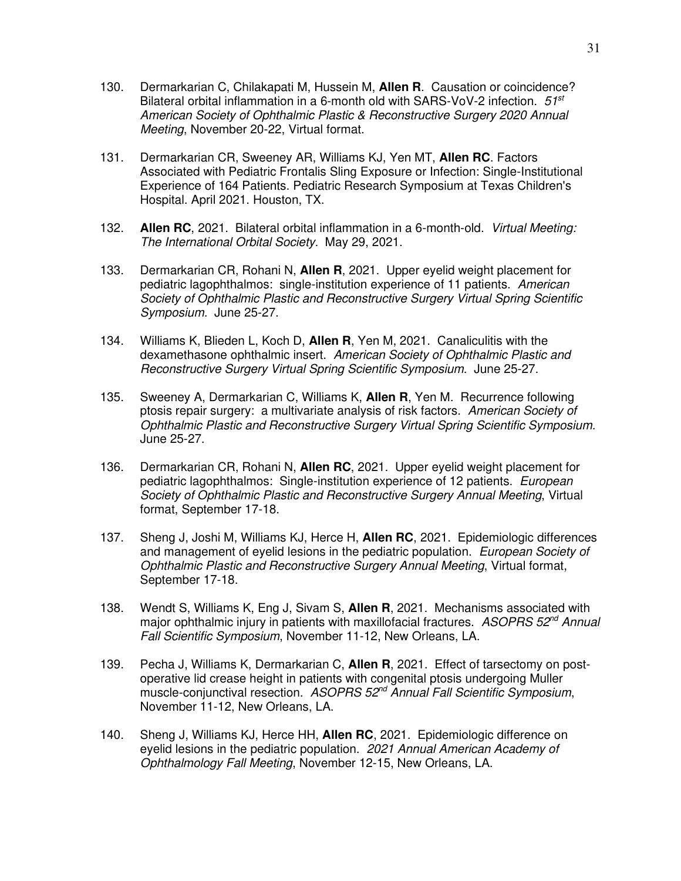- 130. Dermarkarian C, Chilakapati M, Hussein M, **Allen R**. Causation or coincidence? Bilateral orbital inflammation in a 6-month old with SARS-VoV-2 infection. *51st American Society of Ophthalmic Plastic & Reconstructive Surgery 2020 Annual Meeting*, November 20-22, Virtual format.
- 131. Dermarkarian CR, Sweeney AR, Williams KJ, Yen MT, **Allen RC**. Factors Associated with Pediatric Frontalis Sling Exposure or Infection: Single-Institutional Experience of 164 Patients. Pediatric Research Symposium at Texas Children's Hospital. April 2021. Houston, TX.
- 132. **Allen RC**, 2021. Bilateral orbital inflammation in a 6-month-old. *Virtual Meeting: The International Orbital Society.* May 29, 2021.
- 133. Dermarkarian CR, Rohani N, **Allen R**, 2021. Upper eyelid weight placement for pediatric lagophthalmos: single-institution experience of 11 patients. *American Society of Ophthalmic Plastic and Reconstructive Surgery Virtual Spring Scientific Symposium.* June 25-27.
- 134. Williams K, Blieden L, Koch D, **Allen R**, Yen M, 2021. Canaliculitis with the dexamethasone ophthalmic insert. *American Society of Ophthalmic Plastic and Reconstructive Surgery Virtual Spring Scientific Symposium.* June 25-27.
- 135. Sweeney A, Dermarkarian C, Williams K, **Allen R**, Yen M. Recurrence following ptosis repair surgery: a multivariate analysis of risk factors. *American Society of Ophthalmic Plastic and Reconstructive Surgery Virtual Spring Scientific Symposium.* June 25-27.
- 136. Dermarkarian CR, Rohani N, **Allen RC**, 2021. Upper eyelid weight placement for pediatric lagophthalmos: Single-institution experience of 12 patients. *European Society of Ophthalmic Plastic and Reconstructive Surgery Annual Meeting*, Virtual format, September 17-18.
- 137. Sheng J, Joshi M, Williams KJ, Herce H, **Allen RC**, 2021. Epidemiologic differences and management of eyelid lesions in the pediatric population. *European Society of Ophthalmic Plastic and Reconstructive Surgery Annual Meeting*, Virtual format, September 17-18.
- 138. Wendt S, Williams K, Eng J, Sivam S, **Allen R**, 2021. Mechanisms associated with major ophthalmic injury in patients with maxillofacial fractures. *ASOPRS 52nd Annual Fall Scientific Symposium*, November 11-12, New Orleans, LA.
- 139. Pecha J, Williams K, Dermarkarian C, **Allen R**, 2021. Effect of tarsectomy on postoperative lid crease height in patients with congenital ptosis undergoing Muller muscle-conjunctival resection. *ASOPRS 52nd Annual Fall Scientific Symposium*, November 11-12, New Orleans, LA.
- 140. Sheng J, Williams KJ, Herce HH, **Allen RC**, 2021. Epidemiologic difference on eyelid lesions in the pediatric population. *2021 Annual American Academy of Ophthalmology Fall Meeting*, November 12-15, New Orleans, LA.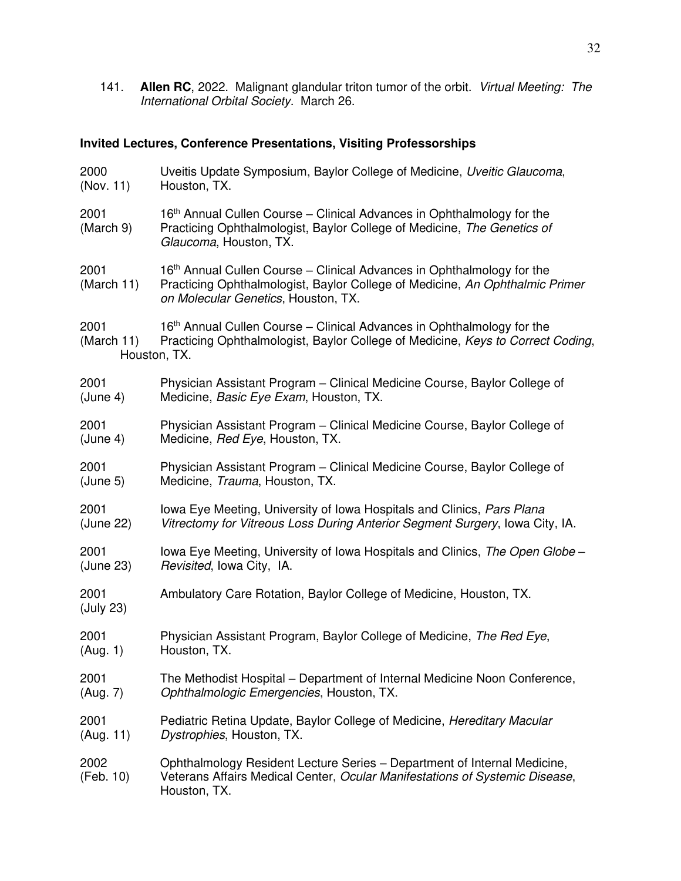141. **Allen RC**, 2022. Malignant glandular triton tumor of the orbit. *Virtual Meeting: The International Orbital Society.* March 26.

# **Invited Lectures, Conference Presentations, Visiting Professorships**

| 2000                               | Uveitis Update Symposium, Baylor College of Medicine, Uveitic Glaucoma,                                                                                                                       |
|------------------------------------|-----------------------------------------------------------------------------------------------------------------------------------------------------------------------------------------------|
| (Nov. 11)                          | Houston, TX.                                                                                                                                                                                  |
| 2001<br>(March 9)                  | 16 <sup>th</sup> Annual Cullen Course – Clinical Advances in Ophthalmology for the<br>Practicing Ophthalmologist, Baylor College of Medicine, The Genetics of<br>Glaucoma, Houston, TX.       |
| 2001<br>(March 11)                 | 16th Annual Cullen Course - Clinical Advances in Ophthalmology for the<br>Practicing Ophthalmologist, Baylor College of Medicine, An Ophthalmic Primer<br>on Molecular Genetics, Houston, TX. |
| 2001<br>(March 11)<br>Houston, TX. | 16 <sup>th</sup> Annual Cullen Course – Clinical Advances in Ophthalmology for the<br>Practicing Ophthalmologist, Baylor College of Medicine, Keys to Correct Coding,                         |
| 2001                               | Physician Assistant Program - Clinical Medicine Course, Baylor College of                                                                                                                     |
| (June 4)                           | Medicine, Basic Eye Exam, Houston, TX.                                                                                                                                                        |
| 2001                               | Physician Assistant Program – Clinical Medicine Course, Baylor College of                                                                                                                     |
| (June 4)                           | Medicine, Red Eye, Houston, TX.                                                                                                                                                               |
| 2001                               | Physician Assistant Program – Clinical Medicine Course, Baylor College of                                                                                                                     |
| (June 5)                           | Medicine, Trauma, Houston, TX.                                                                                                                                                                |
| 2001                               | Iowa Eye Meeting, University of Iowa Hospitals and Clinics, Pars Plana                                                                                                                        |
| (June 22)                          | Vitrectomy for Vitreous Loss During Anterior Segment Surgery, Iowa City, IA.                                                                                                                  |
| 2001                               | Iowa Eye Meeting, University of Iowa Hospitals and Clinics, The Open Globe -                                                                                                                  |
| (June 23)                          | Revisited, Iowa City, IA.                                                                                                                                                                     |
| 2001<br>(July 23)                  | Ambulatory Care Rotation, Baylor College of Medicine, Houston, TX.                                                                                                                            |
| 2001                               | Physician Assistant Program, Baylor College of Medicine, The Red Eye,                                                                                                                         |
| (Aug. 1)                           | Houston, TX.                                                                                                                                                                                  |
| 2001                               | The Methodist Hospital – Department of Internal Medicine Noon Conference,                                                                                                                     |
| (Aug. 7)                           | Ophthalmologic Emergencies, Houston, TX.                                                                                                                                                      |
| 2001                               | Pediatric Retina Update, Baylor College of Medicine, Hereditary Macular                                                                                                                       |
| (Aug. 11)                          | Dystrophies, Houston, TX.                                                                                                                                                                     |
| 2002<br>(Feb. 10)                  | Ophthalmology Resident Lecture Series – Department of Internal Medicine,<br>Veterans Affairs Medical Center, Ocular Manifestations of Systemic Disease,<br>Houston, TX.                       |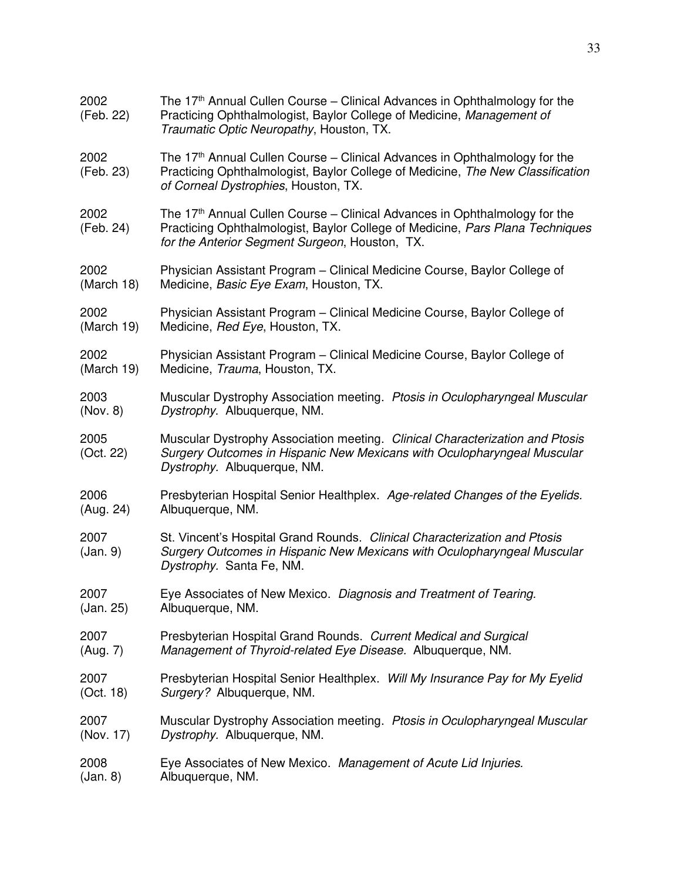| 2002<br>(Feb. 22) | The $17th$ Annual Cullen Course – Clinical Advances in Ophthalmology for the<br>Practicing Ophthalmologist, Baylor College of Medicine, Management of<br>Traumatic Optic Neuropathy, Houston, TX.                         |
|-------------------|---------------------------------------------------------------------------------------------------------------------------------------------------------------------------------------------------------------------------|
| 2002<br>(Feb. 23) | The 17 <sup>th</sup> Annual Cullen Course – Clinical Advances in Ophthalmology for the<br>Practicing Ophthalmologist, Baylor College of Medicine, The New Classification<br>of Corneal Dystrophies, Houston, TX.          |
| 2002<br>(Feb. 24) | The 17 <sup>th</sup> Annual Cullen Course – Clinical Advances in Ophthalmology for the<br>Practicing Ophthalmologist, Baylor College of Medicine, Pars Plana Techniques<br>for the Anterior Segment Surgeon, Houston, TX. |
| 2002              | Physician Assistant Program – Clinical Medicine Course, Baylor College of                                                                                                                                                 |
| (March 18)        | Medicine, Basic Eye Exam, Houston, TX.                                                                                                                                                                                    |
| 2002              | Physician Assistant Program – Clinical Medicine Course, Baylor College of                                                                                                                                                 |
| (March 19)        | Medicine, Red Eye, Houston, TX.                                                                                                                                                                                           |
| 2002              | Physician Assistant Program – Clinical Medicine Course, Baylor College of                                                                                                                                                 |
| (March 19)        | Medicine, Trauma, Houston, TX.                                                                                                                                                                                            |
| 2003              | Muscular Dystrophy Association meeting. Ptosis in Oculopharyngeal Muscular                                                                                                                                                |
| (Nov. 8)          | Dystrophy. Albuquerque, NM.                                                                                                                                                                                               |
| 2005<br>(Oct. 22) | Muscular Dystrophy Association meeting. Clinical Characterization and Ptosis<br>Surgery Outcomes in Hispanic New Mexicans with Oculopharyngeal Muscular<br>Dystrophy. Albuquerque, NM.                                    |
| 2006              | Presbyterian Hospital Senior Healthplex. Age-related Changes of the Eyelids.                                                                                                                                              |
| (Aug. 24)         | Albuquerque, NM.                                                                                                                                                                                                          |
| 2007<br>(Jan. 9)  | St. Vincent's Hospital Grand Rounds. Clinical Characterization and Ptosis<br>Surgery Outcomes in Hispanic New Mexicans with Oculopharyngeal Muscular<br>Dystrophy. Santa Fe, NM.                                          |
| 2007              | Eye Associates of New Mexico. Diagnosis and Treatment of Tearing.                                                                                                                                                         |
| (Jan. 25)         | Albuquerque, NM.                                                                                                                                                                                                          |
| 2007              | Presbyterian Hospital Grand Rounds. Current Medical and Surgical                                                                                                                                                          |
| (Aug. 7)          | Management of Thyroid-related Eye Disease. Albuquerque, NM.                                                                                                                                                               |
| 2007              | Presbyterian Hospital Senior Healthplex. Will My Insurance Pay for My Eyelid                                                                                                                                              |
| (Oct. 18)         | Surgery? Albuquerque, NM.                                                                                                                                                                                                 |
| 2007              | Muscular Dystrophy Association meeting. Ptosis in Oculopharyngeal Muscular                                                                                                                                                |
| (Nov. 17)         | Dystrophy. Albuquerque, NM.                                                                                                                                                                                               |
| 2008              | Eye Associates of New Mexico. Management of Acute Lid Injuries.                                                                                                                                                           |
| (Jan. 8)          | Albuquerque, NM.                                                                                                                                                                                                          |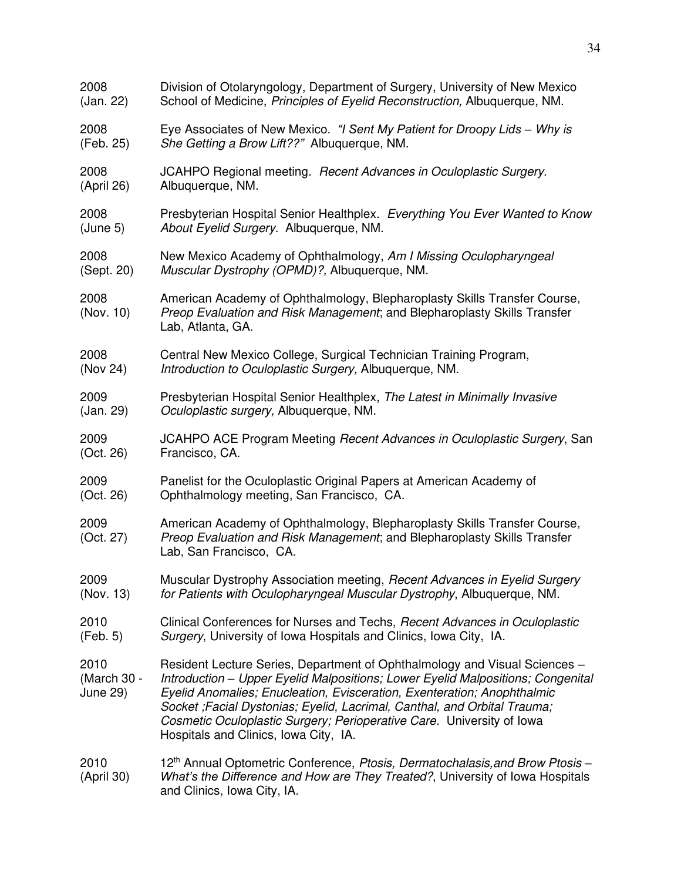| 2008                            | Division of Otolaryngology, Department of Surgery, University of New Mexico                                                                                                                                                                                                                                                                                                                                                             |
|---------------------------------|-----------------------------------------------------------------------------------------------------------------------------------------------------------------------------------------------------------------------------------------------------------------------------------------------------------------------------------------------------------------------------------------------------------------------------------------|
| (Jan. 22)                       | School of Medicine, Principles of Eyelid Reconstruction, Albuquerque, NM.                                                                                                                                                                                                                                                                                                                                                               |
| 2008                            | Eye Associates of New Mexico. "I Sent My Patient for Droopy Lids - Why is                                                                                                                                                                                                                                                                                                                                                               |
| (Feb. 25)                       | She Getting a Brow Lift??" Albuquerque, NM.                                                                                                                                                                                                                                                                                                                                                                                             |
| 2008                            | JCAHPO Regional meeting. Recent Advances in Oculoplastic Surgery.                                                                                                                                                                                                                                                                                                                                                                       |
| (April 26)                      | Albuquerque, NM.                                                                                                                                                                                                                                                                                                                                                                                                                        |
| 2008                            | Presbyterian Hospital Senior Healthplex. Everything You Ever Wanted to Know                                                                                                                                                                                                                                                                                                                                                             |
| (June 5)                        | About Eyelid Surgery. Albuquerque, NM.                                                                                                                                                                                                                                                                                                                                                                                                  |
| 2008                            | New Mexico Academy of Ophthalmology, Am I Missing Oculopharyngeal                                                                                                                                                                                                                                                                                                                                                                       |
| (Sept. 20)                      | Muscular Dystrophy (OPMD)?, Albuquerque, NM.                                                                                                                                                                                                                                                                                                                                                                                            |
| 2008<br>(Nov. 10)               | American Academy of Ophthalmology, Blepharoplasty Skills Transfer Course,<br>Preop Evaluation and Risk Management; and Blepharoplasty Skills Transfer<br>Lab, Atlanta, GA.                                                                                                                                                                                                                                                              |
| 2008                            | Central New Mexico College, Surgical Technician Training Program,                                                                                                                                                                                                                                                                                                                                                                       |
| (Nov 24)                        | Introduction to Oculoplastic Surgery, Albuquerque, NM.                                                                                                                                                                                                                                                                                                                                                                                  |
| 2009                            | Presbyterian Hospital Senior Healthplex, The Latest in Minimally Invasive                                                                                                                                                                                                                                                                                                                                                               |
| (Jan. 29)                       | Oculoplastic surgery, Albuquerque, NM.                                                                                                                                                                                                                                                                                                                                                                                                  |
| 2009                            | JCAHPO ACE Program Meeting Recent Advances in Oculoplastic Surgery, San                                                                                                                                                                                                                                                                                                                                                                 |
| (Oct. 26)                       | Francisco, CA.                                                                                                                                                                                                                                                                                                                                                                                                                          |
| 2009                            | Panelist for the Oculoplastic Original Papers at American Academy of                                                                                                                                                                                                                                                                                                                                                                    |
| (Oct. 26)                       | Ophthalmology meeting, San Francisco, CA.                                                                                                                                                                                                                                                                                                                                                                                               |
| 2009<br>(Oct. 27)               | American Academy of Ophthalmology, Blepharoplasty Skills Transfer Course,<br>Preop Evaluation and Risk Management; and Blepharoplasty Skills Transfer<br>Lab, San Francisco, CA.                                                                                                                                                                                                                                                        |
| 2009                            | Muscular Dystrophy Association meeting, Recent Advances in Eyelid Surgery                                                                                                                                                                                                                                                                                                                                                               |
| (Nov. 13)                       | for Patients with Oculopharyngeal Muscular Dystrophy, Albuquerque, NM.                                                                                                                                                                                                                                                                                                                                                                  |
| 2010                            | Clinical Conferences for Nurses and Techs, Recent Advances in Oculoplastic                                                                                                                                                                                                                                                                                                                                                              |
| (Feb. 5)                        | Surgery, University of Iowa Hospitals and Clinics, Iowa City, IA.                                                                                                                                                                                                                                                                                                                                                                       |
| 2010<br>(March 30 -<br>June 29) | Resident Lecture Series, Department of Ophthalmology and Visual Sciences -<br>Introduction - Upper Eyelid Malpositions; Lower Eyelid Malpositions; Congenital<br>Eyelid Anomalies; Enucleation, Evisceration, Exenteration; Anophthalmic<br>Socket ; Facial Dystonias; Eyelid, Lacrimal, Canthal, and Orbital Trauma;<br>Cosmetic Oculoplastic Surgery; Perioperative Care. University of Iowa<br>Hospitals and Clinics, Iowa City, IA. |
| 2010<br>(April 30)              | 12 <sup>th</sup> Annual Optometric Conference, Ptosis, Dermatochalasis, and Brow Ptosis -<br>What's the Difference and How are They Treated?, University of Iowa Hospitals<br>and Clinics, Iowa City, IA.                                                                                                                                                                                                                               |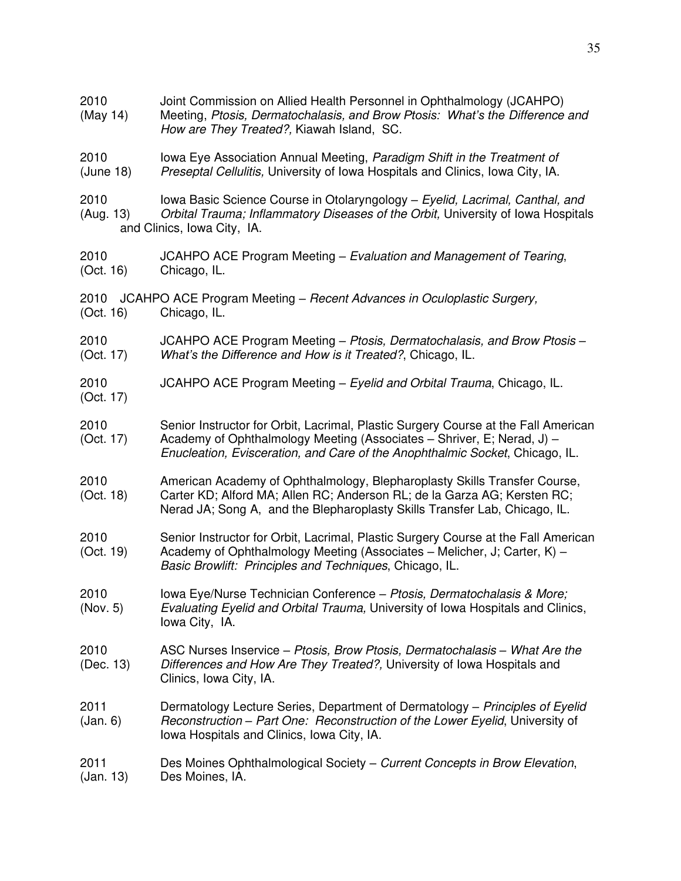| 2010<br>(May 14)  | Joint Commission on Allied Health Personnel in Ophthalmology (JCAHPO)<br>Meeting, Ptosis, Dermatochalasis, and Brow Ptosis: What's the Difference and<br>How are They Treated?, Kiawah Island, SC.                                           |
|-------------------|----------------------------------------------------------------------------------------------------------------------------------------------------------------------------------------------------------------------------------------------|
| 2010<br>(June 18) | lowa Eye Association Annual Meeting, Paradigm Shift in the Treatment of<br>Preseptal Cellulitis, University of Iowa Hospitals and Clinics, Iowa City, IA.                                                                                    |
| 2010<br>(Aug. 13) | Iowa Basic Science Course in Otolaryngology - Eyelid, Lacrimal, Canthal, and<br>Orbital Trauma; Inflammatory Diseases of the Orbit, University of Iowa Hospitals<br>and Clinics, Iowa City, IA.                                              |
| 2010<br>(Oct. 16) | JCAHPO ACE Program Meeting - Evaluation and Management of Tearing,<br>Chicago, IL.                                                                                                                                                           |
| 2010<br>(Oct. 16) | JCAHPO ACE Program Meeting - Recent Advances in Oculoplastic Surgery,<br>Chicago, IL.                                                                                                                                                        |
| 2010<br>(Oct. 17) | JCAHPO ACE Program Meeting – Ptosis, Dermatochalasis, and Brow Ptosis –<br>What's the Difference and How is it Treated?, Chicago, IL.                                                                                                        |
| 2010<br>(Oct. 17) | JCAHPO ACE Program Meeting - Eyelid and Orbital Trauma, Chicago, IL.                                                                                                                                                                         |
| 2010<br>(Oct. 17) | Senior Instructor for Orbit, Lacrimal, Plastic Surgery Course at the Fall American<br>Academy of Ophthalmology Meeting (Associates - Shriver, E; Nerad, J) -<br>Enucleation, Evisceration, and Care of the Anophthalmic Socket, Chicago, IL. |
| 2010<br>(Oct. 18) | American Academy of Ophthalmology, Blepharoplasty Skills Transfer Course,<br>Carter KD; Alford MA; Allen RC; Anderson RL; de la Garza AG; Kersten RC;<br>Nerad JA; Song A, and the Blepharoplasty Skills Transfer Lab, Chicago, IL.          |
| 2010<br>(Oct. 19) | Senior Instructor for Orbit, Lacrimal, Plastic Surgery Course at the Fall American<br>Academy of Ophthalmology Meeting (Associates – Melicher, J; Carter, K) –<br>Basic Browlift: Principles and Techniques, Chicago, IL.                    |
| 2010<br>(Nov. 5)  | Iowa Eye/Nurse Technician Conference - Ptosis, Dermatochalasis & More;<br>Evaluating Eyelid and Orbital Trauma, University of Iowa Hospitals and Clinics,<br>Iowa City, IA.                                                                  |
| 2010<br>(Dec. 13) | ASC Nurses Inservice - Ptosis, Brow Ptosis, Dermatochalasis - What Are the<br>Differences and How Are They Treated?, University of Iowa Hospitals and<br>Clinics, Iowa City, IA.                                                             |
| 2011<br>(Jan. 6)  | Dermatology Lecture Series, Department of Dermatology – Principles of Eyelid<br>Reconstruction - Part One: Reconstruction of the Lower Eyelid, University of<br>Iowa Hospitals and Clinics, Iowa City, IA.                                   |
| 2011<br>(Jan. 13) | Des Moines Ophthalmological Society - Current Concepts in Brow Elevation,<br>Des Moines, IA.                                                                                                                                                 |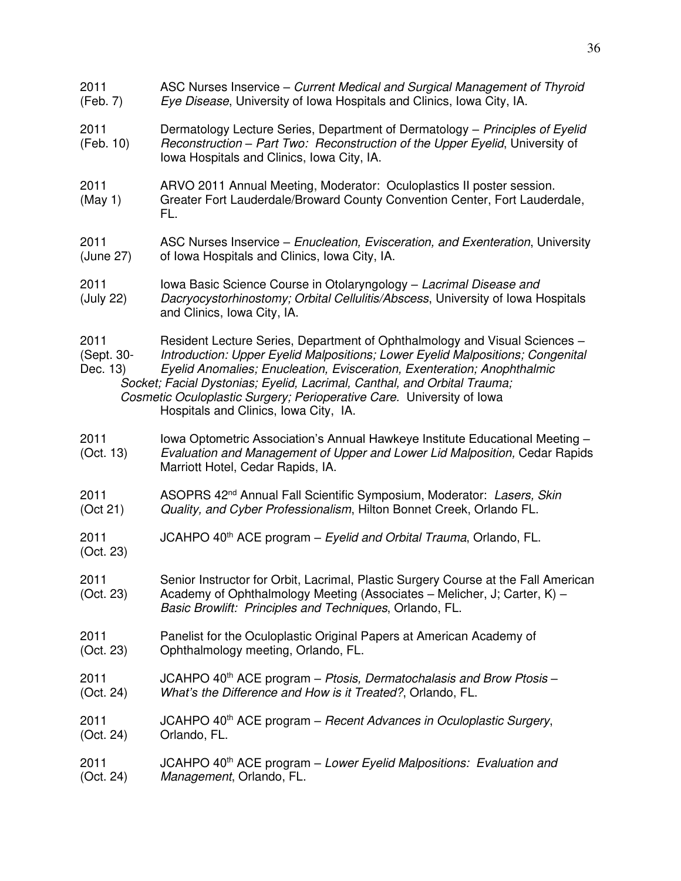2011 ASC Nurses Inservice – *Current Medical and Surgical Management of Thyroid*  (Feb. 7) *Eye Disease*, University of Iowa Hospitals and Clinics, Iowa City, IA. 2011 Dermatology Lecture Series, Department of Dermatology – *Principles of Eyelid* (Feb. 10) *Reconstruction – Part Two: Reconstruction of the Upper Eyelid*, University of Iowa Hospitals and Clinics, Iowa City, IA. 2011 ARVO 2011 Annual Meeting, Moderator: Oculoplastics II poster session. (May 1) Greater Fort Lauderdale/Broward County Convention Center, Fort Lauderdale, FL. 2011 ASC Nurses Inservice – *Enucleation, Evisceration, and Exenteration*, University (June 27) of Iowa Hospitals and Clinics, Iowa City, IA. 2011 Iowa Basic Science Course in Otolaryngology – *Lacrimal Disease and*  (July 22) *Dacryocystorhinostomy; Orbital Cellulitis/Abscess*, University of Iowa Hospitals and Clinics, Iowa City, IA. 2011 Resident Lecture Series, Department of Ophthalmology and Visual Sciences – (Sept. 30- *Introduction: Upper Eyelid Malpositions; Lower Eyelid Malpositions; Congenital*  Dec. 13) *Eyelid Anomalies; Enucleation, Evisceration, Exenteration; Anophthalmic Socket; Facial Dystonias; Eyelid, Lacrimal, Canthal, and Orbital Trauma; Cosmetic Oculoplastic Surgery; Perioperative Care.* University of Iowa Hospitals and Clinics, Iowa City, IA. 2011 Iowa Optometric Association's Annual Hawkeye Institute Educational Meeting – (Oct. 13) *Evaluation and Management of Upper and Lower Lid Malposition,* Cedar Rapids Marriott Hotel, Cedar Rapids, IA. 2011 ASOPRS 42nd Annual Fall Scientific Symposium, Moderator: *Lasers, Skin* (Oct 21) *Quality, and Cyber Professionalism*, Hilton Bonnet Creek, Orlando FL. 2011 JCAHPO 40th ACE program – *Eyelid and Orbital Trauma*, Orlando, FL. (Oct. 23) 2011 Senior Instructor for Orbit, Lacrimal, Plastic Surgery Course at the Fall American (Oct. 23) Academy of Ophthalmology Meeting (Associates – Melicher, J; Carter, K) – *Basic Browlift: Principles and Techniques*, Orlando, FL. 2011 Panelist for the Oculoplastic Original Papers at American Academy of (Oct. 23) Ophthalmology meeting, Orlando, FL. 2011 JCAHPO 40th ACE program – *Ptosis, Dermatochalasis and Brow Ptosis –*  (Oct. 24) *What's the Difference and How is it Treated?*, Orlando, FL. 2011 JCAHPO 40th ACE program – *Recent Advances in Oculoplastic Surgery*, (Oct. 24) Orlando, FL. 2011 JCAHPO 40th ACE program – *Lower Eyelid Malpositions: Evaluation and* (Oct. 24) *Management*, Orlando, FL.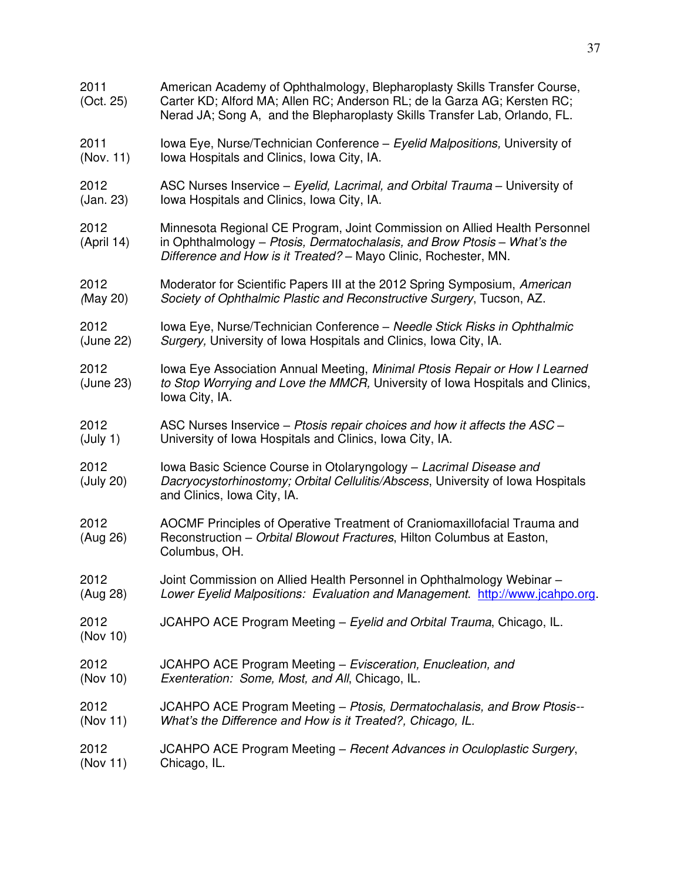| 2011<br>(Oct. 25)  | American Academy of Ophthalmology, Blepharoplasty Skills Transfer Course,<br>Carter KD; Alford MA; Allen RC; Anderson RL; de la Garza AG; Kersten RC;<br>Nerad JA; Song A, and the Blepharoplasty Skills Transfer Lab, Orlando, FL. |
|--------------------|-------------------------------------------------------------------------------------------------------------------------------------------------------------------------------------------------------------------------------------|
| 2011               | Iowa Eye, Nurse/Technician Conference - Eyelid Malpositions, University of                                                                                                                                                          |
| (Nov. 11)          | Iowa Hospitals and Clinics, Iowa City, IA.                                                                                                                                                                                          |
| 2012               | ASC Nurses Inservice – Eyelid, Lacrimal, and Orbital Trauma – University of                                                                                                                                                         |
| (Jan. 23)          | Iowa Hospitals and Clinics, Iowa City, IA.                                                                                                                                                                                          |
| 2012<br>(April 14) | Minnesota Regional CE Program, Joint Commission on Allied Health Personnel<br>in Ophthalmology – Ptosis, Dermatochalasis, and Brow Ptosis – What's the<br>Difference and How is it Treated? - Mayo Clinic, Rochester, MN.           |
| 2012               | Moderator for Scientific Papers III at the 2012 Spring Symposium, American                                                                                                                                                          |
| (May 20)           | Society of Ophthalmic Plastic and Reconstructive Surgery, Tucson, AZ.                                                                                                                                                               |
| 2012               | Iowa Eye, Nurse/Technician Conference - Needle Stick Risks in Ophthalmic                                                                                                                                                            |
| (June 22)          | Surgery, University of Iowa Hospitals and Clinics, Iowa City, IA.                                                                                                                                                                   |
| 2012<br>(June 23)  | Iowa Eye Association Annual Meeting, Minimal Ptosis Repair or How I Learned<br>to Stop Worrying and Love the MMCR, University of Iowa Hospitals and Clinics,<br>Iowa City, IA.                                                      |
| 2012               | ASC Nurses Inservice - Ptosis repair choices and how it affects the ASC -                                                                                                                                                           |
| (July 1)           | University of Iowa Hospitals and Clinics, Iowa City, IA.                                                                                                                                                                            |
| 2012<br>(July 20)  | Iowa Basic Science Course in Otolaryngology - Lacrimal Disease and<br>Dacryocystorhinostomy; Orbital Cellulitis/Abscess, University of Iowa Hospitals<br>and Clinics, Iowa City, IA.                                                |
| 2012<br>(Aug 26)   | AOCMF Principles of Operative Treatment of Craniomaxillofacial Trauma and<br>Reconstruction - Orbital Blowout Fractures, Hilton Columbus at Easton,<br>Columbus, OH.                                                                |
| 2012               | Joint Commission on Allied Health Personnel in Ophthalmology Webinar -                                                                                                                                                              |
| (Aug 28)           | Lower Eyelid Malpositions: Evaluation and Management. http://www.jcahpo.org.                                                                                                                                                        |
| 2012<br>(Nov 10)   | JCAHPO ACE Program Meeting - Eyelid and Orbital Trauma, Chicago, IL.                                                                                                                                                                |
| 2012               | JCAHPO ACE Program Meeting - Evisceration, Enucleation, and                                                                                                                                                                         |
| (Nov 10)           | Exenteration: Some, Most, and All, Chicago, IL.                                                                                                                                                                                     |
| 2012               | JCAHPO ACE Program Meeting - Ptosis, Dermatochalasis, and Brow Ptosis--                                                                                                                                                             |
| (Nov 11)           | What's the Difference and How is it Treated?, Chicago, IL.                                                                                                                                                                          |
| 2012               | JCAHPO ACE Program Meeting – Recent Advances in Oculoplastic Surgery,                                                                                                                                                               |
| (Nov 11)           | Chicago, IL.                                                                                                                                                                                                                        |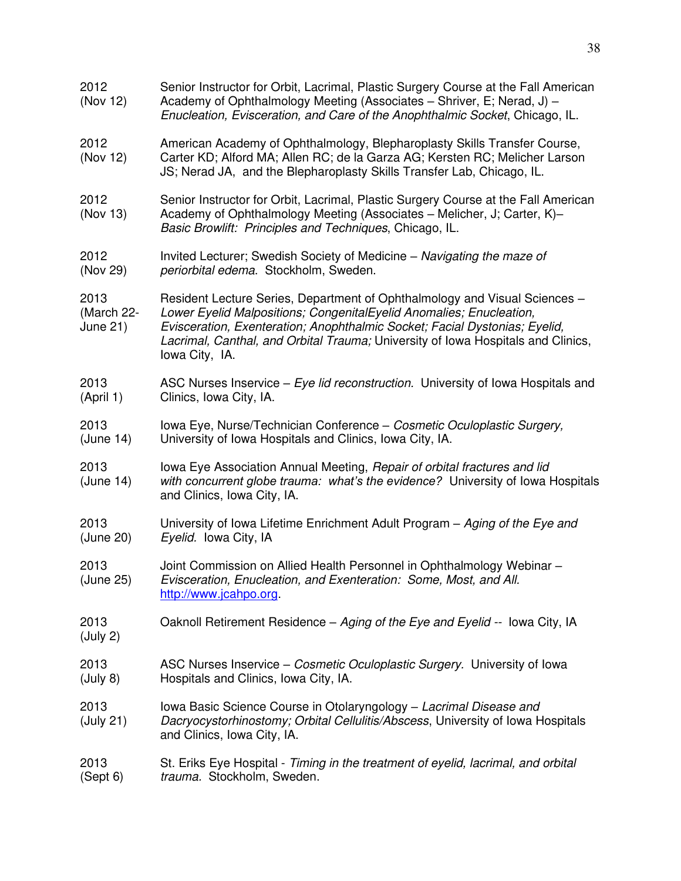| 2012<br>(Nov 12)                      | Senior Instructor for Orbit, Lacrimal, Plastic Surgery Course at the Fall American<br>Academy of Ophthalmology Meeting (Associates – Shriver, E; Nerad, J) –<br>Enucleation, Evisceration, and Care of the Anophthalmic Socket, Chicago, IL.                                                                                          |
|---------------------------------------|---------------------------------------------------------------------------------------------------------------------------------------------------------------------------------------------------------------------------------------------------------------------------------------------------------------------------------------|
| 2012<br>(Nov 12)                      | American Academy of Ophthalmology, Blepharoplasty Skills Transfer Course,<br>Carter KD; Alford MA; Allen RC; de la Garza AG; Kersten RC; Melicher Larson<br>JS; Nerad JA, and the Blepharoplasty Skills Transfer Lab, Chicago, IL.                                                                                                    |
| 2012<br>(Nov 13)                      | Senior Instructor for Orbit, Lacrimal, Plastic Surgery Course at the Fall American<br>Academy of Ophthalmology Meeting (Associates - Melicher, J; Carter, K)-<br>Basic Browlift: Principles and Techniques, Chicago, IL.                                                                                                              |
| 2012<br>(Nov 29)                      | Invited Lecturer; Swedish Society of Medicine - Navigating the maze of<br>periorbital edema. Stockholm, Sweden.                                                                                                                                                                                                                       |
| 2013<br>(March 22-<br><b>June 21)</b> | Resident Lecture Series, Department of Ophthalmology and Visual Sciences -<br>Lower Eyelid Malpositions; CongenitalEyelid Anomalies; Enucleation,<br>Evisceration, Exenteration; Anophthalmic Socket; Facial Dystonias; Eyelid,<br>Lacrimal, Canthal, and Orbital Trauma; University of Iowa Hospitals and Clinics,<br>Iowa City, IA. |
| 2013<br>(April 1)                     | ASC Nurses Inservice - Eye lid reconstruction. University of Iowa Hospitals and<br>Clinics, Iowa City, IA.                                                                                                                                                                                                                            |
| 2013<br>(June 14)                     | Iowa Eye, Nurse/Technician Conference - Cosmetic Oculoplastic Surgery,<br>University of Iowa Hospitals and Clinics, Iowa City, IA.                                                                                                                                                                                                    |
| 2013<br>(June 14)                     | lowa Eye Association Annual Meeting, Repair of orbital fractures and lid<br>with concurrent globe trauma: what's the evidence? University of lowa Hospitals<br>and Clinics, Iowa City, IA.                                                                                                                                            |
| 2013<br>(June 20)                     | University of Iowa Lifetime Enrichment Adult Program - Aging of the Eye and<br>Eyelid. Iowa City, IA                                                                                                                                                                                                                                  |
| 2013<br>(June 25)                     | Joint Commission on Allied Health Personnel in Ophthalmology Webinar -<br>Evisceration, Enucleation, and Exenteration: Some, Most, and All.<br>http://www.jcahpo.org.                                                                                                                                                                 |
| 2013<br>(July 2)                      | Oaknoll Retirement Residence - Aging of the Eye and Eyelid -- Iowa City, IA                                                                                                                                                                                                                                                           |
| 2013<br>(July 8)                      | ASC Nurses Inservice - Cosmetic Oculoplastic Surgery. University of Iowa<br>Hospitals and Clinics, Iowa City, IA.                                                                                                                                                                                                                     |
| 2013<br>(July 21)                     | Iowa Basic Science Course in Otolaryngology - Lacrimal Disease and<br>Dacryocystorhinostomy; Orbital Cellulitis/Abscess, University of Iowa Hospitals<br>and Clinics, Iowa City, IA.                                                                                                                                                  |
| 2013<br>(Sept 6)                      | St. Eriks Eye Hospital - Timing in the treatment of eyelid, lacrimal, and orbital<br>trauma. Stockholm, Sweden.                                                                                                                                                                                                                       |
|                                       |                                                                                                                                                                                                                                                                                                                                       |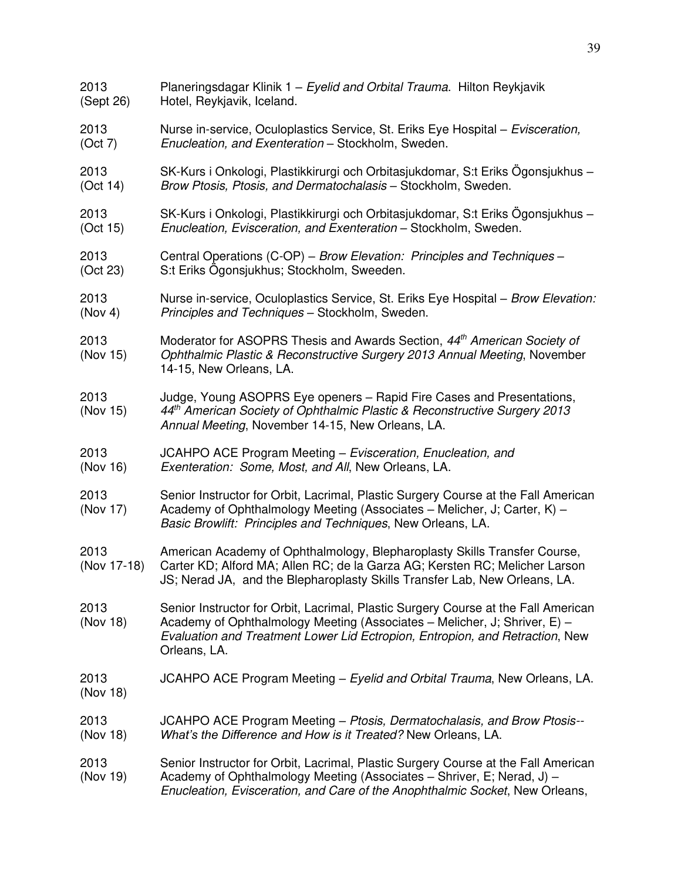| 2013                | Planeringsdagar Klinik 1 - Eyelid and Orbital Trauma. Hilton Reykjavik                                                                                                                                                                                          |
|---------------------|-----------------------------------------------------------------------------------------------------------------------------------------------------------------------------------------------------------------------------------------------------------------|
| (Sept 26)           | Hotel, Reykjavik, Iceland.                                                                                                                                                                                                                                      |
| 2013                | Nurse in-service, Oculoplastics Service, St. Eriks Eye Hospital – Evisceration,                                                                                                                                                                                 |
| (Oct 7)             | Enucleation, and Exenteration - Stockholm, Sweden.                                                                                                                                                                                                              |
| 2013                | SK-Kurs i Onkologi, Plastikkirurgi och Orbitasjukdomar, S:t Eriks Ögonsjukhus -                                                                                                                                                                                 |
| (Oct 14)            | Brow Ptosis, Ptosis, and Dermatochalasis - Stockholm, Sweden.                                                                                                                                                                                                   |
| 2013                | SK-Kurs i Onkologi, Plastikkirurgi och Orbitasjukdomar, S:t Eriks Ogonsjukhus -                                                                                                                                                                                 |
| (Oct 15)            | Enucleation, Evisceration, and Exenteration - Stockholm, Sweden.                                                                                                                                                                                                |
| 2013                | Central Operations (C-OP) – Brow Elevation: Principles and Techniques –                                                                                                                                                                                         |
| (Oct 23)            | S:t Eriks Ögonsjukhus; Stockholm, Sweeden.                                                                                                                                                                                                                      |
| 2013                | Nurse in-service, Oculoplastics Service, St. Eriks Eye Hospital - Brow Elevation:                                                                                                                                                                               |
| (Nov 4)             | Principles and Techniques - Stockholm, Sweden.                                                                                                                                                                                                                  |
| 2013<br>(Nov 15)    | Moderator for ASOPRS Thesis and Awards Section, 44 <sup>th</sup> American Society of<br>Ophthalmic Plastic & Reconstructive Surgery 2013 Annual Meeting, November<br>14-15, New Orleans, LA.                                                                    |
| 2013<br>(Nov 15)    | Judge, Young ASOPRS Eye openers - Rapid Fire Cases and Presentations,<br>44th American Society of Ophthalmic Plastic & Reconstructive Surgery 2013<br>Annual Meeting, November 14-15, New Orleans, LA.                                                          |
| 2013                | JCAHPO ACE Program Meeting - Evisceration, Enucleation, and                                                                                                                                                                                                     |
| (Nov 16)            | Exenteration: Some, Most, and All, New Orleans, LA.                                                                                                                                                                                                             |
| 2013<br>(Nov 17)    | Senior Instructor for Orbit, Lacrimal, Plastic Surgery Course at the Fall American<br>Academy of Ophthalmology Meeting (Associates - Melicher, J; Carter, K) -<br>Basic Browlift: Principles and Techniques, New Orleans, LA.                                   |
| 2013<br>(Nov 17-18) | American Academy of Ophthalmology, Blepharoplasty Skills Transfer Course,<br>Carter KD; Alford MA; Allen RC; de la Garza AG; Kersten RC; Melicher Larson<br>JS; Nerad JA, and the Blepharoplasty Skills Transfer Lab, New Orleans, LA.                          |
| 2013<br>(Nov 18)    | Senior Instructor for Orbit, Lacrimal, Plastic Surgery Course at the Fall American<br>Academy of Ophthalmology Meeting (Associates – Melicher, J; Shriver, E) –<br>Evaluation and Treatment Lower Lid Ectropion, Entropion, and Retraction, New<br>Orleans, LA. |
| 2013<br>(Nov 18)    | JCAHPO ACE Program Meeting – Eyelid and Orbital Trauma, New Orleans, LA.                                                                                                                                                                                        |
| 2013                | JCAHPO ACE Program Meeting - Ptosis, Dermatochalasis, and Brow Ptosis--                                                                                                                                                                                         |
| (Nov 18)            | What's the Difference and How is it Treated? New Orleans, LA.                                                                                                                                                                                                   |
| 2013<br>(Nov 19)    | Senior Instructor for Orbit, Lacrimal, Plastic Surgery Course at the Fall American<br>Academy of Ophthalmology Meeting (Associates – Shriver, E; Nerad, J) –<br>Enucleation, Evisceration, and Care of the Anophthalmic Socket, New Orleans,                    |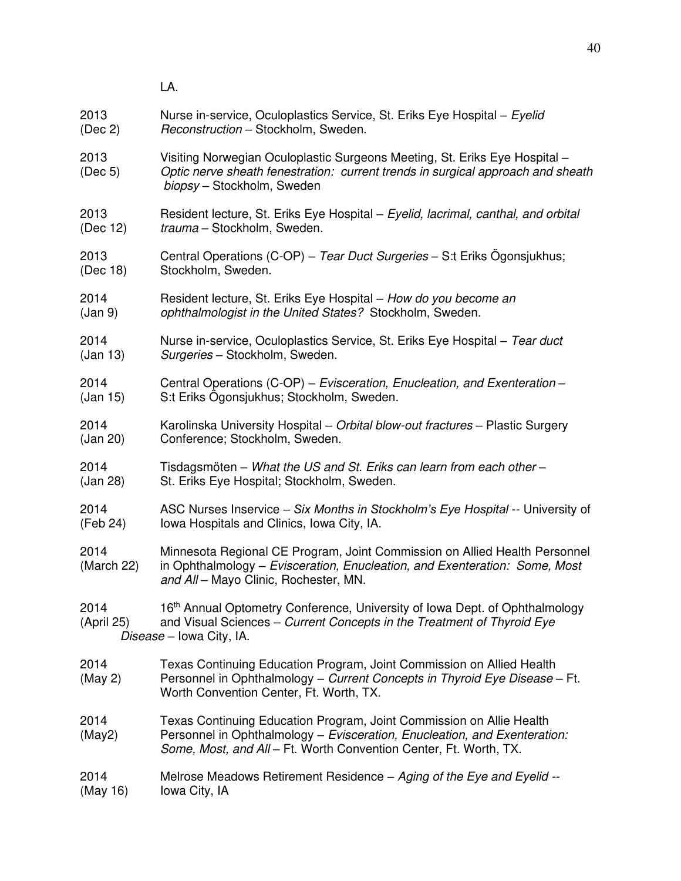LA. 2013 Nurse in-service, Oculoplastics Service, St. Eriks Eye Hospital – *Eyelid*  (Dec 2) *Reconstruction* – Stockholm, Sweden. 2013 Visiting Norwegian Oculoplastic Surgeons Meeting, St. Eriks Eye Hospital – (Dec 5) *Optic nerve sheath fenestration: current trends in surgical approach and sheath biopsy* – Stockholm, Sweden 2013 Resident lecture, St. Eriks Eye Hospital – *Eyelid, lacrimal, canthal, and orbital* trauma – Stockholm, Sweden. 2013 Central Operations (C-OP) – *Tear Duct Surgeries* – S:t Eriks Ögonsjukhus; (Dec 18) Stockholm, Sweden. 2014 Resident lecture, St. Eriks Eye Hospital – *How do you become an*  (Jan 9) *ophthalmologist in the United States?* Stockholm, Sweden. 2014 Nurse in-service, Oculoplastics Service, St. Eriks Eye Hospital – *Tear duct* (Jan 13) *Surgeries* – Stockholm, Sweden. 2014 Central Operations (C-OP) – *Evisceration, Enucleation, and Exenteration –* (Jan 15) S:t Eriks Ögonsjukhus; Stockholm, Sweden. 2014 Karolinska University Hospital – *Orbital blow-out fractures* – Plastic Surgery (Jan 20) Conference; Stockholm, Sweden. 2014 Tisdagsmöten – *What the US and St. Eriks can learn from each other –* (Jan 28) St. Eriks Eye Hospital; Stockholm, Sweden. 2014 ASC Nurses Inservice – *Six Months in Stockholm's Eye Hospital* -- University of (Feb 24) Iowa Hospitals and Clinics, Iowa City, IA. 2014 Minnesota Regional CE Program, Joint Commission on Allied Health Personnel (March 22) in Ophthalmology – *Evisceration, Enucleation, and Exenteration: Some, Most and All* – Mayo Clinic, Rochester, MN. 2014 16<sup>th</sup> Annual Optometry Conference, University of Iowa Dept. of Ophthalmology (April 25) and Visual Sciences – *Current Concepts in the Treatment of Thyroid Eye Disease* – Iowa City, IA. 2014 Texas Continuing Education Program, Joint Commission on Allied Health (May 2) Personnel in Ophthalmology – *Current Concepts in Thyroid Eye Disease* – Ft. Worth Convention Center, Ft. Worth, TX. 2014 Texas Continuing Education Program, Joint Commission on Allie Health (May2) Personnel in Ophthalmology – *Evisceration, Enucleation, and Exenteration: Some, Most, and All* – Ft. Worth Convention Center, Ft. Worth, TX. 2014 Melrose Meadows Retirement Residence – *Aging of the Eye and Eyelid --*  $(May 16)$  Iowa City, IA

40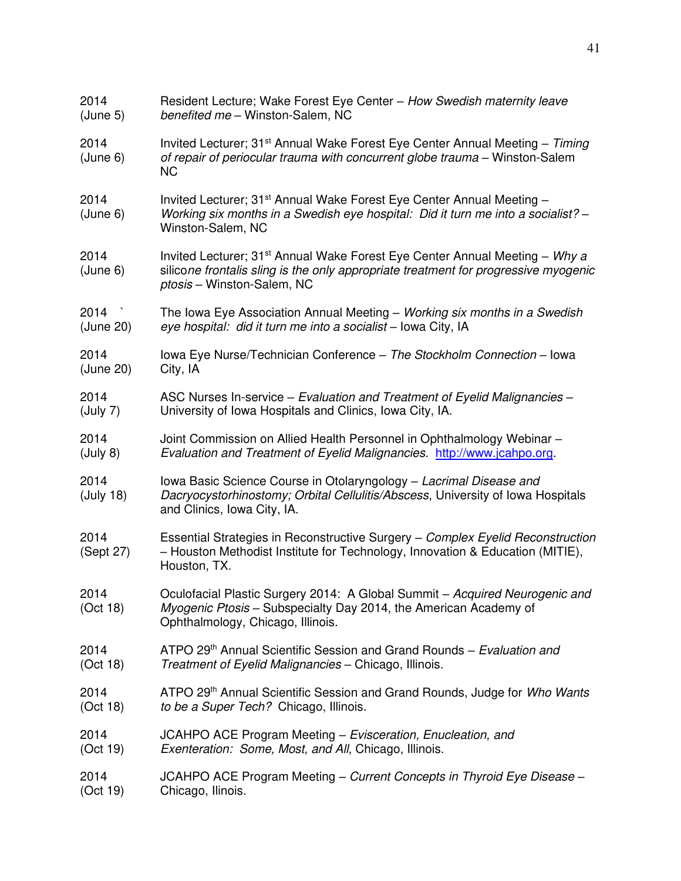| 2014              | Resident Lecture; Wake Forest Eye Center - How Swedish maternity leave                                                                                                                                       |
|-------------------|--------------------------------------------------------------------------------------------------------------------------------------------------------------------------------------------------------------|
| (June 5)          | benefited me - Winston-Salem, NC                                                                                                                                                                             |
| 2014<br>(June 6)  | Invited Lecturer; 31 <sup>st</sup> Annual Wake Forest Eye Center Annual Meeting – Timing<br>of repair of periocular trauma with concurrent globe trauma - Winston-Salem<br><b>NC</b>                         |
| 2014<br>(June 6)  | Invited Lecturer; 31 <sup>st</sup> Annual Wake Forest Eye Center Annual Meeting -<br>Working six months in a Swedish eye hospital: Did it turn me into a socialist? -<br>Winston-Salem, NC                   |
| 2014<br>(June 6)  | Invited Lecturer; 31 <sup>st</sup> Annual Wake Forest Eye Center Annual Meeting - Why a<br>silicone frontalis sling is the only appropriate treatment for progressive myogenic<br>ptosis - Winston-Salem, NC |
| 2014              | The Iowa Eye Association Annual Meeting - Working six months in a Swedish                                                                                                                                    |
| (June 20)         | eye hospital: did it turn me into a socialist - Iowa City, IA                                                                                                                                                |
| 2014              | Iowa Eye Nurse/Technician Conference - The Stockholm Connection - Iowa                                                                                                                                       |
| (June 20)         | City, IA                                                                                                                                                                                                     |
| 2014              | ASC Nurses In-service - Evaluation and Treatment of Eyelid Malignancies -                                                                                                                                    |
| (July 7)          | University of Iowa Hospitals and Clinics, Iowa City, IA.                                                                                                                                                     |
| 2014              | Joint Commission on Allied Health Personnel in Ophthalmology Webinar -                                                                                                                                       |
| (July 8)          | Evaluation and Treatment of Eyelid Malignancies http://www.jcahpo.org.                                                                                                                                       |
| 2014<br>(July 18) | Iowa Basic Science Course in Otolaryngology - Lacrimal Disease and<br>Dacryocystorhinostomy; Orbital Cellulitis/Abscess, University of Iowa Hospitals<br>and Clinics, Iowa City, IA.                         |
| 2014<br>(Sept 27) | Essential Strategies in Reconstructive Surgery - Complex Eyelid Reconstruction<br>- Houston Methodist Institute for Technology, Innovation & Education (MITIE),<br>Houston, TX.                              |
| 2014<br>(Oct 18)  | Oculofacial Plastic Surgery 2014: A Global Summit - Acquired Neurogenic and<br>Myogenic Ptosis - Subspecialty Day 2014, the American Academy of<br>Ophthalmology, Chicago, Illinois.                         |
| 2014              | ATPO 29th Annual Scientific Session and Grand Rounds – Evaluation and                                                                                                                                        |
| (Oct 18)          | Treatment of Eyelid Malignancies - Chicago, Illinois.                                                                                                                                                        |
| 2014              | ATPO 29 <sup>th</sup> Annual Scientific Session and Grand Rounds, Judge for <i>Who Wants</i>                                                                                                                 |
| (Oct 18)          | to be a Super Tech? Chicago, Illinois.                                                                                                                                                                       |
| 2014              | JCAHPO ACE Program Meeting - Evisceration, Enucleation, and                                                                                                                                                  |
| (Oct 19)          | Exenteration: Some, Most, and All, Chicago, Illinois.                                                                                                                                                        |
| 2014              | JCAHPO ACE Program Meeting – Current Concepts in Thyroid Eye Disease –                                                                                                                                       |
| (Oct 19)          | Chicago, Ilinois.                                                                                                                                                                                            |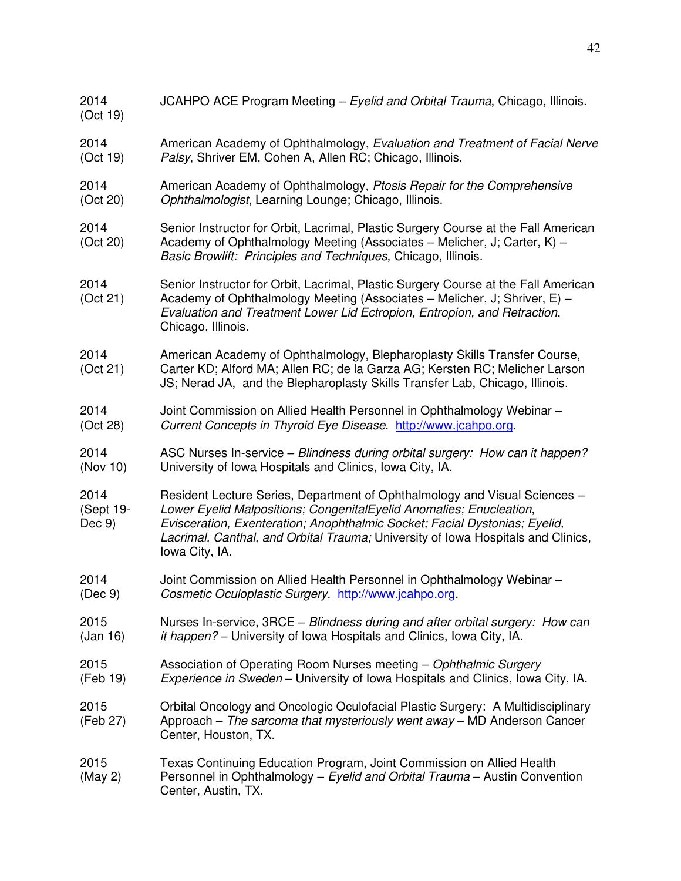| 2014<br>(Oct 19)            | JCAHPO ACE Program Meeting - Eyelid and Orbital Trauma, Chicago, Illinois.                                                                                                                                                                                                                                                            |
|-----------------------------|---------------------------------------------------------------------------------------------------------------------------------------------------------------------------------------------------------------------------------------------------------------------------------------------------------------------------------------|
| 2014                        | American Academy of Ophthalmology, Evaluation and Treatment of Facial Nerve                                                                                                                                                                                                                                                           |
| (Oct 19)                    | Palsy, Shriver EM, Cohen A, Allen RC; Chicago, Illinois.                                                                                                                                                                                                                                                                              |
| 2014                        | American Academy of Ophthalmology, Ptosis Repair for the Comprehensive                                                                                                                                                                                                                                                                |
| (Oct 20)                    | Ophthalmologist, Learning Lounge; Chicago, Illinois.                                                                                                                                                                                                                                                                                  |
| 2014<br>(Oct 20)            | Senior Instructor for Orbit, Lacrimal, Plastic Surgery Course at the Fall American<br>Academy of Ophthalmology Meeting (Associates – Melicher, J; Carter, K) –<br>Basic Browlift: Principles and Techniques, Chicago, Illinois.                                                                                                       |
| 2014<br>(Oct 21)            | Senior Instructor for Orbit, Lacrimal, Plastic Surgery Course at the Fall American<br>Academy of Ophthalmology Meeting (Associates - Melicher, J; Shriver, E) -<br>Evaluation and Treatment Lower Lid Ectropion, Entropion, and Retraction,<br>Chicago, Illinois.                                                                     |
| 2014<br>(Oct 21)            | American Academy of Ophthalmology, Blepharoplasty Skills Transfer Course,<br>Carter KD; Alford MA; Allen RC; de la Garza AG; Kersten RC; Melicher Larson<br>JS; Nerad JA, and the Blepharoplasty Skills Transfer Lab, Chicago, Illinois.                                                                                              |
| 2014                        | Joint Commission on Allied Health Personnel in Ophthalmology Webinar -                                                                                                                                                                                                                                                                |
| (Oct 28)                    | Current Concepts in Thyroid Eye Disease. http://www.jcahpo.org.                                                                                                                                                                                                                                                                       |
| 2014                        | ASC Nurses In-service - Blindness during orbital surgery: How can it happen?                                                                                                                                                                                                                                                          |
| (Nov 10)                    | University of Iowa Hospitals and Clinics, Iowa City, IA.                                                                                                                                                                                                                                                                              |
| 2014<br>(Sept 19-<br>Dec 9) | Resident Lecture Series, Department of Ophthalmology and Visual Sciences -<br>Lower Eyelid Malpositions; CongenitalEyelid Anomalies; Enucleation,<br>Evisceration, Exenteration; Anophthalmic Socket; Facial Dystonias; Eyelid,<br>Lacrimal, Canthal, and Orbital Trauma; University of Iowa Hospitals and Clinics,<br>Iowa City, IA. |
| 2014                        | Joint Commission on Allied Health Personnel in Ophthalmology Webinar -                                                                                                                                                                                                                                                                |
| (Dec 9)                     | Cosmetic Oculoplastic Surgery. http://www.jcahpo.org.                                                                                                                                                                                                                                                                                 |
| 2015                        | Nurses In-service, 3RCE – Blindness during and after orbital surgery: How can                                                                                                                                                                                                                                                         |
| (Jan 16)                    | <i>it happen?</i> – University of Iowa Hospitals and Clinics, Iowa City, IA.                                                                                                                                                                                                                                                          |
| 2015                        | Association of Operating Room Nurses meeting - Ophthalmic Surgery                                                                                                                                                                                                                                                                     |
| (Feb 19)                    | Experience in Sweden - University of Iowa Hospitals and Clinics, Iowa City, IA.                                                                                                                                                                                                                                                       |
| 2015<br>(Feb 27)            | Orbital Oncology and Oncologic Oculofacial Plastic Surgery: A Multidisciplinary<br>Approach $-$ The sarcoma that mysteriously went away $-$ MD Anderson Cancer<br>Center, Houston, TX.                                                                                                                                                |
| 2015<br>(May 2)             | Texas Continuing Education Program, Joint Commission on Allied Health<br>Personnel in Ophthalmology - Eyelid and Orbital Trauma - Austin Convention<br>Center, Austin, TX.                                                                                                                                                            |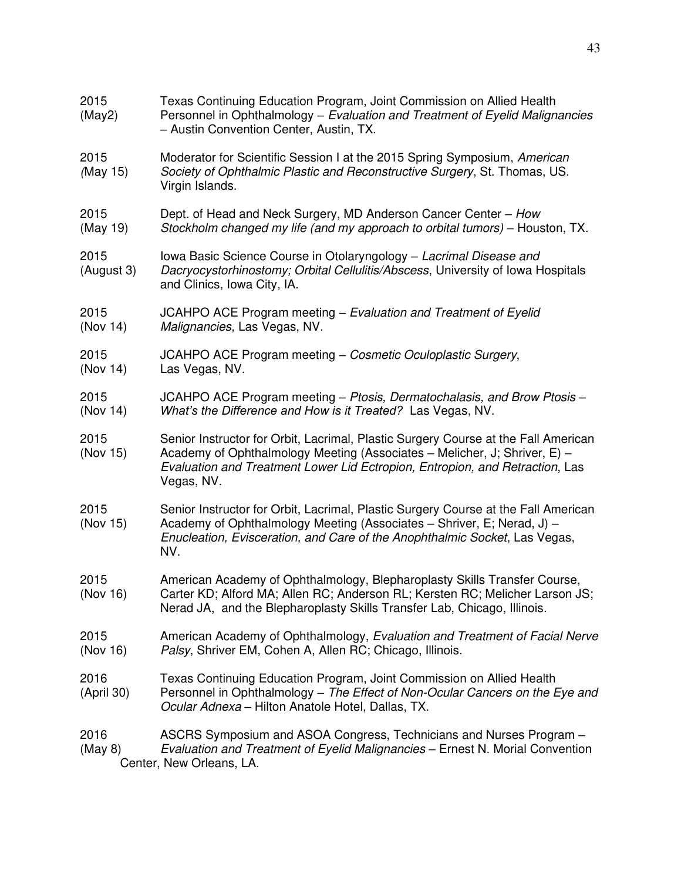| 2015<br>(May2)     | Texas Continuing Education Program, Joint Commission on Allied Health<br>Personnel in Ophthalmology – Evaluation and Treatment of Eyelid Malignancies<br>- Austin Convention Center, Austin, TX.                                                              |
|--------------------|---------------------------------------------------------------------------------------------------------------------------------------------------------------------------------------------------------------------------------------------------------------|
| 2015<br>(May 15)   | Moderator for Scientific Session I at the 2015 Spring Symposium, American<br>Society of Ophthalmic Plastic and Reconstructive Surgery, St. Thomas, US.<br>Virgin Islands.                                                                                     |
| 2015<br>(May 19)   | Dept. of Head and Neck Surgery, MD Anderson Cancer Center - How<br>Stockholm changed my life (and my approach to orbital tumors) – Houston, TX.                                                                                                               |
| 2015<br>(August 3) | Iowa Basic Science Course in Otolaryngology - Lacrimal Disease and<br>Dacryocystorhinostomy; Orbital Cellulitis/Abscess, University of Iowa Hospitals<br>and Clinics, Iowa City, IA.                                                                          |
| 2015<br>(Nov 14)   | JCAHPO ACE Program meeting – Evaluation and Treatment of Eyelid<br>Malignancies, Las Vegas, NV.                                                                                                                                                               |
| 2015<br>(Nov 14)   | JCAHPO ACE Program meeting - Cosmetic Oculoplastic Surgery,<br>Las Vegas, NV.                                                                                                                                                                                 |
| 2015<br>(Nov 14)   | JCAHPO ACE Program meeting – Ptosis, Dermatochalasis, and Brow Ptosis –<br>What's the Difference and How is it Treated? Las Vegas, NV.                                                                                                                        |
| 2015<br>(Nov 15)   | Senior Instructor for Orbit, Lacrimal, Plastic Surgery Course at the Fall American<br>Academy of Ophthalmology Meeting (Associates – Melicher, J; Shriver, E) –<br>Evaluation and Treatment Lower Lid Ectropion, Entropion, and Retraction, Las<br>Vegas, NV. |
| 2015<br>(Nov 15)   | Senior Instructor for Orbit, Lacrimal, Plastic Surgery Course at the Fall American<br>Academy of Ophthalmology Meeting (Associates – Shriver, E; Nerad, J) –<br>Enucleation, Evisceration, and Care of the Anophthalmic Socket, Las Vegas,<br>NV.             |
| 2015<br>(Nov 16)   | American Academy of Ophthalmology, Blepharoplasty Skills Transfer Course,<br>Carter KD; Alford MA; Allen RC; Anderson RL; Kersten RC; Melicher Larson JS;<br>Nerad JA, and the Blepharoplasty Skills Transfer Lab, Chicago, Illinois.                         |
| 2015<br>(Nov 16)   | American Academy of Ophthalmology, Evaluation and Treatment of Facial Nerve<br>Palsy, Shriver EM, Cohen A, Allen RC; Chicago, Illinois.                                                                                                                       |
| 2016<br>(April 30) | Texas Continuing Education Program, Joint Commission on Allied Health<br>Personnel in Ophthalmology - The Effect of Non-Ocular Cancers on the Eye and<br>Ocular Adnexa - Hilton Anatole Hotel, Dallas, TX.                                                    |
| 2016<br>(May 8)    | ASCRS Symposium and ASOA Congress, Technicians and Nurses Program -<br>Evaluation and Treatment of Eyelid Malignancies - Ernest N. Morial Convention<br>Center, New Orleans, LA.                                                                              |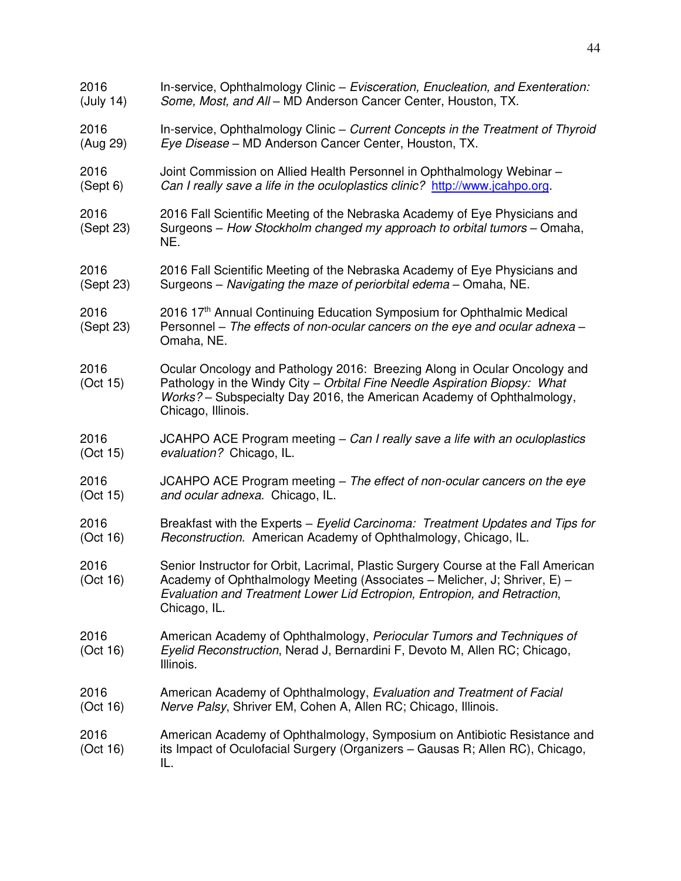| 2016              | In-service, Ophthalmology Clinic - Evisceration, Enucleation, and Exenteration:                                                                                                                                                                             |
|-------------------|-------------------------------------------------------------------------------------------------------------------------------------------------------------------------------------------------------------------------------------------------------------|
| (July 14)         | Some, Most, and All - MD Anderson Cancer Center, Houston, TX.                                                                                                                                                                                               |
| 2016              | In-service, Ophthalmology Clinic – Current Concepts in the Treatment of Thyroid                                                                                                                                                                             |
| (Aug 29)          | Eye Disease - MD Anderson Cancer Center, Houston, TX.                                                                                                                                                                                                       |
| 2016              | Joint Commission on Allied Health Personnel in Ophthalmology Webinar -                                                                                                                                                                                      |
| (Sept 6)          | Can I really save a life in the oculoplastics clinic? http://www.jcahpo.org.                                                                                                                                                                                |
| 2016<br>(Sept 23) | 2016 Fall Scientific Meeting of the Nebraska Academy of Eye Physicians and<br>Surgeons – How Stockholm changed my approach to orbital tumors – Omaha,<br>NE.                                                                                                |
| 2016              | 2016 Fall Scientific Meeting of the Nebraska Academy of Eye Physicians and                                                                                                                                                                                  |
| (Sept 23)         | Surgeons - Navigating the maze of periorbital edema - Omaha, NE.                                                                                                                                                                                            |
| 2016<br>(Sept 23) | 2016 17th Annual Continuing Education Symposium for Ophthalmic Medical<br>Personnel - The effects of non-ocular cancers on the eye and ocular adnexa -<br>Omaha, NE.                                                                                        |
| 2016<br>(Oct 15)  | Ocular Oncology and Pathology 2016: Breezing Along in Ocular Oncology and<br>Pathology in the Windy City - Orbital Fine Needle Aspiration Biopsy: What<br>Works? – Subspecialty Day 2016, the American Academy of Ophthalmology,<br>Chicago, Illinois.      |
| 2016              | JCAHPO ACE Program meeting $-$ Can I really save a life with an oculoplastics                                                                                                                                                                               |
| (Oct 15)          | evaluation? Chicago, IL.                                                                                                                                                                                                                                    |
| 2016              | JCAHPO ACE Program meeting – The effect of non-ocular cancers on the eye                                                                                                                                                                                    |
| (Oct 15)          | and ocular adnexa. Chicago, IL.                                                                                                                                                                                                                             |
| 2016              | Breakfast with the Experts – Eyelid Carcinoma: Treatment Updates and Tips for                                                                                                                                                                               |
| (Oct 16)          | Reconstruction. American Academy of Ophthalmology, Chicago, IL.                                                                                                                                                                                             |
| 2016<br>(Oct 16)  | Senior Instructor for Orbit, Lacrimal, Plastic Surgery Course at the Fall American<br>Academy of Ophthalmology Meeting (Associates - Melicher, J; Shriver, E) -<br>Evaluation and Treatment Lower Lid Ectropion, Entropion, and Retraction,<br>Chicago, IL. |
| 2016<br>(Oct 16)  | American Academy of Ophthalmology, Periocular Tumors and Techniques of<br>Eyelid Reconstruction, Nerad J, Bernardini F, Devoto M, Allen RC; Chicago,<br>Illinois.                                                                                           |
| 2016              | American Academy of Ophthalmology, Evaluation and Treatment of Facial                                                                                                                                                                                       |
| (Oct 16)          | Nerve Palsy, Shriver EM, Cohen A, Allen RC; Chicago, Illinois.                                                                                                                                                                                              |
| 2016<br>(Oct 16)  | American Academy of Ophthalmology, Symposium on Antibiotic Resistance and<br>its Impact of Oculofacial Surgery (Organizers – Gausas R; Allen RC), Chicago,<br>IL.                                                                                           |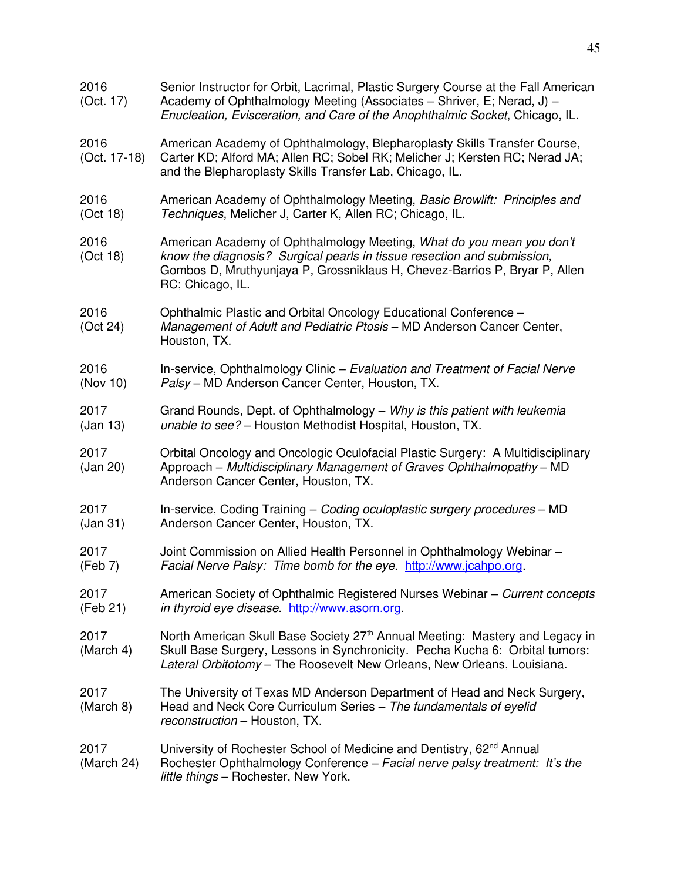| 2016<br>(Oct. 17)      | Senior Instructor for Orbit, Lacrimal, Plastic Surgery Course at the Fall American<br>Academy of Ophthalmology Meeting (Associates – Shriver, E; Nerad, J) –<br>Enucleation, Evisceration, and Care of the Anophthalmic Socket, Chicago, IL.        |
|------------------------|-----------------------------------------------------------------------------------------------------------------------------------------------------------------------------------------------------------------------------------------------------|
| 2016<br>$(Oct. 17-18)$ | American Academy of Ophthalmology, Blepharoplasty Skills Transfer Course,<br>Carter KD; Alford MA; Allen RC; Sobel RK; Melicher J; Kersten RC; Nerad JA;<br>and the Blepharoplasty Skills Transfer Lab, Chicago, IL.                                |
| 2016<br>(Oct 18)       | American Academy of Ophthalmology Meeting, Basic Browlift: Principles and<br>Techniques, Melicher J, Carter K, Allen RC; Chicago, IL.                                                                                                               |
| 2016<br>(Oct 18)       | American Academy of Ophthalmology Meeting, What do you mean you don't<br>know the diagnosis? Surgical pearls in tissue resection and submission,<br>Gombos D, Mruthyunjaya P, Grossniklaus H, Chevez-Barrios P, Bryar P, Allen<br>RC; Chicago, IL.  |
| 2016<br>(Oct 24)       | Ophthalmic Plastic and Orbital Oncology Educational Conference -<br>Management of Adult and Pediatric Ptosis - MD Anderson Cancer Center,<br>Houston, TX.                                                                                           |
| 2016<br>(Nov 10)       | In-service, Ophthalmology Clinic - Evaluation and Treatment of Facial Nerve<br>Palsy - MD Anderson Cancer Center, Houston, TX.                                                                                                                      |
| 2017<br>(Jan 13)       | Grand Rounds, Dept. of Ophthalmology - Why is this patient with leukemia<br>unable to see? - Houston Methodist Hospital, Houston, TX.                                                                                                               |
| 2017<br>(Jan 20)       | Orbital Oncology and Oncologic Oculofacial Plastic Surgery: A Multidisciplinary<br>Approach - Multidisciplinary Management of Graves Ophthalmopathy - MD<br>Anderson Cancer Center, Houston, TX.                                                    |
| 2017<br>(Jan 31)       | In-service, Coding Training - Coding oculoplastic surgery procedures - MD<br>Anderson Cancer Center, Houston, TX.                                                                                                                                   |
| 2017<br>(Feb 7)        | Joint Commission on Allied Health Personnel in Ophthalmology Webinar -<br>Facial Nerve Palsy: Time bomb for the eye. http://www.jcahpo.org.                                                                                                         |
| 2017<br>(Feb 21)       | American Society of Ophthalmic Registered Nurses Webinar - Current concepts<br>in thyroid eye disease. http://www.asorn.org.                                                                                                                        |
| 2017<br>(March 4)      | North American Skull Base Society 27 <sup>th</sup> Annual Meeting: Mastery and Legacy in<br>Skull Base Surgery, Lessons in Synchronicity. Pecha Kucha 6: Orbital tumors:<br>Lateral Orbitotomy - The Roosevelt New Orleans, New Orleans, Louisiana. |
| 2017<br>(March 8)      | The University of Texas MD Anderson Department of Head and Neck Surgery,<br>Head and Neck Core Curriculum Series - The fundamentals of eyelid<br>reconstruction - Houston, TX.                                                                      |
| 2017<br>(March 24)     | University of Rochester School of Medicine and Dentistry, 62 <sup>nd</sup> Annual<br>Rochester Ophthalmology Conference - Facial nerve palsy treatment: It's the<br>little things - Rochester, New York.                                            |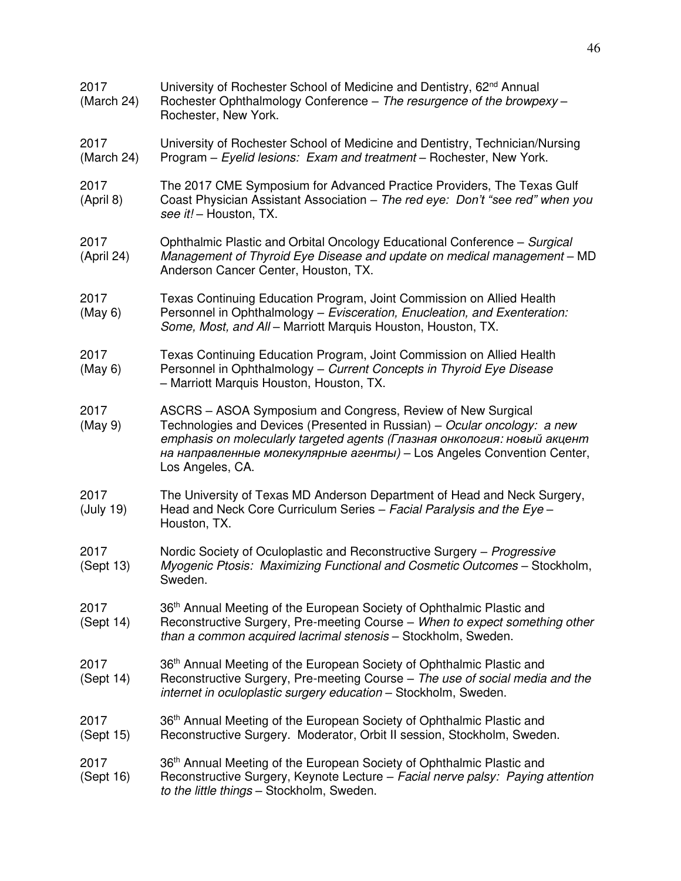| 2017<br>(March 24) | University of Rochester School of Medicine and Dentistry, 62 <sup>nd</sup> Annual<br>Rochester Ophthalmology Conference - The resurgence of the browpexy -<br>Rochester, New York.                                                                                                                               |
|--------------------|------------------------------------------------------------------------------------------------------------------------------------------------------------------------------------------------------------------------------------------------------------------------------------------------------------------|
| 2017<br>(March 24) | University of Rochester School of Medicine and Dentistry, Technician/Nursing<br>Program - Eyelid lesions: Exam and treatment - Rochester, New York.                                                                                                                                                              |
| 2017<br>(April 8)  | The 2017 CME Symposium for Advanced Practice Providers, The Texas Gulf<br>Coast Physician Assistant Association - The red eye: Don't "see red" when you<br>see it! - Houston, TX.                                                                                                                                |
| 2017<br>(April 24) | Ophthalmic Plastic and Orbital Oncology Educational Conference - Surgical<br>Management of Thyroid Eye Disease and update on medical management - MD<br>Anderson Cancer Center, Houston, TX.                                                                                                                     |
| 2017<br>(May 6)    | Texas Continuing Education Program, Joint Commission on Allied Health<br>Personnel in Ophthalmology - Evisceration, Enucleation, and Exenteration:<br>Some, Most, and All - Marriott Marquis Houston, Houston, TX.                                                                                               |
| 2017<br>(May 6)    | Texas Continuing Education Program, Joint Commission on Allied Health<br>Personnel in Ophthalmology - Current Concepts in Thyroid Eye Disease<br>- Marriott Marquis Houston, Houston, TX.                                                                                                                        |
| 2017<br>(May 9)    | ASCRS - ASOA Symposium and Congress, Review of New Surgical<br>Technologies and Devices (Presented in Russian) – Ocular oncology: a new<br>emphasis on molecularly targeted agents (Глазная онкология: новый акцент<br>на направленные молекулярные агенты) - Los Angeles Convention Center,<br>Los Angeles, CA. |
| 2017<br>(July 19)  | The University of Texas MD Anderson Department of Head and Neck Surgery,<br>Head and Neck Core Curriculum Series - Facial Paralysis and the Eye -<br>Houston, TX.                                                                                                                                                |
| 2017<br>(Sept 13)  | Nordic Society of Oculoplastic and Reconstructive Surgery - Progressive<br>Myogenic Ptosis: Maximizing Functional and Cosmetic Outcomes - Stockholm,<br>Sweden.                                                                                                                                                  |
| 2017<br>(Sept 14)  | 36th Annual Meeting of the European Society of Ophthalmic Plastic and<br>Reconstructive Surgery, Pre-meeting Course - When to expect something other<br>than a common acquired lacrimal stenosis - Stockholm, Sweden.                                                                                            |
| 2017<br>(Sept 14)  | 36 <sup>th</sup> Annual Meeting of the European Society of Ophthalmic Plastic and<br>Reconstructive Surgery, Pre-meeting Course - The use of social media and the<br>internet in oculoplastic surgery education - Stockholm, Sweden.                                                                             |
| 2017<br>(Sept 15)  | 36 <sup>th</sup> Annual Meeting of the European Society of Ophthalmic Plastic and<br>Reconstructive Surgery. Moderator, Orbit II session, Stockholm, Sweden.                                                                                                                                                     |
| 2017<br>(Sept 16)  | 36 <sup>th</sup> Annual Meeting of the European Society of Ophthalmic Plastic and<br>Reconstructive Surgery, Keynote Lecture - Facial nerve palsy: Paying attention<br>to the little things - Stockholm, Sweden.                                                                                                 |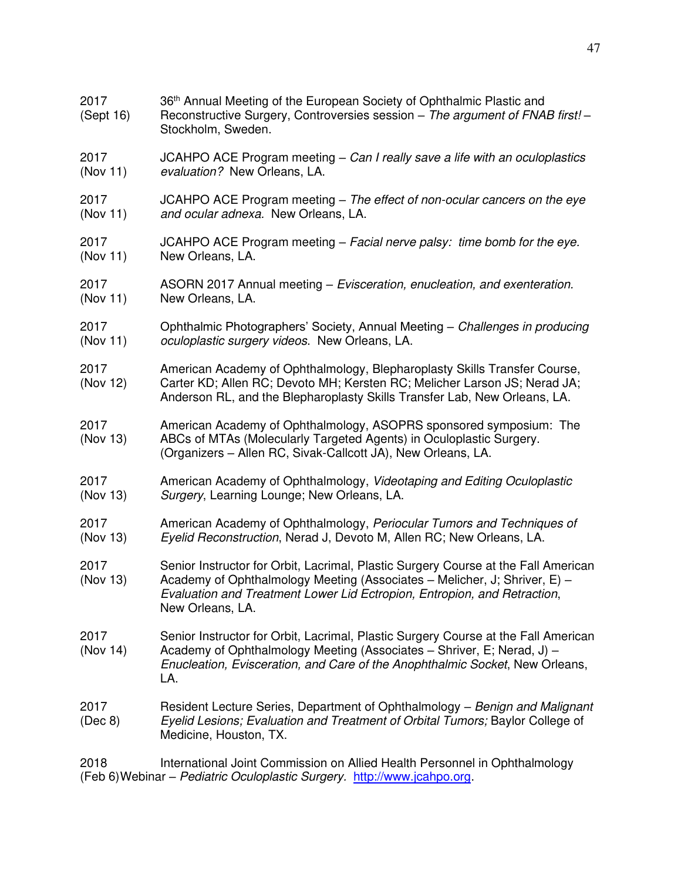| 2017<br>(Sept 16) | 36 <sup>th</sup> Annual Meeting of the European Society of Ophthalmic Plastic and<br>Reconstructive Surgery, Controversies session – The argument of FNAB first! –<br>Stockholm, Sweden.                                                                        |
|-------------------|-----------------------------------------------------------------------------------------------------------------------------------------------------------------------------------------------------------------------------------------------------------------|
| 2017              | JCAHPO ACE Program meeting $-$ Can I really save a life with an oculoplastics                                                                                                                                                                                   |
| (Nov 11)          | evaluation? New Orleans, LA.                                                                                                                                                                                                                                    |
| 2017              | JCAHPO ACE Program meeting - The effect of non-ocular cancers on the eye                                                                                                                                                                                        |
| (Nov 11)          | and ocular adnexa. New Orleans, LA.                                                                                                                                                                                                                             |
| 2017              | JCAHPO ACE Program meeting - Facial nerve palsy: time bomb for the eye.                                                                                                                                                                                         |
| (Nov 11)          | New Orleans, LA.                                                                                                                                                                                                                                                |
| 2017              | ASORN 2017 Annual meeting – Evisceration, enucleation, and exenteration.                                                                                                                                                                                        |
| (Nov 11)          | New Orleans, LA.                                                                                                                                                                                                                                                |
| 2017              | Ophthalmic Photographers' Society, Annual Meeting - Challenges in producing                                                                                                                                                                                     |
| (Nov 11)          | oculoplastic surgery videos. New Orleans, LA.                                                                                                                                                                                                                   |
| 2017<br>(Nov 12)  | American Academy of Ophthalmology, Blepharoplasty Skills Transfer Course,<br>Carter KD; Allen RC; Devoto MH; Kersten RC; Melicher Larson JS; Nerad JA;<br>Anderson RL, and the Blepharoplasty Skills Transfer Lab, New Orleans, LA.                             |
| 2017<br>(Nov 13)  | American Academy of Ophthalmology, ASOPRS sponsored symposium: The<br>ABCs of MTAs (Molecularly Targeted Agents) in Oculoplastic Surgery.<br>(Organizers - Allen RC, Sivak-Callcott JA), New Orleans, LA.                                                       |
| 2017              | American Academy of Ophthalmology, Videotaping and Editing Oculoplastic                                                                                                                                                                                         |
| (Nov 13)          | Surgery, Learning Lounge; New Orleans, LA.                                                                                                                                                                                                                      |
| 2017              | American Academy of Ophthalmology, Periocular Tumors and Techniques of                                                                                                                                                                                          |
| (Nov 13)          | Eyelid Reconstruction, Nerad J, Devoto M, Allen RC; New Orleans, LA.                                                                                                                                                                                            |
| 2017<br>(Nov 13)  | Senior Instructor for Orbit, Lacrimal, Plastic Surgery Course at the Fall American<br>Academy of Ophthalmology Meeting (Associates – Melicher, J; Shriver, E) –<br>Evaluation and Treatment Lower Lid Ectropion, Entropion, and Retraction,<br>New Orleans, LA. |
| 2017<br>(Nov 14)  | Senior Instructor for Orbit, Lacrimal, Plastic Surgery Course at the Fall American<br>Academy of Ophthalmology Meeting (Associates – Shriver, E; Nerad, J) –<br>Enucleation, Evisceration, and Care of the Anophthalmic Socket, New Orleans,<br>LA.             |
| 2017<br>(Dec 8)   | Resident Lecture Series, Department of Ophthalmology – Benign and Malignant<br>Eyelid Lesions; Evaluation and Treatment of Orbital Tumors; Baylor College of<br>Medicine, Houston, TX.                                                                          |
| 2018              | International Joint Commission on Allied Health Personnel in Ophthalmology<br>(Feb 6) Webinar - Pediatric Oculoplastic Surgery. http://www.jcahpo.org.                                                                                                          |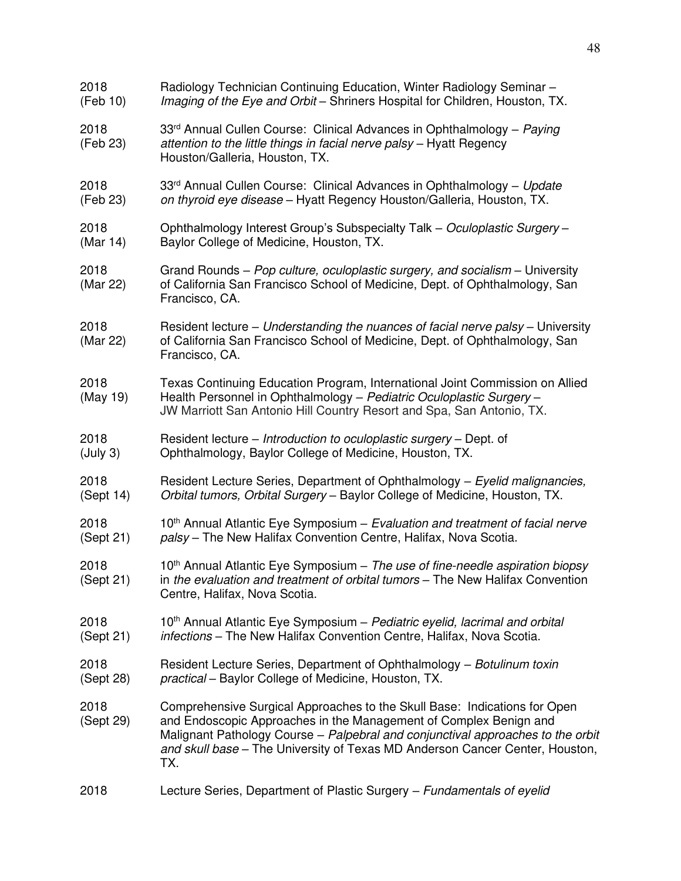| 2018              | Radiology Technician Continuing Education, Winter Radiology Seminar -                                                                                                                                                                                                                                                    |
|-------------------|--------------------------------------------------------------------------------------------------------------------------------------------------------------------------------------------------------------------------------------------------------------------------------------------------------------------------|
| (Feb 10)          | Imaging of the Eye and Orbit - Shriners Hospital for Children, Houston, TX.                                                                                                                                                                                                                                              |
| 2018<br>(Feb 23)  | 33 <sup>rd</sup> Annual Cullen Course: Clinical Advances in Ophthalmology - Paying<br>attention to the little things in facial nerve palsy - Hyatt Regency<br>Houston/Galleria, Houston, TX.                                                                                                                             |
| 2018              | 33rd Annual Cullen Course: Clinical Advances in Ophthalmology - Update                                                                                                                                                                                                                                                   |
| (Feb 23)          | on thyroid eye disease - Hyatt Regency Houston/Galleria, Houston, TX.                                                                                                                                                                                                                                                    |
| 2018              | Ophthalmology Interest Group's Subspecialty Talk - Oculoplastic Surgery -                                                                                                                                                                                                                                                |
| (Mar 14)          | Baylor College of Medicine, Houston, TX.                                                                                                                                                                                                                                                                                 |
| 2018<br>(Mar 22)  | Grand Rounds – Pop culture, oculoplastic surgery, and socialism – University<br>of California San Francisco School of Medicine, Dept. of Ophthalmology, San<br>Francisco, CA.                                                                                                                                            |
| 2018<br>(Mar 22)  | Resident lecture – Understanding the nuances of facial nerve palsy – University<br>of California San Francisco School of Medicine, Dept. of Ophthalmology, San<br>Francisco, CA.                                                                                                                                         |
| 2018<br>(May 19)  | Texas Continuing Education Program, International Joint Commission on Allied<br>Health Personnel in Ophthalmology - Pediatric Oculoplastic Surgery -<br>JW Marriott San Antonio Hill Country Resort and Spa, San Antonio, TX.                                                                                            |
| 2018              | Resident lecture - Introduction to oculoplastic surgery - Dept. of                                                                                                                                                                                                                                                       |
| (July 3)          | Ophthalmology, Baylor College of Medicine, Houston, TX.                                                                                                                                                                                                                                                                  |
| 2018              | Resident Lecture Series, Department of Ophthalmology - Eyelid malignancies,                                                                                                                                                                                                                                              |
| (Sept 14)         | Orbital tumors, Orbital Surgery - Baylor College of Medicine, Houston, TX.                                                                                                                                                                                                                                               |
| 2018              | 10 <sup>th</sup> Annual Atlantic Eye Symposium – Evaluation and treatment of facial nerve                                                                                                                                                                                                                                |
| (Sept 21)         | palsy - The New Halifax Convention Centre, Halifax, Nova Scotia.                                                                                                                                                                                                                                                         |
| 2018<br>(Sept 21) | $10th$ Annual Atlantic Eye Symposium – The use of fine-needle aspiration biopsy<br>in the evaluation and treatment of orbital tumors - The New Halifax Convention<br>Centre, Halifax, Nova Scotia.                                                                                                                       |
| 2018              | 10 <sup>th</sup> Annual Atlantic Eye Symposium – Pediatric eyelid, lacrimal and orbital                                                                                                                                                                                                                                  |
| (Sept 21)         | infections - The New Halifax Convention Centre, Halifax, Nova Scotia.                                                                                                                                                                                                                                                    |
| 2018              | Resident Lecture Series, Department of Ophthalmology - Botulinum toxin                                                                                                                                                                                                                                                   |
| (Sept 28)         | practical - Baylor College of Medicine, Houston, TX.                                                                                                                                                                                                                                                                     |
| 2018<br>(Sept 29) | Comprehensive Surgical Approaches to the Skull Base: Indications for Open<br>and Endoscopic Approaches in the Management of Complex Benign and<br>Malignant Pathology Course - Palpebral and conjunctival approaches to the orbit<br>and skull base - The University of Texas MD Anderson Cancer Center, Houston,<br>TX. |
| 2018              | Lecture Series, Department of Plastic Surgery – Fundamentals of eyelid                                                                                                                                                                                                                                                   |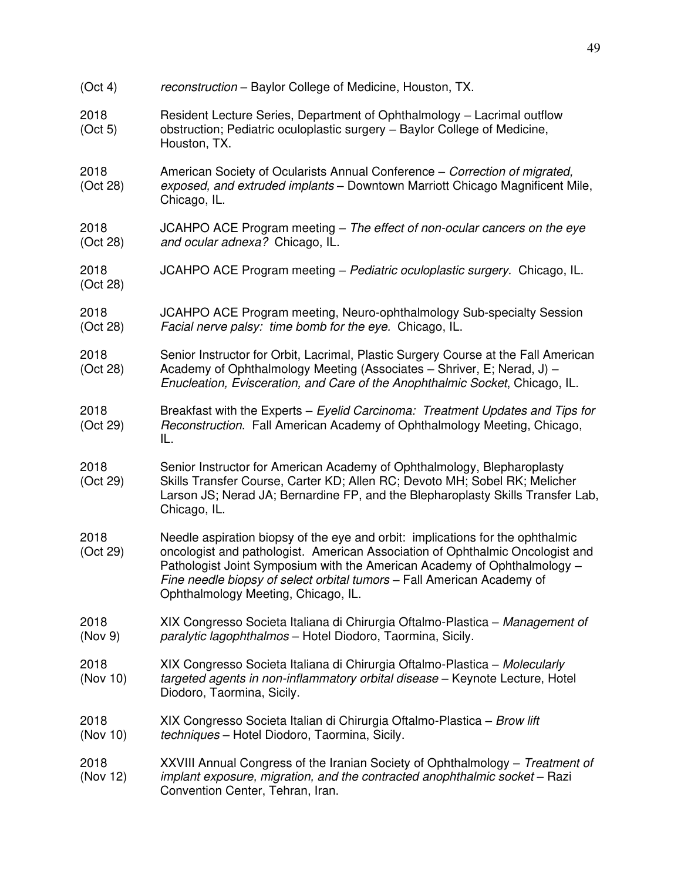| (Oct 4)          | reconstruction - Baylor College of Medicine, Houston, TX.                                                                                                                                                                                                                                                                                                    |
|------------------|--------------------------------------------------------------------------------------------------------------------------------------------------------------------------------------------------------------------------------------------------------------------------------------------------------------------------------------------------------------|
| 2018<br>(Oct 5)  | Resident Lecture Series, Department of Ophthalmology - Lacrimal outflow<br>obstruction; Pediatric oculoplastic surgery - Baylor College of Medicine,<br>Houston, TX.                                                                                                                                                                                         |
| 2018<br>(Oct 28) | American Society of Ocularists Annual Conference - Correction of migrated,<br>exposed, and extruded implants - Downtown Marriott Chicago Magnificent Mile,<br>Chicago, IL.                                                                                                                                                                                   |
| 2018<br>(Oct 28) | JCAHPO ACE Program meeting – The effect of non-ocular cancers on the eye<br>and ocular adnexa? Chicago, IL.                                                                                                                                                                                                                                                  |
| 2018<br>(Oct 28) | JCAHPO ACE Program meeting - Pediatric oculoplastic surgery. Chicago, IL.                                                                                                                                                                                                                                                                                    |
| 2018<br>(Oct 28) | JCAHPO ACE Program meeting, Neuro-ophthalmology Sub-specialty Session<br>Facial nerve palsy: time bomb for the eye. Chicago, IL.                                                                                                                                                                                                                             |
| 2018<br>(Oct 28) | Senior Instructor for Orbit, Lacrimal, Plastic Surgery Course at the Fall American<br>Academy of Ophthalmology Meeting (Associates - Shriver, E; Nerad, J) -<br>Enucleation, Evisceration, and Care of the Anophthalmic Socket, Chicago, IL.                                                                                                                 |
| 2018<br>(Oct 29) | Breakfast with the Experts - Eyelid Carcinoma: Treatment Updates and Tips for<br>Reconstruction. Fall American Academy of Ophthalmology Meeting, Chicago,<br>IL.                                                                                                                                                                                             |
| 2018<br>(Oct 29) | Senior Instructor for American Academy of Ophthalmology, Blepharoplasty<br>Skills Transfer Course, Carter KD; Allen RC; Devoto MH; Sobel RK; Melicher<br>Larson JS; Nerad JA; Bernardine FP, and the Blepharoplasty Skills Transfer Lab,<br>Chicago, IL.                                                                                                     |
| 2018<br>(Oct 29) | Needle aspiration biopsy of the eye and orbit: implications for the ophthalmic<br>oncologist and pathologist. American Association of Ophthalmic Oncologist and<br>Pathologist Joint Symposium with the American Academy of Ophthalmology -<br>Fine needle biopsy of select orbital tumors - Fall American Academy of<br>Ophthalmology Meeting, Chicago, IL. |
| 2018<br>(Nov 9)  | XIX Congresso Societa Italiana di Chirurgia Oftalmo-Plastica – Management of<br>paralytic lagophthalmos - Hotel Diodoro, Taormina, Sicily.                                                                                                                                                                                                                   |
| 2018<br>(Nov 10) | XIX Congresso Societa Italiana di Chirurgia Oftalmo-Plastica - Molecularly<br>targeted agents in non-inflammatory orbital disease - Keynote Lecture, Hotel<br>Diodoro, Taormina, Sicily.                                                                                                                                                                     |
| 2018<br>(Nov 10) | XIX Congresso Societa Italian di Chirurgia Oftalmo-Plastica - Brow lift<br>techniques - Hotel Diodoro, Taormina, Sicily.                                                                                                                                                                                                                                     |
| 2018<br>(Nov 12) | XXVIII Annual Congress of the Iranian Society of Ophthalmology - Treatment of<br>implant exposure, migration, and the contracted anophthalmic socket - Razi<br>Convention Center, Tehran, Iran.                                                                                                                                                              |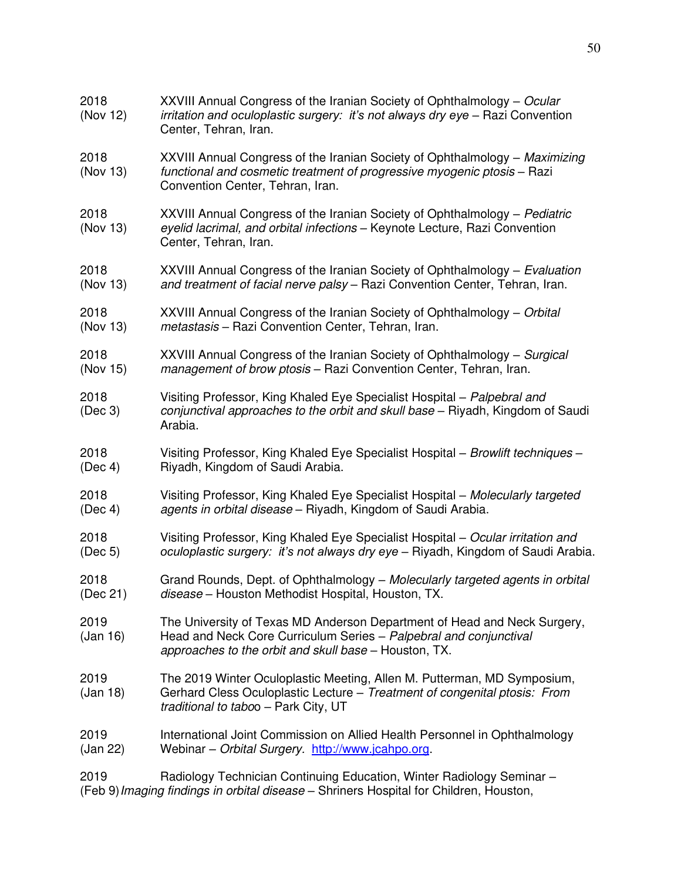| 2018<br>(Nov 12) | XXVIII Annual Congress of the Iranian Society of Ophthalmology – Ocular<br>irritation and oculoplastic surgery: it's not always dry eye - Razi Convention<br>Center, Tehran, Iran.                     |
|------------------|--------------------------------------------------------------------------------------------------------------------------------------------------------------------------------------------------------|
| 2018<br>(Nov 13) | XXVIII Annual Congress of the Iranian Society of Ophthalmology – Maximizing<br>functional and cosmetic treatment of progressive myogenic ptosis - Razi<br>Convention Center, Tehran, Iran.             |
| 2018<br>(Nov 13) | XXVIII Annual Congress of the Iranian Society of Ophthalmology - Pediatric<br>eyelid lacrimal, and orbital infections - Keynote Lecture, Razi Convention<br>Center, Tehran, Iran.                      |
| 2018             | XXVIII Annual Congress of the Iranian Society of Ophthalmology – Evaluation                                                                                                                            |
| (Nov 13)         | and treatment of facial nerve palsy - Razi Convention Center, Tehran, Iran.                                                                                                                            |
| 2018             | XXVIII Annual Congress of the Iranian Society of Ophthalmology - Orbital                                                                                                                               |
| (Nov 13)         | metastasis - Razi Convention Center, Tehran, Iran.                                                                                                                                                     |
| 2018             | XXVIII Annual Congress of the Iranian Society of Ophthalmology – Surgical                                                                                                                              |
| (Nov 15)         | management of brow ptosis - Razi Convention Center, Tehran, Iran.                                                                                                                                      |
| 2018<br>(Dec 3)  | Visiting Professor, King Khaled Eye Specialist Hospital - Palpebral and<br>conjunctival approaches to the orbit and skull base - Riyadh, Kingdom of Saudi<br>Arabia.                                   |
| 2018             | Visiting Professor, King Khaled Eye Specialist Hospital - Browlift techniques -                                                                                                                        |
| (Dec 4)          | Riyadh, Kingdom of Saudi Arabia.                                                                                                                                                                       |
| 2018             | Visiting Professor, King Khaled Eye Specialist Hospital - Molecularly targeted                                                                                                                         |
| (Dec 4)          | agents in orbital disease - Riyadh, Kingdom of Saudi Arabia.                                                                                                                                           |
| 2018             | Visiting Professor, King Khaled Eye Specialist Hospital - Ocular irritation and                                                                                                                        |
| (Dec 5)          | oculoplastic surgery: it's not always dry eye - Riyadh, Kingdom of Saudi Arabia.                                                                                                                       |
| 2018             | Grand Rounds, Dept. of Ophthalmology - Molecularly targeted agents in orbital                                                                                                                          |
| (Dec 21)         | disease - Houston Methodist Hospital, Houston, TX.                                                                                                                                                     |
| 2019<br>(Jan 16) | The University of Texas MD Anderson Department of Head and Neck Surgery,<br>Head and Neck Core Curriculum Series - Palpebral and conjunctival<br>approaches to the orbit and skull base - Houston, TX. |
| 2019<br>(Jan 18) | The 2019 Winter Oculoplastic Meeting, Allen M. Putterman, MD Symposium,<br>Gerhard Cless Oculoplastic Lecture - Treatment of congenital ptosis: From<br>traditional to taboo - Park City, UT           |
| 2019             | International Joint Commission on Allied Health Personnel in Ophthalmology                                                                                                                             |
| (Jan 22)         | Webinar - Orbital Surgery. http://www.jcahpo.org.                                                                                                                                                      |
| 2019             | Radiology Technician Continuing Education, Winter Radiology Seminar -                                                                                                                                  |

(Feb 9) *Imaging findings in orbital disease* – Shriners Hospital for Children, Houston,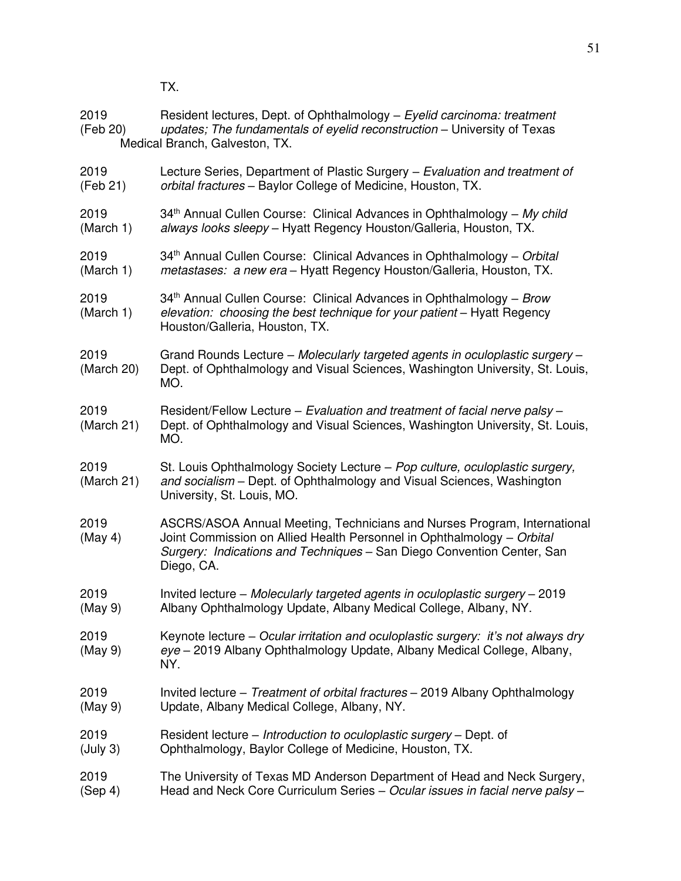TX.

| 2019<br>(Feb 20)   | Resident lectures, Dept. of Ophthalmology - Eyelid carcinoma: treatment<br>updates; The fundamentals of eyelid reconstruction - University of Texas<br>Medical Branch, Galveston, TX.                                                      |
|--------------------|--------------------------------------------------------------------------------------------------------------------------------------------------------------------------------------------------------------------------------------------|
| 2019               | Lecture Series, Department of Plastic Surgery - Evaluation and treatment of                                                                                                                                                                |
| (Feb 21)           | orbital fractures - Baylor College of Medicine, Houston, TX.                                                                                                                                                                               |
| 2019               | 34 <sup>th</sup> Annual Cullen Course: Clinical Advances in Ophthalmology - My child                                                                                                                                                       |
| (March 1)          | always looks sleepy - Hyatt Regency Houston/Galleria, Houston, TX.                                                                                                                                                                         |
| 2019               | 34 <sup>th</sup> Annual Cullen Course: Clinical Advances in Ophthalmology – Orbital                                                                                                                                                        |
| (March 1)          | metastases: a new era - Hyatt Regency Houston/Galleria, Houston, TX.                                                                                                                                                                       |
| 2019<br>(March 1)  | 34 <sup>th</sup> Annual Cullen Course: Clinical Advances in Ophthalmology - Brow<br>elevation: choosing the best technique for your patient - Hyatt Regency<br>Houston/Galleria, Houston, TX.                                              |
| 2019<br>(March 20) | Grand Rounds Lecture - Molecularly targeted agents in oculoplastic surgery -<br>Dept. of Ophthalmology and Visual Sciences, Washington University, St. Louis,<br>MO.                                                                       |
| 2019<br>(March 21) | Resident/Fellow Lecture - Evaluation and treatment of facial nerve palsy -<br>Dept. of Ophthalmology and Visual Sciences, Washington University, St. Louis,<br>MO.                                                                         |
| 2019<br>(March 21) | St. Louis Ophthalmology Society Lecture - Pop culture, oculoplastic surgery,<br>and socialism - Dept. of Ophthalmology and Visual Sciences, Washington<br>University, St. Louis, MO.                                                       |
| 2019<br>(May 4)    | ASCRS/ASOA Annual Meeting, Technicians and Nurses Program, International<br>Joint Commission on Allied Health Personnel in Ophthalmology - Orbital<br>Surgery: Indications and Techniques - San Diego Convention Center, San<br>Diego, CA. |
| 2019               | Invited lecture - Molecularly targeted agents in oculoplastic surgery - 2019                                                                                                                                                               |
| (May 9)            | Albany Ophthalmology Update, Albany Medical College, Albany, NY.                                                                                                                                                                           |
| 2019<br>(May 9)    | Keynote lecture – Ocular irritation and oculoplastic surgery: it's not always dry<br>eye - 2019 Albany Ophthalmology Update, Albany Medical College, Albany,<br>NY.                                                                        |
| 2019               | Invited lecture – Treatment of orbital fractures – 2019 Albany Ophthalmology                                                                                                                                                               |
| (May 9)            | Update, Albany Medical College, Albany, NY.                                                                                                                                                                                                |
| 2019               | Resident lecture – Introduction to oculoplastic surgery – Dept. of                                                                                                                                                                         |
| (July 3)           | Ophthalmology, Baylor College of Medicine, Houston, TX.                                                                                                                                                                                    |
| 2019               | The University of Texas MD Anderson Department of Head and Neck Surgery,                                                                                                                                                                   |
| (Sep 4)            | Head and Neck Core Curriculum Series - Ocular issues in facial nerve palsy -                                                                                                                                                               |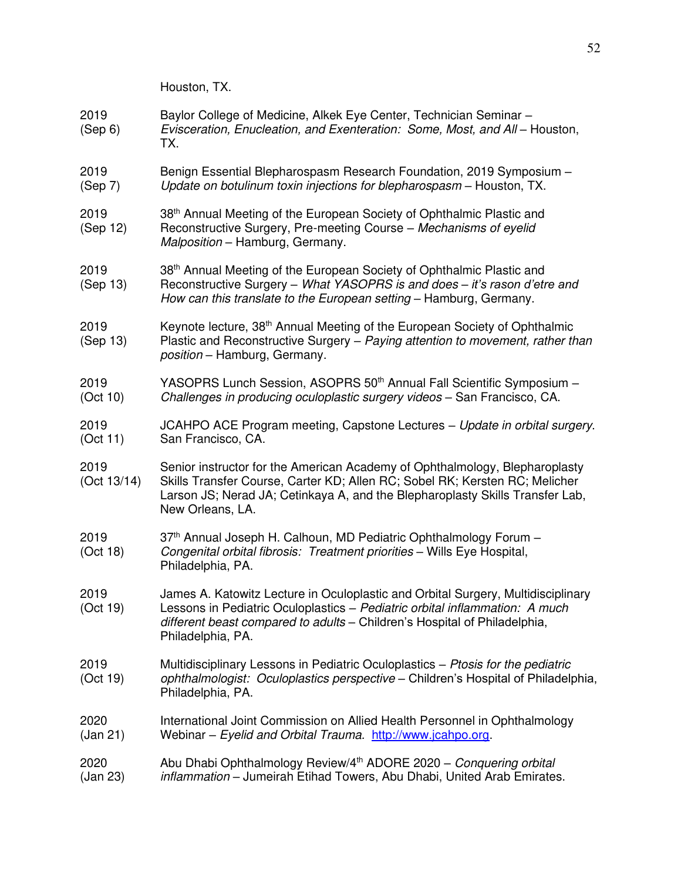Houston, TX.

- 2019 Baylor College of Medicine, Alkek Eye Center, Technician Seminar (Sep 6) *Evisceration, Enucleation, and Exenteration: Some, Most, and All* – Houston, TX.
- 2019 Benign Essential Blepharospasm Research Foundation, 2019 Symposium (Sep 7) *Update on botulinum toxin injections for blepharospasm* – Houston, TX.
- 2019 38<sup>th</sup> Annual Meeting of the European Society of Ophthalmic Plastic and (Sep 12) Reconstructive Surgery, Pre-meeting Course – *Mechanisms of eyelid Malposition* – Hamburg, Germany.
- 2019 38<sup>th</sup> Annual Meeting of the European Society of Ophthalmic Plastic and (Sep 13) Reconstructive Surgery – *What YASOPRS is and does – it's rason d'etre and*
- *How can this translate to the European setting* Hamburg, Germany.
- 2019 Keynote lecture, 38th Annual Meeting of the European Society of Ophthalmic (Sep 13) Plastic and Reconstructive Surgery – *Paying attention to movement, rather than position* – Hamburg, Germany.
- 2019 YASOPRS Lunch Session, ASOPRS 50th Annual Fall Scientific Symposium (Oct 10) *Challenges in producing oculoplastic surgery videos* – San Francisco, CA.
- 2019 JCAHPO ACE Program meeting, Capstone Lectures *Update in orbital surgery*. (Oct 11) San Francisco, CA.
- 2019 Senior instructor for the American Academy of Ophthalmology, Blepharoplasty (Oct 13/14) Skills Transfer Course, Carter KD; Allen RC; Sobel RK; Kersten RC; Melicher Larson JS; Nerad JA; Cetinkaya A, and the Blepharoplasty Skills Transfer Lab, New Orleans, LA.
- 2019 37<sup>th</sup> Annual Joseph H. Calhoun, MD Pediatric Ophthalmology Forum (Oct 18) *Congenital orbital fibrosis: Treatment priorities* Wills Eye Hospital, Congenital orbital fibrosis: Treatment priorities - Wills Eye Hospital, Philadelphia, PA.
- 2019 James A. Katowitz Lecture in Oculoplastic and Orbital Surgery, Multidisciplinary (Oct 19) Lessons in Pediatric Oculoplastics – *Pediatric orbital inflammation: A much different beast compared to adults –* Children's Hospital of Philadelphia, Philadelphia, PA.
- 2019 Multidisciplinary Lessons in Pediatric Oculoplastics *Ptosis for the pediatric*  (Oct 19) *ophthalmologist: Oculoplastics perspective* – Children's Hospital of Philadelphia, Philadelphia, PA.
- 2020 International Joint Commission on Allied Health Personnel in Ophthalmology (Jan 21) Webinar – *Eyelid and Orbital Trauma.* [http://www.jcahpo.org.](http://www.jcahpo.org/)

# 2020 Abu Dhabi Ophthalmology Review/4th ADORE 2020 – *Conquering orbital*  (Jan 23) *inflammation* – Jumeirah Etihad Towers, Abu Dhabi, United Arab Emirates.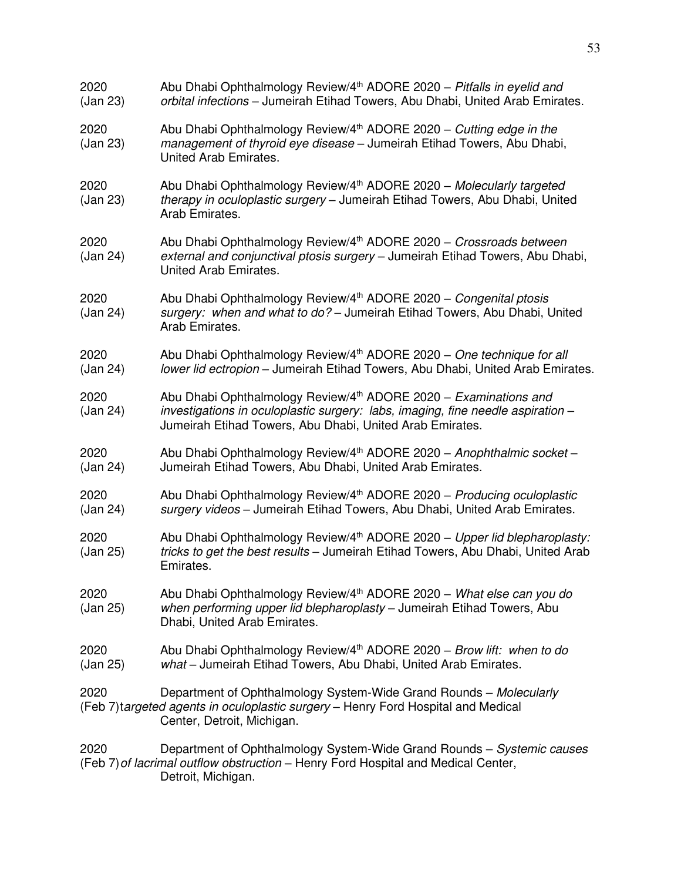| 2020<br>(Jan 23) | Abu Dhabi Ophthalmology Review/4 <sup>th</sup> ADORE 2020 - Pitfalls in eyelid and<br>orbital infections - Jumeirah Etihad Towers, Abu Dhabi, United Arab Emirates.                                                         |
|------------------|-----------------------------------------------------------------------------------------------------------------------------------------------------------------------------------------------------------------------------|
| 2020<br>(Jan 23) | Abu Dhabi Ophthalmology Review/4 <sup>th</sup> ADORE 2020 - Cutting edge in the<br>management of thyroid eye disease - Jumeirah Etihad Towers, Abu Dhabi,<br>United Arab Emirates.                                          |
| 2020<br>(Jan 23) | Abu Dhabi Ophthalmology Review/4 <sup>th</sup> ADORE 2020 - Molecularly targeted<br>therapy in oculoplastic surgery - Jumeirah Etihad Towers, Abu Dhabi, United<br>Arab Emirates.                                           |
| 2020<br>(Jan 24) | Abu Dhabi Ophthalmology Review/4 <sup>th</sup> ADORE 2020 - Crossroads between<br>external and conjunctival ptosis surgery - Jumeirah Etihad Towers, Abu Dhabi,<br>United Arab Emirates.                                    |
| 2020<br>(Jan 24) | Abu Dhabi Ophthalmology Review/4 <sup>th</sup> ADORE 2020 - Congenital ptosis<br>surgery: when and what to do? - Jumeirah Etihad Towers, Abu Dhabi, United<br>Arab Emirates.                                                |
| 2020<br>(Jan 24) | Abu Dhabi Ophthalmology Review/4 <sup>th</sup> ADORE 2020 - One technique for all<br>lower lid ectropion - Jumeirah Etihad Towers, Abu Dhabi, United Arab Emirates.                                                         |
| 2020<br>(Jan 24) | Abu Dhabi Ophthalmology Review/4 <sup>th</sup> ADORE 2020 - Examinations and<br>investigations in oculoplastic surgery: labs, imaging, fine needle aspiration -<br>Jumeirah Etihad Towers, Abu Dhabi, United Arab Emirates. |
| 2020<br>(Jan 24) | Abu Dhabi Ophthalmology Review/4 <sup>th</sup> ADORE 2020 - Anophthalmic socket -<br>Jumeirah Etihad Towers, Abu Dhabi, United Arab Emirates.                                                                               |
| 2020<br>(Jan 24) | Abu Dhabi Ophthalmology Review/4 <sup>th</sup> ADORE 2020 - Producing oculoplastic<br>surgery videos - Jumeirah Etihad Towers, Abu Dhabi, United Arab Emirates.                                                             |
| 2020<br>(Jan 25) | Abu Dhabi Ophthalmology Review/4 <sup>th</sup> ADORE 2020 - Upper lid blepharoplasty:<br>tricks to get the best results - Jumeirah Etihad Towers, Abu Dhabi, United Arab<br>Emirates.                                       |
| 2020<br>(Jan 25) | Abu Dhabi Ophthalmology Review/4 <sup>th</sup> ADORE 2020 - What else can you do<br>when performing upper lid blepharoplasty - Jumeirah Etihad Towers, Abu<br>Dhabi, United Arab Emirates.                                  |
| 2020<br>(Jan 25) | Abu Dhabi Ophthalmology Review/4 <sup>th</sup> ADORE 2020 - Brow lift: when to do<br>what - Jumeirah Etihad Towers, Abu Dhabi, United Arab Emirates.                                                                        |
| 2020             | Department of Ophthalmology System-Wide Grand Rounds - Molecularly<br>(Feb 7) targeted agents in oculoplastic surgery - Henry Ford Hospital and Medical<br>Center, Detroit, Michigan.                                       |
| 2020             | Department of Ophthalmology System-Wide Grand Rounds - Systemic causes<br>(Feb 7) of lacrimal outflow obstruction - Henry Ford Hospital and Medical Center,<br>Detroit, Michigan.                                           |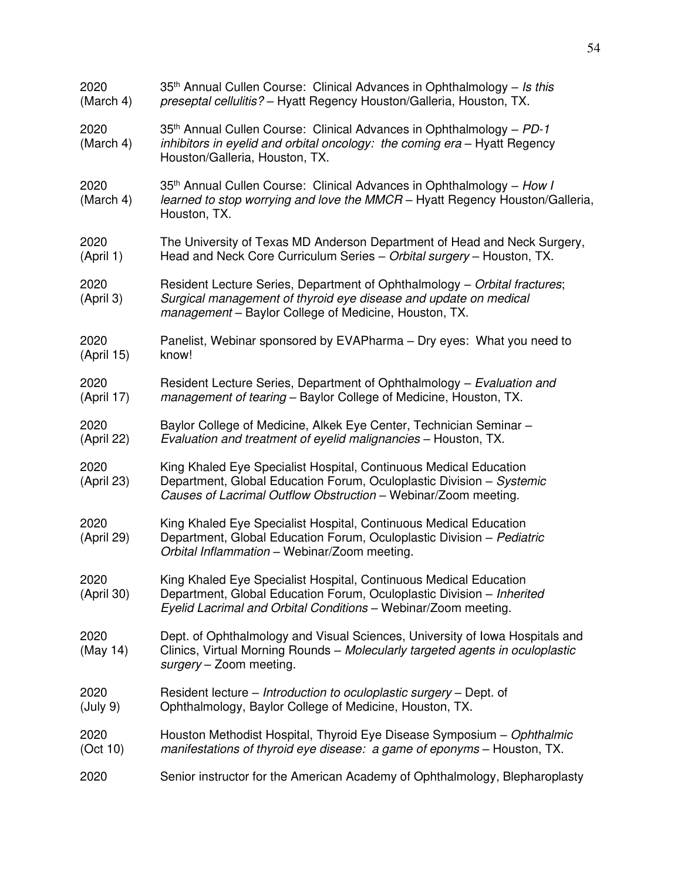| 2020<br>(March 4)  | 35 <sup>th</sup> Annual Cullen Course: Clinical Advances in Ophthalmology - Is this<br>preseptal cellulitis? - Hyatt Regency Houston/Galleria, Houston, TX.                                                  |
|--------------------|--------------------------------------------------------------------------------------------------------------------------------------------------------------------------------------------------------------|
| 2020<br>(March 4)  | 35 <sup>th</sup> Annual Cullen Course: Clinical Advances in Ophthalmology – PD-1<br>inhibitors in eyelid and orbital oncology: the coming era - Hyatt Regency<br>Houston/Galleria, Houston, TX.              |
| 2020<br>(March 4)  | 35 <sup>th</sup> Annual Cullen Course: Clinical Advances in Ophthalmology - How I<br>learned to stop worrying and love the MMCR - Hyatt Regency Houston/Galleria,<br>Houston, TX.                            |
| 2020<br>(April 1)  | The University of Texas MD Anderson Department of Head and Neck Surgery,<br>Head and Neck Core Curriculum Series - Orbital surgery - Houston, TX.                                                            |
| 2020<br>(April 3)  | Resident Lecture Series, Department of Ophthalmology - Orbital fractures;<br>Surgical management of thyroid eye disease and update on medical<br>management - Baylor College of Medicine, Houston, TX.       |
| 2020<br>(April 15) | Panelist, Webinar sponsored by EVAPharma - Dry eyes: What you need to<br>know!                                                                                                                               |
| 2020<br>(April 17) | Resident Lecture Series, Department of Ophthalmology - Evaluation and<br>management of tearing - Baylor College of Medicine, Houston, TX.                                                                    |
| 2020<br>(April 22) | Baylor College of Medicine, Alkek Eye Center, Technician Seminar -<br>Evaluation and treatment of eyelid malignancies - Houston, TX.                                                                         |
| 2020<br>(April 23) | King Khaled Eye Specialist Hospital, Continuous Medical Education<br>Department, Global Education Forum, Oculoplastic Division - Systemic<br>Causes of Lacrimal Outflow Obstruction - Webinar/Zoom meeting.  |
| 2020<br>(April 29) | King Khaled Eye Specialist Hospital, Continuous Medical Education<br>Department, Global Education Forum, Oculoplastic Division - Pediatric<br>Orbital Inflammation - Webinar/Zoom meeting.                   |
| 2020<br>(April 30) | King Khaled Eye Specialist Hospital, Continuous Medical Education<br>Department, Global Education Forum, Oculoplastic Division - Inherited<br>Eyelid Lacrimal and Orbital Conditions - Webinar/Zoom meeting. |
| 2020<br>(May 14)   | Dept. of Ophthalmology and Visual Sciences, University of Iowa Hospitals and<br>Clinics, Virtual Morning Rounds - Molecularly targeted agents in oculoplastic<br>surgery - Zoom meeting.                     |
| 2020<br>(July 9)   | Resident lecture – Introduction to oculoplastic surgery – Dept. of<br>Ophthalmology, Baylor College of Medicine, Houston, TX.                                                                                |
| 2020<br>(Oct 10)   | Houston Methodist Hospital, Thyroid Eye Disease Symposium - Ophthalmic<br>manifestations of thyroid eye disease: a game of eponyms - Houston, TX.                                                            |
| 2020               | Senior instructor for the American Academy of Ophthalmology, Blepharoplasty                                                                                                                                  |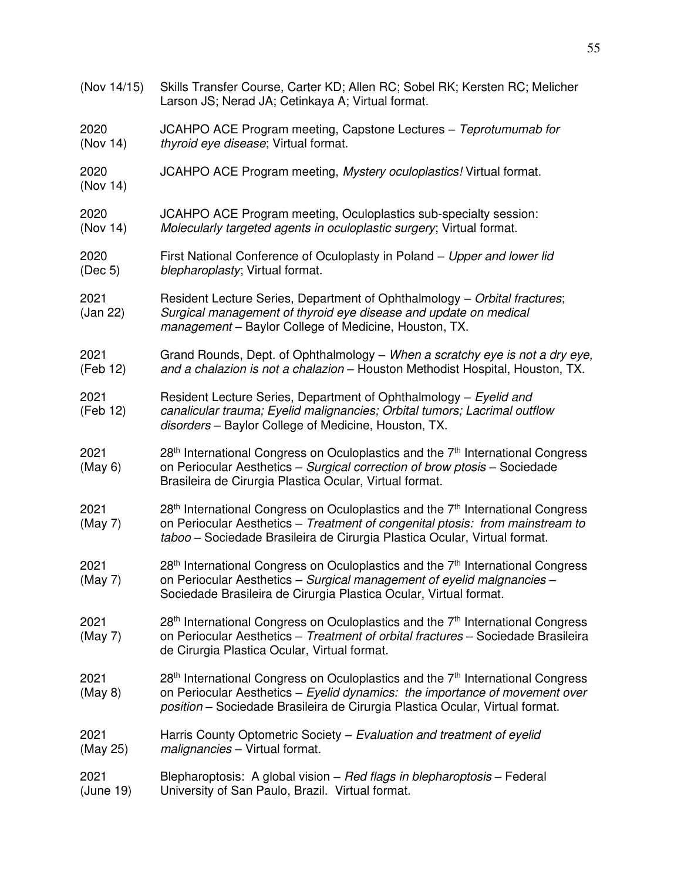(Nov 14/15) Skills Transfer Course, Carter KD; Allen RC; Sobel RK; Kersten RC; Melicher Larson JS; Nerad JA; Cetinkaya A; Virtual format. 2020 JCAHPO ACE Program meeting, Capstone Lectures – *Teprotumumab for* (Nov 14) *thyroid eye disease*; Virtual format. 2020 JCAHPO ACE Program meeting, *Mystery oculoplastics!* Virtual format. (Nov 14) 2020 JCAHPO ACE Program meeting, Oculoplastics sub-specialty session: (Nov 14) *Molecularly targeted agents in oculoplastic surgery*; Virtual format. 2020 First National Conference of Oculoplasty in Poland – *Upper and lower lid* (Dec 5) *blepharoplasty*; Virtual format. 2021 Resident Lecture Series, Department of Ophthalmology – *Orbital fractures*; (Jan 22) *Surgical management of thyroid eye disease and update on medical management* – Baylor College of Medicine, Houston, TX. 2021 Grand Rounds, Dept. of Ophthalmology – *When a scratchy eye is not a dry eye,*  (Feb 12) *and a chalazion is not a chalazion* – Houston Methodist Hospital, Houston, TX. 2021 Resident Lecture Series, Department of Ophthalmology – *Eyelid and* (Feb 12) *canalicular trauma; Eyelid malignancies; Orbital tumors; Lacrimal outflow disorders* – Baylor College of Medicine, Houston, TX. 2021 28<sup>th</sup> International Congress on Oculoplastics and the  $7<sup>th</sup>$  International Congress (May 6) on Periocular Aesthetics – *Surgical correction of brow ptosis* – Sociedade Brasileira de Cirurgia Plastica Ocular, Virtual format. 2021 28<sup>th</sup> International Congress on Oculoplastics and the  $7<sup>th</sup>$  International Congress (May 7) on Periocular Aesthetics – *Treatment of congenital ptosis: from mainstream to taboo* – Sociedade Brasileira de Cirurgia Plastica Ocular, Virtual format.  $2021$  28<sup>th</sup> International Congress on Oculoplastics and the  $7<sup>th</sup>$  International Congress (May 7) on Periocular Aesthetics – *Surgical management of eyelid malgnancies* – Sociedade Brasileira de Cirurgia Plastica Ocular, Virtual format.  $2021$  28<sup>th</sup> International Congress on Oculoplastics and the  $7<sup>th</sup>$  International Congress (May 7) on Periocular Aesthetics – *Treatment of orbital fractures* – Sociedade Brasileira de Cirurgia Plastica Ocular, Virtual format. 2021 28<sup>th</sup> International Congress on Oculoplastics and the  $7<sup>th</sup>$  International Congress (May 8) on Periocular Aesthetics – *Eyelid dynamics: the importance of movement over position* – Sociedade Brasileira de Cirurgia Plastica Ocular, Virtual format. 2021 Harris County Optometric Society – *Evaluation and treatment of eyelid* (May 25) *malignancies* – Virtual format. 2021 Blepharoptosis: A global vision – *Red flags in blepharoptosis –* Federal (June 19) University of San Paulo, Brazil. Virtual format.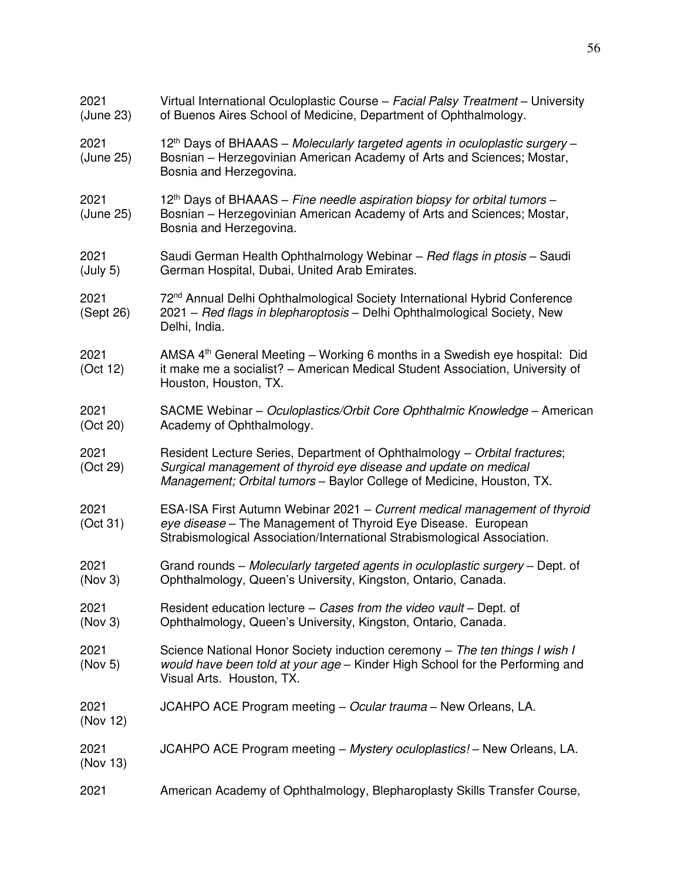| 2021<br>(June 23) | Virtual International Oculoplastic Course - Facial Palsy Treatment - University<br>of Buenos Aires School of Medicine, Department of Ophthalmology.                                                                    |
|-------------------|------------------------------------------------------------------------------------------------------------------------------------------------------------------------------------------------------------------------|
| 2021<br>(June 25) | 12 <sup>th</sup> Days of BHAAAS – Molecularly targeted agents in oculoplastic surgery –<br>Bosnian - Herzegovinian American Academy of Arts and Sciences; Mostar,<br>Bosnia and Herzegovina.                           |
| 2021<br>(June 25) | 12 <sup>th</sup> Days of BHAAAS – Fine needle aspiration biopsy for orbital tumors –<br>Bosnian - Herzegovinian American Academy of Arts and Sciences; Mostar,<br>Bosnia and Herzegovina.                              |
| 2021<br>(July 5)  | Saudi German Health Ophthalmology Webinar - Red flags in ptosis - Saudi<br>German Hospital, Dubai, United Arab Emirates.                                                                                               |
| 2021<br>(Sept 26) | 72 <sup>nd</sup> Annual Delhi Ophthalmological Society International Hybrid Conference<br>2021 - Red flags in blepharoptosis - Delhi Ophthalmological Society, New<br>Delhi, India.                                    |
| 2021<br>(Oct 12)  | AMSA 4 <sup>th</sup> General Meeting - Working 6 months in a Swedish eye hospital: Did<br>it make me a socialist? - American Medical Student Association, University of<br>Houston, Houston, TX.                       |
| 2021<br>(Oct 20)  | SACME Webinar – Oculoplastics/Orbit Core Ophthalmic Knowledge – American<br>Academy of Ophthalmology.                                                                                                                  |
| 2021<br>(Oct 29)  | Resident Lecture Series, Department of Ophthalmology - Orbital fractures;<br>Surgical management of thyroid eye disease and update on medical<br>Management; Orbital tumors - Baylor College of Medicine, Houston, TX. |
| 2021<br>(Oct 31)  | ESA-ISA First Autumn Webinar 2021 - Current medical management of thyroid<br>eye disease - The Management of Thyroid Eye Disease. European<br>Strabismological Association/International Strabismological Association. |
| 2021<br>(Nov 3)   | Grand rounds - Molecularly targeted agents in oculoplastic surgery - Dept. of<br>Ophthalmology, Queen's University, Kingston, Ontario, Canada.                                                                         |
| 2021<br>(Nov 3)   | Resident education lecture – Cases from the video vault – Dept. of<br>Ophthalmology, Queen's University, Kingston, Ontario, Canada.                                                                                    |
| 2021<br>(Nov 5)   | Science National Honor Society induction ceremony – The ten things I wish I<br>would have been told at your age - Kinder High School for the Performing and<br>Visual Arts. Houston, TX.                               |
| 2021<br>(Nov 12)  | JCAHPO ACE Program meeting - Ocular trauma - New Orleans, LA.                                                                                                                                                          |
| 2021<br>(Nov 13)  | JCAHPO ACE Program meeting – Mystery oculoplastics! – New Orleans, LA.                                                                                                                                                 |
| 2021              | American Academy of Ophthalmology, Blepharoplasty Skills Transfer Course,                                                                                                                                              |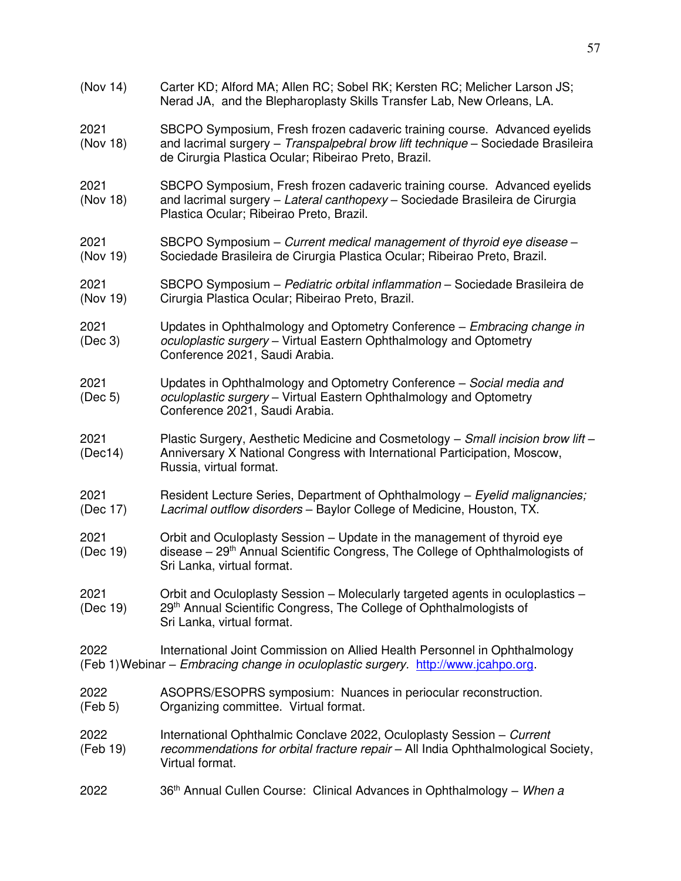(Nov 14) Carter KD; Alford MA; Allen RC; Sobel RK; Kersten RC; Melicher Larson JS; Nerad JA, and the Blepharoplasty Skills Transfer Lab, New Orleans, LA. 2021 SBCPO Symposium, Fresh frozen cadaveric training course. Advanced eyelids (Nov 18) and lacrimal surgery – *Transpalpebral brow lift technique* – Sociedade Brasileira de Cirurgia Plastica Ocular; Ribeirao Preto, Brazil. 2021 SBCPO Symposium, Fresh frozen cadaveric training course. Advanced eyelids (Nov 18) and lacrimal surgery – *Lateral canthopexy* – Sociedade Brasileira de Cirurgia Plastica Ocular; Ribeirao Preto, Brazil. 2021 SBCPO Symposium – *Current medical management of thyroid eye disease* – (Nov 19) Sociedade Brasileira de Cirurgia Plastica Ocular; Ribeirao Preto, Brazil. 2021 SBCPO Symposium – *Pediatric orbital inflammation* – Sociedade Brasileira de (Nov 19) Cirurgia Plastica Ocular; Ribeirao Preto, Brazil. 2021 Updates in Ophthalmology and Optometry Conference – *Embracing change in* (Dec 3) *oculoplastic surgery* – Virtual Eastern Ophthalmology and Optometry Conference 2021, Saudi Arabia. 2021 Updates in Ophthalmology and Optometry Conference – *Social media and*  (Dec 5) *oculoplastic surgery* – Virtual Eastern Ophthalmology and Optometry Conference 2021, Saudi Arabia. 2021 Plastic Surgery, Aesthetic Medicine and Cosmetology – *Small incision brow lift* – (Dec14) Anniversary X National Congress with International Participation, Moscow, Russia, virtual format. 2021 Resident Lecture Series, Department of Ophthalmology – *Eyelid malignancies;*  (Dec 17) *Lacrimal outflow disorders* – Baylor College of Medicine, Houston, TX. 2021 Crbit and Oculoplasty Session – Update in the management of thyroid eye<br>(Dec 19) disease – 29<sup>th</sup> Annual Scientific Congress, The College of Ophthalmologists disease  $-29<sup>th</sup>$  Annual Scientific Congress, The College of Ophthalmologists of Sri Lanka, virtual format. 2021 Orbit and Oculoplasty Session – Molecularly targeted agents in oculoplastics – (Dec 19) 29<sup>th</sup> Annual Scientific Congress, The College of Ophthalmologists of Sri Lanka, virtual format. 2022 International Joint Commission on Allied Health Personnel in Ophthalmology (Feb 1) Webinar – *Embracing change in oculoplastic surgery.* [http://www.jcahpo.org.](http://www.jcahpo.org/) 2022 ASOPRS/ESOPRS symposium: Nuances in periocular reconstruction. (Feb 5) Organizing committee. Virtual format. 2022 International Ophthalmic Conclave 2022, Oculoplasty Session – *Current*  (Feb 19) *recommendations for orbital fracture repair* – All India Ophthalmological Society, Virtual format. 2022 36th Annual Cullen Course: Clinical Advances in Ophthalmology – *When a*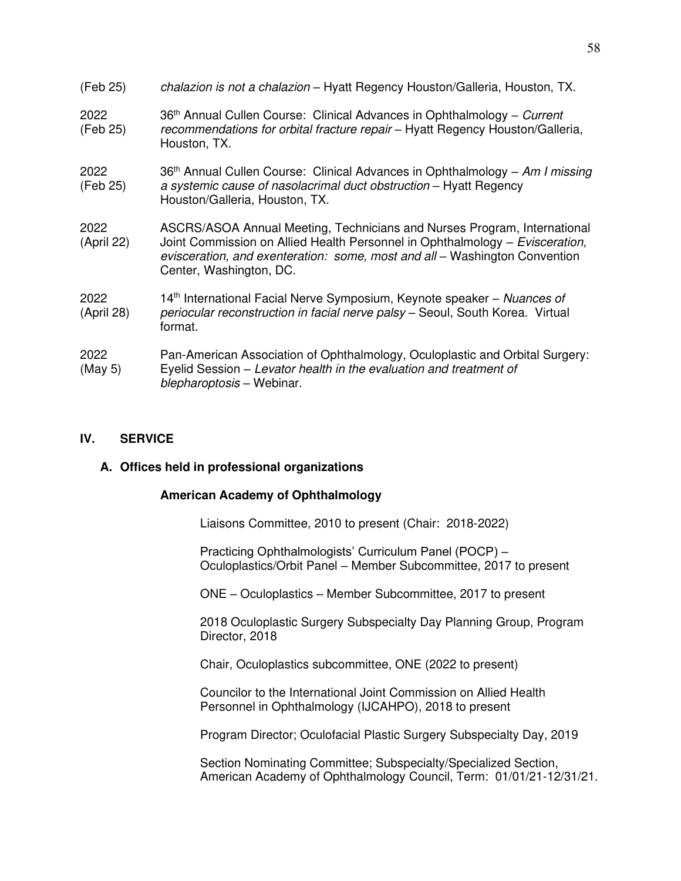| (Feb 25)           | chalazion is not a chalazion – Hyatt Regency Houston/Galleria, Houston, TX.                                                                                                                                                                                       |
|--------------------|-------------------------------------------------------------------------------------------------------------------------------------------------------------------------------------------------------------------------------------------------------------------|
| 2022<br>(Feb 25)   | 36 <sup>th</sup> Annual Cullen Course: Clinical Advances in Ophthalmology – Current<br>recommendations for orbital fracture repair - Hyatt Regency Houston/Galleria,<br>Houston, TX.                                                                              |
| 2022<br>(Feb 25)   | 36 <sup>th</sup> Annual Cullen Course: Clinical Advances in Ophthalmology – Am I missing<br>a systemic cause of nasolacrimal duct obstruction - Hyatt Regency<br>Houston/Galleria, Houston, TX.                                                                   |
| 2022<br>(April 22) | ASCRS/ASOA Annual Meeting, Technicians and Nurses Program, International<br>Joint Commission on Allied Health Personnel in Ophthalmology - Evisceration,<br>evisceration, and exenteration: some, most and all - Washington Convention<br>Center, Washington, DC. |
| 2022<br>(April 28) | 14 <sup>th</sup> International Facial Nerve Symposium, Keynote speaker – Nuances of<br>periocular reconstruction in facial nerve palsy - Seoul, South Korea. Virtual<br>format.                                                                                   |
| 2022<br>(May 5)    | Pan-American Association of Ophthalmology, Oculoplastic and Orbital Surgery:<br>Eyelid Session – Levator health in the evaluation and treatment of<br>blepharoptosis - Webinar.                                                                                   |

#### **IV. SERVICE**

#### **A. Offices held in professional organizations**

### **American Academy of Ophthalmology**

Liaisons Committee, 2010 to present (Chair: 2018-2022)

 Practicing Ophthalmologists' Curriculum Panel (POCP) – Oculoplastics/Orbit Panel – Member Subcommittee, 2017 to present

ONE – Oculoplastics – Member Subcommittee, 2017 to present

2018 Oculoplastic Surgery Subspecialty Day Planning Group, Program Director, 2018

Chair, Oculoplastics subcommittee, ONE (2022 to present)

Councilor to the International Joint Commission on Allied Health Personnel in Ophthalmology (IJCAHPO), 2018 to present

Program Director; Oculofacial Plastic Surgery Subspecialty Day, 2019

Section Nominating Committee; Subspecialty/Specialized Section, American Academy of Ophthalmology Council, Term: 01/01/21-12/31/21.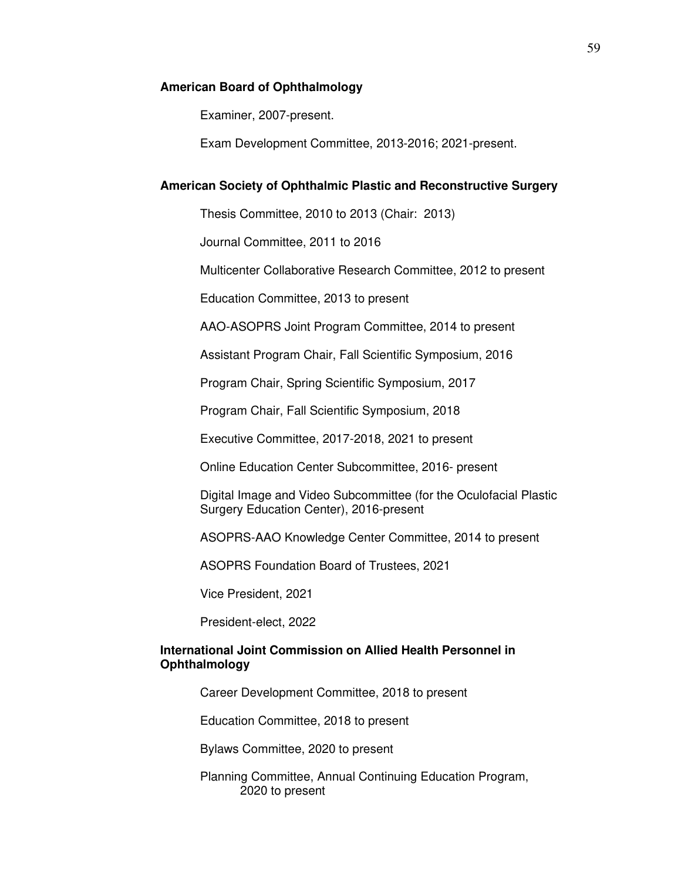#### **American Board of Ophthalmology**

Examiner, 2007-present.

Exam Development Committee, 2013-2016; 2021-present.

### **American Society of Ophthalmic Plastic and Reconstructive Surgery**

Thesis Committee, 2010 to 2013 (Chair: 2013)

Journal Committee, 2011 to 2016

Multicenter Collaborative Research Committee, 2012 to present

Education Committee, 2013 to present

AAO-ASOPRS Joint Program Committee, 2014 to present

Assistant Program Chair, Fall Scientific Symposium, 2016

Program Chair, Spring Scientific Symposium, 2017

Program Chair, Fall Scientific Symposium, 2018

Executive Committee, 2017-2018, 2021 to present

Online Education Center Subcommittee, 2016- present

 Digital Image and Video Subcommittee (for the Oculofacial Plastic Surgery Education Center), 2016-present

ASOPRS-AAO Knowledge Center Committee, 2014 to present

ASOPRS Foundation Board of Trustees, 2021

Vice President, 2021

President-elect, 2022

### **International Joint Commission on Allied Health Personnel in Ophthalmology**

Career Development Committee, 2018 to present

Education Committee, 2018 to present

Bylaws Committee, 2020 to present

 Planning Committee, Annual Continuing Education Program, 2020 to present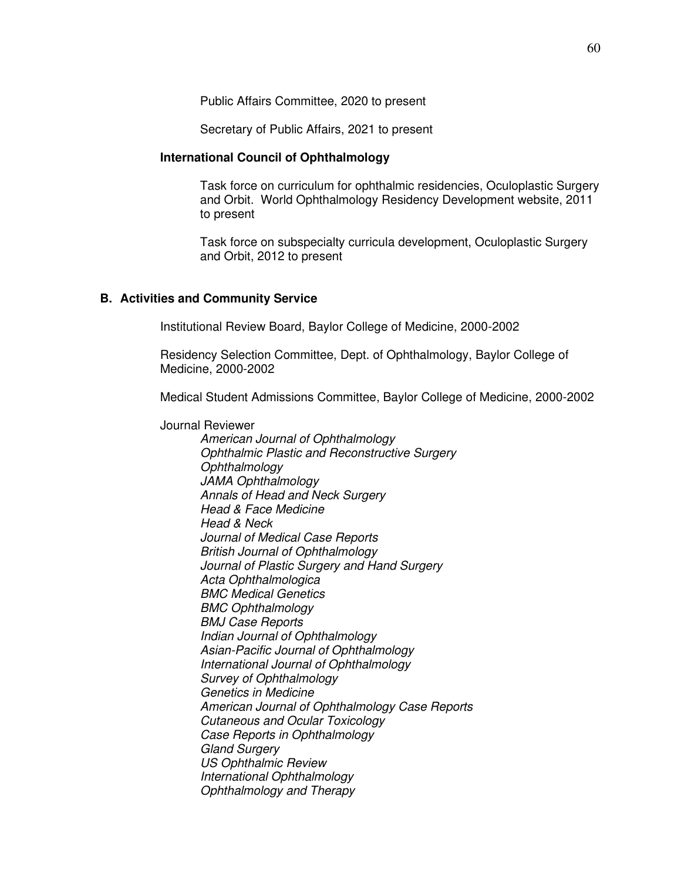Public Affairs Committee, 2020 to present

Secretary of Public Affairs, 2021 to present

#### **International Council of Ophthalmology**

Task force on curriculum for ophthalmic residencies, Oculoplastic Surgery and Orbit. World Ophthalmology Residency Development website, 2011 to present

Task force on subspecialty curricula development, Oculoplastic Surgery and Orbit, 2012 to present

#### **B. Activities and Community Service**

Institutional Review Board, Baylor College of Medicine, 2000-2002

Residency Selection Committee, Dept. of Ophthalmology, Baylor College of Medicine, 2000-2002

Medical Student Admissions Committee, Baylor College of Medicine, 2000-2002

Journal Reviewer

*American Journal of Ophthalmology Ophthalmic Plastic and Reconstructive Surgery Ophthalmology JAMA Ophthalmology Annals of Head and Neck Surgery Head & Face Medicine Head & Neck Journal of Medical Case Reports British Journal of Ophthalmology Journal of Plastic Surgery and Hand Surgery Acta Ophthalmologica BMC Medical Genetics BMC Ophthalmology BMJ Case Reports Indian Journal of Ophthalmology Asian-Pacific Journal of Ophthalmology International Journal of Ophthalmology Survey of Ophthalmology Genetics in Medicine American Journal of Ophthalmology Case Reports Cutaneous and Ocular Toxicology Case Reports in Ophthalmology Gland Surgery US Ophthalmic Review International Ophthalmology Ophthalmology and Therapy*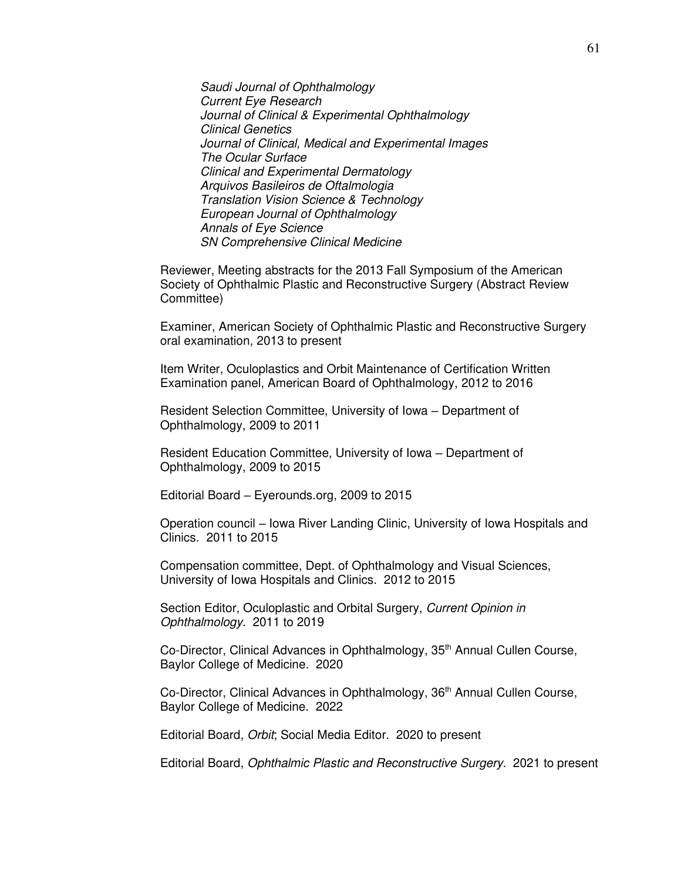*Saudi Journal of Ophthalmology Current Eye Research Journal of Clinical & Experimental Ophthalmology Clinical Genetics Journal of Clinical, Medical and Experimental Images The Ocular Surface Clinical and Experimental Dermatology Arquivos Basileiros de Oftalmologia Translation Vision Science & Technology European Journal of Ophthalmology Annals of Eye Science SN Comprehensive Clinical Medicine* 

Reviewer, Meeting abstracts for the 2013 Fall Symposium of the American Society of Ophthalmic Plastic and Reconstructive Surgery (Abstract Review Committee)

 Examiner, American Society of Ophthalmic Plastic and Reconstructive Surgery oral examination, 2013 to present

 Item Writer, Oculoplastics and Orbit Maintenance of Certification Written Examination panel, American Board of Ophthalmology, 2012 to 2016

 Resident Selection Committee, University of Iowa – Department of Ophthalmology, 2009 to 2011

 Resident Education Committee, University of Iowa – Department of Ophthalmology, 2009 to 2015

Editorial Board – Eyerounds.org, 2009 to 2015

 Operation council – Iowa River Landing Clinic, University of Iowa Hospitals and Clinics. 2011 to 2015

 Compensation committee, Dept. of Ophthalmology and Visual Sciences, University of Iowa Hospitals and Clinics. 2012 to 2015

 Section Editor, Oculoplastic and Orbital Surgery, *Current Opinion in Ophthalmology*. 2011 to 2019

Co-Director, Clinical Advances in Ophthalmology, 35<sup>th</sup> Annual Cullen Course, Baylor College of Medicine. 2020

Co-Director, Clinical Advances in Ophthalmology, 36<sup>th</sup> Annual Cullen Course, Baylor College of Medicine. 2022

Editorial Board, *Orbit*; Social Media Editor. 2020 to present

Editorial Board, *Ophthalmic Plastic and Reconstructive Surgery.* 2021 to present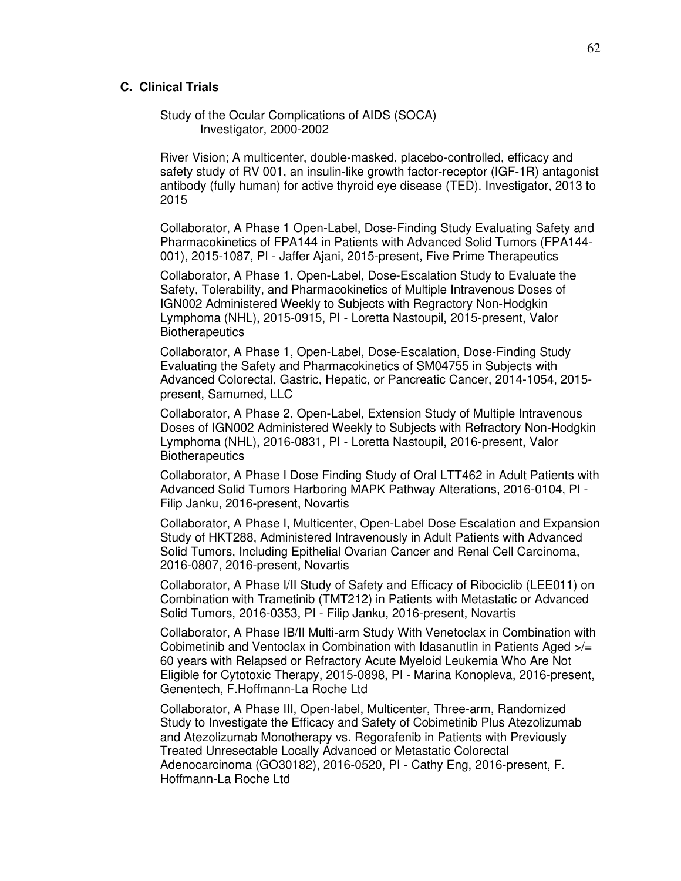#### **C. Clinical Trials**

 Study of the Ocular Complications of AIDS (SOCA) Investigator, 2000-2002

River Vision; A multicenter, double-masked, placebo-controlled, efficacy and safety study of RV 001, an insulin-like growth factor-receptor (IGF-1R) antagonist antibody (fully human) for active thyroid eye disease (TED). Investigator, 2013 to 2015

Collaborator, A Phase 1 Open-Label, Dose-Finding Study Evaluating Safety and Pharmacokinetics of FPA144 in Patients with Advanced Solid Tumors (FPA144- 001), 2015-1087, PI - Jaffer Ajani, 2015-present, Five Prime Therapeutics

Collaborator, A Phase 1, Open-Label, Dose-Escalation Study to Evaluate the Safety, Tolerability, and Pharmacokinetics of Multiple Intravenous Doses of IGN002 Administered Weekly to Subjects with Regractory Non-Hodgkin Lymphoma (NHL), 2015-0915, PI - Loretta Nastoupil, 2015-present, Valor **Biotherapeutics** 

Collaborator, A Phase 1, Open-Label, Dose-Escalation, Dose-Finding Study Evaluating the Safety and Pharmacokinetics of SM04755 in Subjects with Advanced Colorectal, Gastric, Hepatic, or Pancreatic Cancer, 2014-1054, 2015 present, Samumed, LLC

Collaborator, A Phase 2, Open-Label, Extension Study of Multiple Intravenous Doses of IGN002 Administered Weekly to Subjects with Refractory Non-Hodgkin Lymphoma (NHL), 2016-0831, PI - Loretta Nastoupil, 2016-present, Valor **Biotherapeutics** 

Collaborator, A Phase I Dose Finding Study of Oral LTT462 in Adult Patients with Advanced Solid Tumors Harboring MAPK Pathway Alterations, 2016-0104, PI - Filip Janku, 2016-present, Novartis

Collaborator, A Phase I, Multicenter, Open-Label Dose Escalation and Expansion Study of HKT288, Administered Intravenously in Adult Patients with Advanced Solid Tumors, Including Epithelial Ovarian Cancer and Renal Cell Carcinoma, 2016-0807, 2016-present, Novartis

Collaborator, A Phase I/II Study of Safety and Efficacy of Ribociclib (LEE011) on Combination with Trametinib (TMT212) in Patients with Metastatic or Advanced Solid Tumors, 2016-0353, PI - Filip Janku, 2016-present, Novartis

Collaborator, A Phase IB/II Multi-arm Study With Venetoclax in Combination with Cobimetinib and Ventoclax in Combination with Idasanutlin in Patients Aged  $\geq l$ 60 years with Relapsed or Refractory Acute Myeloid Leukemia Who Are Not Eligible for Cytotoxic Therapy, 2015-0898, PI - Marina Konopleva, 2016-present, Genentech, F.Hoffmann-La Roche Ltd

Collaborator, A Phase III, Open-label, Multicenter, Three-arm, Randomized Study to Investigate the Efficacy and Safety of Cobimetinib Plus Atezolizumab and Atezolizumab Monotherapy vs. Regorafenib in Patients with Previously Treated Unresectable Locally Advanced or Metastatic Colorectal Adenocarcinoma (GO30182), 2016-0520, PI - Cathy Eng, 2016-present, F. Hoffmann-La Roche Ltd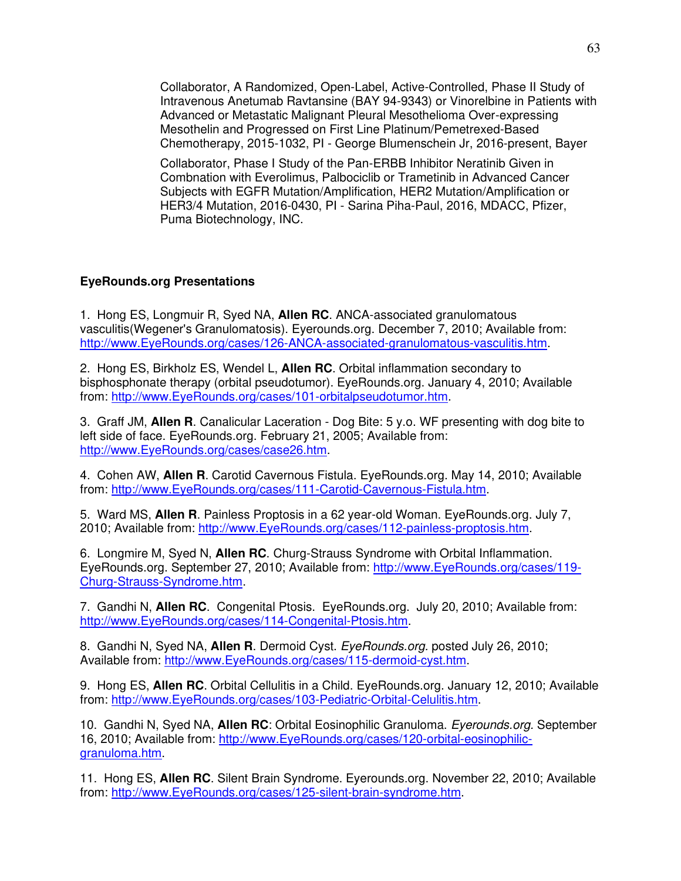Collaborator, A Randomized, Open-Label, Active-Controlled, Phase II Study of Intravenous Anetumab Ravtansine (BAY 94-9343) or Vinorelbine in Patients with Advanced or Metastatic Malignant Pleural Mesothelioma Over-expressing Mesothelin and Progressed on First Line Platinum/Pemetrexed-Based Chemotherapy, 2015-1032, PI - George Blumenschein Jr, 2016-present, Bayer

Collaborator, Phase I Study of the Pan-ERBB Inhibitor Neratinib Given in Combnation with Everolimus, Palbociclib or Trametinib in Advanced Cancer Subjects with EGFR Mutation/Amplification, HER2 Mutation/Amplification or HER3/4 Mutation, 2016-0430, PI - Sarina Piha-Paul, 2016, MDACC, Pfizer, Puma Biotechnology, INC.

# **EyeRounds.org Presentations**

1. Hong ES, Longmuir R, Syed NA, **Allen RC**. ANCA-associated granulomatous vasculitis(Wegener's Granulomatosis). Eyerounds.org. December 7, 2010; Available from: [http://www.EyeRounds.org/cases/126-ANCA-associated-granulomatous-vasculitis.htm.](http://www.eyerounds.org/cases/126-ANCA-associated-granulomatous-vasculitis.htm)

2. Hong ES, Birkholz ES, Wendel L, **Allen RC**. Orbital inflammation secondary to bisphosphonate therapy (orbital pseudotumor). EyeRounds.org. January 4, 2010; Available from: [http://www.EyeRounds.org/cases/101-orbitalpseudotumor.htm.](http://www.eyerounds.org/cases/101-orbitalpseudotumor.htm)

3. Graff JM, **Allen R**. Canalicular Laceration - Dog Bite: 5 y.o. WF presenting with dog bite to left side of face. EyeRounds.org. February 21, 2005; Available from: [http://www.EyeRounds.org/cases/case26.htm.](http://www.eyerounds.org/cases/case26.htm)

4. Cohen AW, **Allen R**. Carotid Cavernous Fistula. EyeRounds.org. May 14, 2010; Available from: [http://www.EyeRounds.org/cases/111-Carotid-Cavernous-Fistula.htm.](http://www.eyerounds.org/cases/111-Carotid-Cavernous-Fistula.htm)

5. Ward MS, **Allen R**. Painless Proptosis in a 62 year-old Woman. EyeRounds.org. July 7, 2010; Available from: [http://www.EyeRounds.org/cases/112-painless-proptosis.htm.](http://www.eyerounds.org/cases/112-painless-proptosis.htm)

6. Longmire M, Syed N, **Allen RC**. Churg-Strauss Syndrome with Orbital Inflammation. EyeRounds.org. September 27, 2010; Available from: [http://www.EyeRounds.org/cases/119-](http://www.eyerounds.org/cases/119-Churg-Strauss-Syndrome.htm) [Churg-Strauss-Syndrome.htm.](http://www.eyerounds.org/cases/119-Churg-Strauss-Syndrome.htm)

7. Gandhi N, **Allen RC**. Congenital Ptosis. EyeRounds.org. July 20, 2010; Available from: [http://www.EyeRounds.org/cases/114-Congenital-Ptosis.htm.](http://www.eyerounds.org/cases/114-Congenital-Ptosis.htm)

8. Gandhi N, Syed NA, **Allen R**. Dermoid Cyst. *EyeRounds.org.* posted July 26, 2010; Available from: [http://www.EyeRounds.org/cases/115-dermoid-cyst.htm.](http://www.eyerounds.org/cases/115-dermoid-cyst.htm)

9. Hong ES, **Allen RC**. Orbital Cellulitis in a Child. EyeRounds.org. January 12, 2010; Available from: [http://www.EyeRounds.org/cases/103-Pediatric-Orbital-Celulitis.htm.](http://www.eyerounds.org/cases/103-Pediatric-Orbital-Celulitis.htm)

10. Gandhi N, Syed NA, **Allen RC**: Orbital Eosinophilic Granuloma. *Eyerounds.org.* September 16, 2010; Available from: [http://www.EyeRounds.org/cases/120-orbital-eosinophilic](http://www.eyerounds.org/cases/120-orbital-eosinophilic-granuloma.htm)[granuloma.htm.](http://www.eyerounds.org/cases/120-orbital-eosinophilic-granuloma.htm)

11. Hong ES, **Allen RC**. Silent Brain Syndrome. Eyerounds.org. November 22, 2010; Available from: [http://www.EyeRounds.org/cases/125-silent-brain-syndrome.htm.](http://www.eyerounds.org/cases/125-silent-brain-syndrome.htm)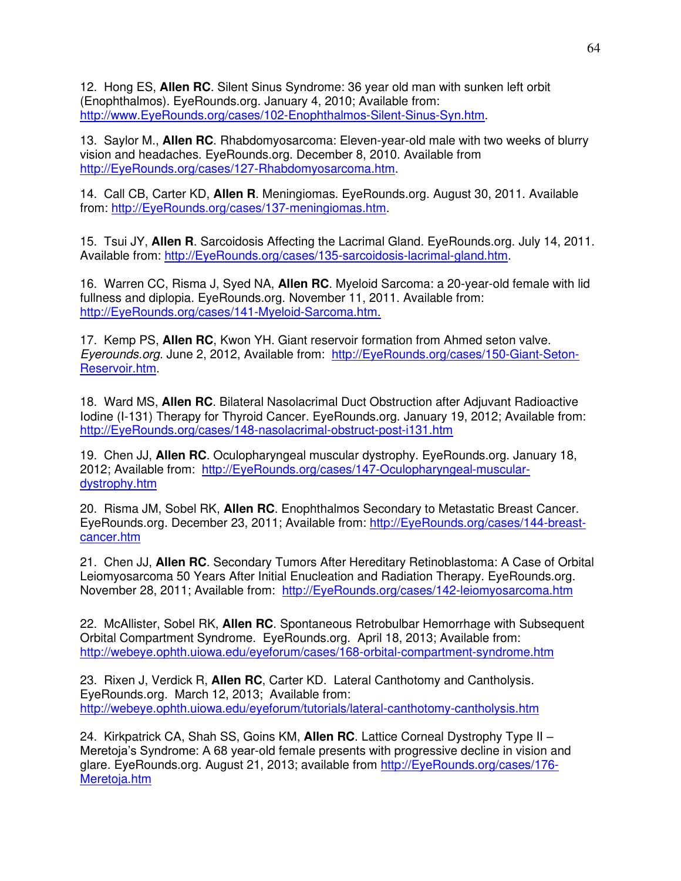12. Hong ES, **Allen RC**. Silent Sinus Syndrome: 36 year old man with sunken left orbit (Enophthalmos). EyeRounds.org. January 4, 2010; Available from: [http://www.EyeRounds.org/cases/102-Enophthalmos-Silent-Sinus-Syn.htm.](http://www.eyerounds.org/cases/102-Enophthalmos-Silent-Sinus-Syn.htm)

13. Saylor M., **Allen RC**. Rhabdomyosarcoma: Eleven-year-old male with two weeks of blurry vision and headaches. EyeRounds.org. December 8, 2010. Available from [http://EyeRounds.org/cases/127-Rhabdomyosarcoma.htm.](http://eyerounds.org/cases/127-Rhabdomyosarcoma.htm)

14. Call CB, Carter KD, **Allen R**. Meningiomas. EyeRounds.org. August 30, 2011. Available from: [http://EyeRounds.org/cases/137-meningiomas.htm.](http://eyerounds.org/cases/137-meningiomas.htm)

15. Tsui JY, **Allen R**. Sarcoidosis Affecting the Lacrimal Gland. EyeRounds.org. July 14, 2011. Available from: [http://EyeRounds.org/cases/135-sarcoidosis-lacrimal-gland.htm.](http://eyerounds.org/cases/135-sarcoidosis-lacrimal-gland.htm)

16. Warren CC, Risma J, Syed NA, **Allen RC**. Myeloid Sarcoma: a 20-year-old female with lid fullness and diplopia. EyeRounds.org. November 11, 2011. Available from: [http://EyeRounds.org/cases/141-Myeloid-Sarcoma.htm.](http://eyerounds.org/cases/141-Myeloid-Sarcoma.htm.)

17. Kemp PS, **Allen RC**, Kwon YH. Giant reservoir formation from Ahmed seton valve. *Eyerounds.org*. June 2, 2012, Available from: [http://EyeRounds.org/cases/150-Giant-Seton-](http://eyerounds.org/cases/150-Giant-Seton-Reservoir.htm)[Reservoir.htm.](http://eyerounds.org/cases/150-Giant-Seton-Reservoir.htm)

18. Ward MS, **Allen RC**. Bilateral Nasolacrimal Duct Obstruction after Adjuvant Radioactive Iodine (I-131) Therapy for Thyroid Cancer. EyeRounds.org. January 19, 2012; Available from: [http://EyeRounds.org/cases/148-nasolacrimal-obstruct-post-i131.htm](http://eyerounds.org/cases/148-nasolacrimal-obstruct-post-i131.htm) 

19. Chen JJ, **Allen RC**. Oculopharyngeal muscular dystrophy. EyeRounds.org. January 18, 2012; Available from: [http://EyeRounds.org/cases/147-Oculopharyngeal-muscular](http://eyerounds.org/cases/147-Oculopharyngeal-muscular-dystrophy.htm)[dystrophy.htm](http://eyerounds.org/cases/147-Oculopharyngeal-muscular-dystrophy.htm) 

20. Risma JM, Sobel RK, **Allen RC**. Enophthalmos Secondary to Metastatic Breast Cancer. EyeRounds.org. December 23, 2011; Available from: [http://EyeRounds.org/cases/144-breast](http://eyerounds.org/cases/144-breast-cancer.htm)[cancer.htm](http://eyerounds.org/cases/144-breast-cancer.htm)

21. Chen JJ, **Allen RC**. Secondary Tumors After Hereditary Retinoblastoma: A Case of Orbital Leiomyosarcoma 50 Years After Initial Enucleation and Radiation Therapy. EyeRounds.org. November 28, 2011; Available from: [http://EyeRounds.org/cases/142-leiomyosarcoma.htm](http://eyerounds.org/cases/142-leiomyosarcoma.htm) 

22. McAllister, Sobel RK, **Allen RC**. Spontaneous Retrobulbar Hemorrhage with Subsequent Orbital Compartment Syndrome. EyeRounds.org. April 18, 2013; Available from: [http://webeye.ophth.uiowa.edu/eyeforum/cases/168-orbital-compartment-syndrome.htm](https://mail.healthcare.uiowa.edu/OWA/redir.aspx?C=KbWwM_W5RkWRp9hai2wtssvSFn6WU9AIouJh0Rk5mI6_pjkEdbkupiSKh4htiy4Aw-KWJLJYWx0.&URL=http%3a%2f%2fwebeye.ophth.uiowa.edu%2feyeforum%2fcases%2f168-orbital-compartment-syndrome.htm)

23. Rixen J, Verdick R, **Allen RC**, Carter KD. Lateral Canthotomy and Cantholysis. EyeRounds.org. March 12, 2013; Available from: [http://webeye.ophth.uiowa.edu/eyeforum/tutorials/lateral-canthotomy-cantholysis.htm](https://mail.healthcare.uiowa.edu/OWA/redir.aspx?C=KbWwM_W5RkWRp9hai2wtssvSFn6WU9AIouJh0Rk5mI6_pjkEdbkupiSKh4htiy4Aw-KWJLJYWx0.&URL=http%3a%2f%2fwebeye.ophth.uiowa.edu%2feyeforum%2ftutorials%2flateral-canthotomy-cantholysis.htm)

24. Kirkpatrick CA, Shah SS, Goins KM, **Allen RC**. Lattice Corneal Dystrophy Type II – Meretoja's Syndrome: A 68 year-old female presents with progressive decline in vision and glare. EyeRounds.org. August 21, 2013; available from [http://EyeRounds.org/cases/176-](http://eyerounds.org/cases/176-Meretoja.htm) [Meretoja.htm](http://eyerounds.org/cases/176-Meretoja.htm)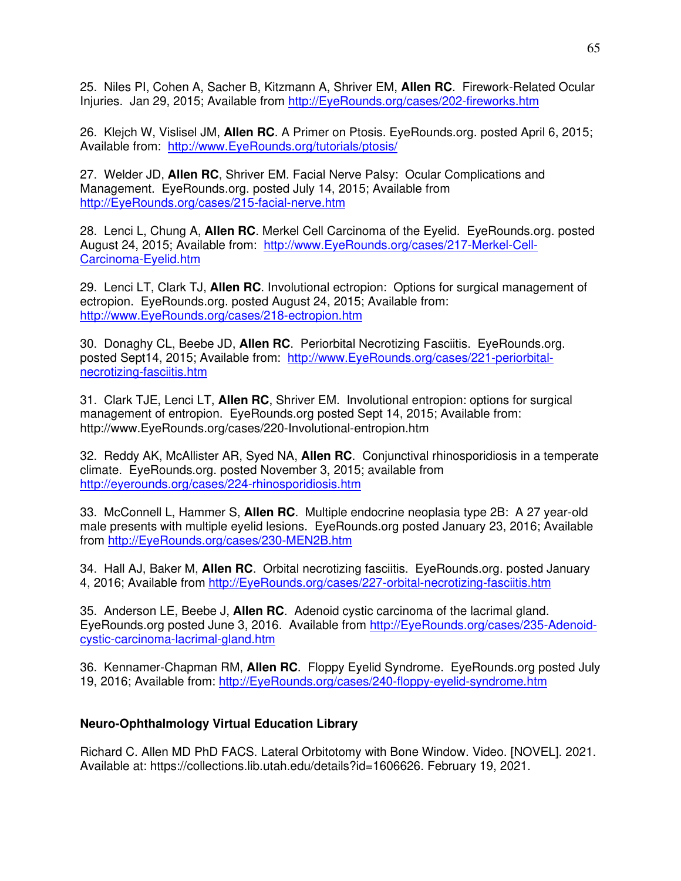25. Niles PI, Cohen A, Sacher B, Kitzmann A, Shriver EM, **Allen RC**. Firework-Related Ocular Injuries. Jan 29, 2015; Available from [http://EyeRounds.org/cases/202-fireworks.htm](http://eyerounds.org/cases/202-fireworks.htm)

26. Klejch W, Vislisel JM, **Allen RC**. A Primer on Ptosis. EyeRounds.org. posted April 6, 2015; Available from: [http://www.EyeRounds.org/tutorials/ptosis/](http://www.eyerounds.org/tutorials/ptosis/) 

27. Welder JD, **Allen RC**, Shriver EM. Facial Nerve Palsy: Ocular Complications and Management. EyeRounds.org. posted July 14, 2015; Available from [http://EyeRounds.org/cases/215-facial-nerve.htm](http://eyerounds.org/cases/215-facial-nerve.htm)

28. Lenci L, Chung A, **Allen RC**. Merkel Cell Carcinoma of the Eyelid. EyeRounds.org. posted August 24, 2015; Available from: [http://www.EyeRounds.org/cases/217-Merkel-Cell-](http://www.eyerounds.org/cases/217-Merkel-Cell-Carcinoma-Eyelid.htm)[Carcinoma-Eyelid.htm](http://www.eyerounds.org/cases/217-Merkel-Cell-Carcinoma-Eyelid.htm) 

29. Lenci LT, Clark TJ, **Allen RC**. Involutional ectropion: Options for surgical management of ectropion. EyeRounds.org. posted August 24, 2015; Available from: [http://www.EyeRounds.org/cases/218-ectropion.htm](http://www.eyerounds.org/cases/218-ectropion.htm) 

30. Donaghy CL, Beebe JD, **Allen RC**. Periorbital Necrotizing Fasciitis. EyeRounds.org. posted Sept14, 2015; Available from: [http://www.EyeRounds.org/cases/221-periorbital](http://www.eyerounds.org/cases/221-periorbital-necrotizing-fasciitis.htm)[necrotizing-fasciitis.htm](http://www.eyerounds.org/cases/221-periorbital-necrotizing-fasciitis.htm) 

31. Clark TJE, Lenci LT, **Allen RC**, Shriver EM. Involutional entropion: options for surgical management of entropion. EyeRounds.org posted Sept 14, 2015; Available from: http://www.EyeRounds.org/cases/220-Involutional-entropion.htm

32. Reddy AK, McAllister AR, Syed NA, **Allen RC**. Conjunctival rhinosporidiosis in a temperate climate. EyeRounds.org. posted November 3, 2015; available from <http://eyerounds.org/cases/224-rhinosporidiosis.htm>

33. McConnell L, Hammer S, **Allen RC**. Multiple endocrine neoplasia type 2B: A 27 year-old male presents with multiple eyelid lesions. EyeRounds.org posted January 23, 2016; Available from [http://EyeRounds.org/cases/230-MEN2B.htm](http://eyerounds.org/cases/230-MEN2B.htm)

34. Hall AJ, Baker M, **Allen RC**. Orbital necrotizing fasciitis. EyeRounds.org. posted January 4, 2016; Available from [http://EyeRounds.org/cases/227-orbital-necrotizing-fasciitis.htm](http://eyerounds.org/cases/227-orbital-necrotizing-fasciitis.htm) 

35. Anderson LE, Beebe J, **Allen RC**. Adenoid cystic carcinoma of the lacrimal gland. EyeRounds.org posted June 3, 2016. Available from [http://EyeRounds.org/cases/235-Adenoid](http://eyerounds.org/cases/235-Adenoid-cystic-carcinoma-lacrimal-gland.htm)[cystic-carcinoma-lacrimal-gland.htm](http://eyerounds.org/cases/235-Adenoid-cystic-carcinoma-lacrimal-gland.htm)

36. Kennamer-Chapman RM, **Allen RC**. Floppy Eyelid Syndrome. EyeRounds.org posted July 19, 2016; Available from: [http://EyeRounds.org/cases/240-floppy-eyelid-syndrome.htm](http://eyerounds.org/cases/240-floppy-eyelid-syndrome.htm)

# **Neuro-Ophthalmology Virtual Education Library**

Richard C. Allen MD PhD FACS. Lateral Orbitotomy with Bone Window. Video. [NOVEL]. 2021. Available at: https://collections.lib.utah.edu/details?id=1606626. February 19, 2021.